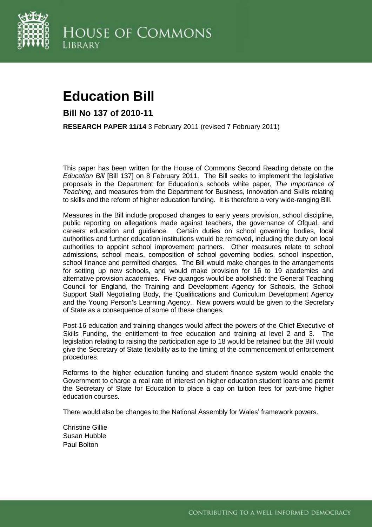

# **Education Bill**

**Bill No 137 of 2010-11** 

**RESEARCH PAPER 11/14** 3 February 2011 (revised 7 February 2011)

This paper has been written for the House of Commons Second Reading debate on the *Education Bill* [Bill 137] on 8 February 2011. The Bill seeks to implement the legislative proposals in the Department for Education's schools white paper, *The Importance of Teaching*, and measures from the Department for Business, Innovation and Skills relating to skills and the reform of higher education funding. It is therefore a very wide-ranging Bill.

Measures in the Bill include proposed changes to early years provision, school discipline, public reporting on allegations made against teachers, the governance of Ofqual, and careers education and guidance. Certain duties on school governing bodies, local authorities and further education institutions would be removed, including the duty on local authorities to appoint school improvement partners. Other measures relate to school admissions, school meals, composition of school governing bodies, school inspection, school finance and permitted charges. The Bill would make changes to the arrangements for setting up new schools, and would make provision for 16 to 19 academies and alternative provision academies. Five quangos would be abolished: the General Teaching Council for England, the Training and Development Agency for Schools, the School Support Staff Negotiating Body, the Qualifications and Curriculum Development Agency and the Young Person's Learning Agency. New powers would be given to the Secretary of State as a consequence of some of these changes.

Post-16 education and training changes would affect the powers of the Chief Executive of Skills Funding, the entitlement to free education and training at level 2 and 3. The legislation relating to raising the participation age to 18 would be retained but the Bill would give the Secretary of State flexibility as to the timing of the commencement of enforcement procedures.

Reforms to the higher education funding and student finance system would enable the Government to charge a real rate of interest on higher education student loans and permit the Secretary of State for Education to place a cap on tuition fees for part-time higher education courses.

There would also be changes to the National Assembly for Wales' framework powers.

Christine Gillie Susan Hubble Paul Bolton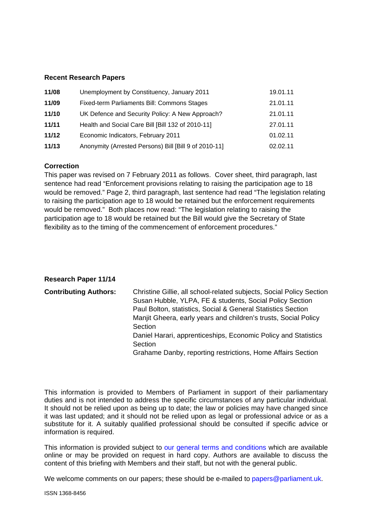#### **Recent Research Papers**

| 11/08 | Unemployment by Constituency, January 2011            | 19.01.11 |
|-------|-------------------------------------------------------|----------|
| 11/09 | Fixed-term Parliaments Bill: Commons Stages           | 21.01.11 |
| 11/10 | UK Defence and Security Policy: A New Approach?       | 21.01.11 |
| 11/11 | Health and Social Care Bill [Bill 132 of 2010-11]     | 27.01.11 |
| 11/12 | Economic Indicators, February 2011                    | 01.02.11 |
| 11/13 | Anonymity (Arrested Persons) Bill [Bill 9 of 2010-11] | 02.02.11 |

#### **Correction**

This paper was revised on 7 February 2011 as follows. Cover sheet, third paragraph, last sentence had read "Enforcement provisions relating to raising the participation age to 18 would be removed." Page 2, third paragraph, last sentence had read "The legislation relating to raising the participation age to 18 would be retained but the enforcement requirements would be removed." Both places now read: "The legislation relating to raising the participation age to 18 would be retained but the Bill would give the Secretary of State flexibility as to the timing of the commencement of enforcement procedures."

#### **Research Paper 11/14**

| <b>Contributing Authors:</b> | Christine Gillie, all school-related subjects, Social Policy Section<br>Susan Hubble, YLPA, FE & students, Social Policy Section<br>Paul Bolton, statistics, Social & General Statistics Section<br>Manjit Gheera, early years and children's trusts, Social Policy<br>Section<br>Daniel Harari, apprenticeships, Economic Policy and Statistics<br>Section<br>Grahame Danby, reporting restrictions, Home Affairs Section |
|------------------------------|----------------------------------------------------------------------------------------------------------------------------------------------------------------------------------------------------------------------------------------------------------------------------------------------------------------------------------------------------------------------------------------------------------------------------|
|                              |                                                                                                                                                                                                                                                                                                                                                                                                                            |

This information is provided to Members of Parliament in support of their parliamentary duties and is not intended to address the specific circumstances of any particular individual. It should not be relied upon as being up to date; the law or policies may have changed since it was last updated; and it should not be relied upon as legal or professional advice or as a substitute for it. A suitably qualified professional should be consulted if specific advice or information is required.

This information is provided subject to [our general terms and conditions](http://www.parliament.uk/site_information/parliamentary_copyright.cfm) which are available online or may be provided on request in hard copy. Authors are available to discuss the content of this briefing with Members and their staff, but not with the general public.

We welcome comments on our papers; these should be e-mailed to [papers@parliament.uk.](mailto:papers@parliament.uk)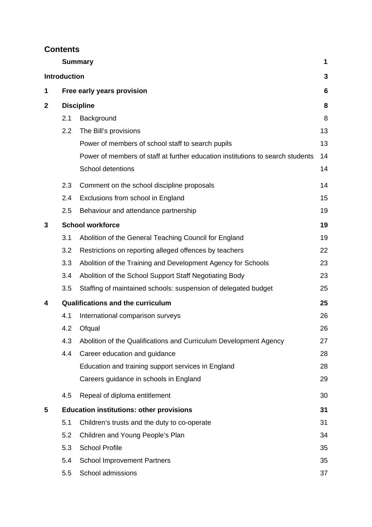# **Contents**

|              |                     | <b>Summary</b>                                                                 | 1  |
|--------------|---------------------|--------------------------------------------------------------------------------|----|
|              | <b>Introduction</b> |                                                                                | 3  |
| 1            |                     | Free early years provision                                                     | 6  |
| $\mathbf{2}$ | <b>Discipline</b>   |                                                                                |    |
|              | 2.1                 | Background                                                                     | 8  |
|              | 2.2                 | The Bill's provisions                                                          | 13 |
|              |                     | Power of members of school staff to search pupils                              | 13 |
|              |                     | Power of members of staff at further education institutions to search students | 14 |
|              |                     | School detentions                                                              | 14 |
|              | 2.3                 | Comment on the school discipline proposals                                     | 14 |
|              | 2.4                 | Exclusions from school in England                                              | 15 |
|              | 2.5                 | Behaviour and attendance partnership                                           | 19 |
| 3            |                     | <b>School workforce</b>                                                        | 19 |
|              | 3.1                 | Abolition of the General Teaching Council for England                          | 19 |
|              | 3.2                 | Restrictions on reporting alleged offences by teachers                         | 22 |
|              | 3.3                 | Abolition of the Training and Development Agency for Schools                   | 23 |
|              | 3.4                 | Abolition of the School Support Staff Negotiating Body                         | 23 |
|              | 3.5                 | Staffing of maintained schools: suspension of delegated budget                 | 25 |
| 4            |                     | <b>Qualifications and the curriculum</b>                                       | 25 |
|              | 4.1                 | International comparison surveys                                               | 26 |
|              | 4.2                 | Ofqual                                                                         | 26 |
|              | 4.3                 | Abolition of the Qualifications and Curriculum Development Agency              | 27 |
|              | 4.4                 | Career education and guidance                                                  | 28 |
|              |                     | Education and training support services in England                             | 28 |
|              |                     | Careers guidance in schools in England                                         | 29 |
|              | 4.5                 | Repeal of diploma entitlement                                                  | 30 |
| 5            |                     | <b>Education institutions: other provisions</b>                                | 31 |
|              | 5.1                 | Children's trusts and the duty to co-operate                                   | 31 |
|              | 5.2                 | Children and Young People's Plan                                               | 34 |
|              | 5.3                 | <b>School Profile</b>                                                          | 35 |
|              | 5.4                 | <b>School Improvement Partners</b>                                             | 35 |
|              | 5.5                 | School admissions                                                              | 37 |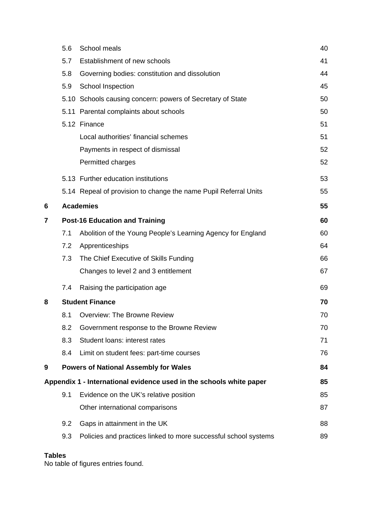|   | 5.6 | School meals                                                        | 40 |
|---|-----|---------------------------------------------------------------------|----|
|   | 5.7 | Establishment of new schools                                        | 41 |
|   | 5.8 | Governing bodies: constitution and dissolution                      | 44 |
|   | 5.9 | School Inspection                                                   | 45 |
|   |     | 5.10 Schools causing concern: powers of Secretary of State          | 50 |
|   |     | 5.11 Parental complaints about schools                              | 50 |
|   |     | 5.12 Finance                                                        | 51 |
|   |     | Local authorities' financial schemes                                | 51 |
|   |     | Payments in respect of dismissal                                    | 52 |
|   |     | Permitted charges                                                   | 52 |
|   |     | 5.13 Further education institutions                                 | 53 |
|   |     | 5.14 Repeal of provision to change the name Pupil Referral Units    | 55 |
| 6 |     | <b>Academies</b>                                                    | 55 |
| 7 |     | <b>Post-16 Education and Training</b>                               | 60 |
|   | 7.1 | Abolition of the Young People's Learning Agency for England         | 60 |
|   | 7.2 | Apprenticeships                                                     | 64 |
|   | 7.3 | The Chief Executive of Skills Funding                               | 66 |
|   |     | Changes to level 2 and 3 entitlement                                | 67 |
|   | 7.4 | Raising the participation age                                       | 69 |
| 8 |     | <b>Student Finance</b>                                              | 70 |
|   | 8.1 | Overview: The Browne Review                                         | 70 |
|   | 8.2 | Government response to the Browne Review                            | 70 |
|   | 8.3 | Student loans: interest rates                                       | 71 |
|   | 8.4 | Limit on student fees: part-time courses                            | 76 |
| 9 |     | <b>Powers of National Assembly for Wales</b>                        | 84 |
|   |     | Appendix 1 - International evidence used in the schools white paper | 85 |
|   | 9.1 | Evidence on the UK's relative position                              | 85 |
|   |     | Other international comparisons                                     | 87 |
|   | 9.2 | Gaps in attainment in the UK                                        | 88 |
|   | 9.3 | Policies and practices linked to more successful school systems     | 89 |
|   |     |                                                                     |    |

# **Tables**

No table of figures entries found.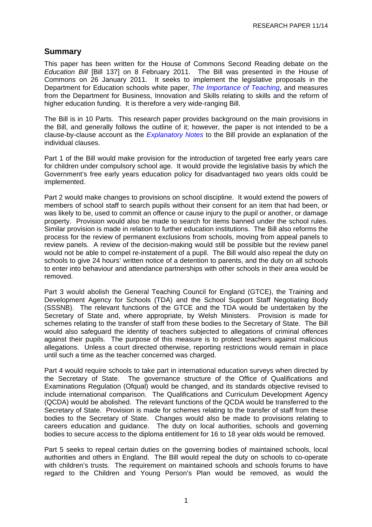## <span id="page-4-0"></span>**Summary**

This paper has been written for the House of Commons Second Reading debate on the *Education Bill* [Bill 137] on 8 February 2011. The Bill was presented in the House of Commons on 26 January 2011. It seeks to implement the legislative proposals in the Department for Education schools white paper, *[The Importance of Teaching](http://publications.education.gov.uk/eOrderingDownload/CM-7980.pdf)*, and measures from the Department for Business, Innovation and Skills relating to skills and the reform of higher education funding. It is therefore a very wide-ranging Bill.

The Bill is in 10 Parts. This research paper provides background on the main provisions in the Bill, and generally follows the outline of it; however, the paper is not intended to be a clause-by-clause account as the *[Explanatory Notes](http://www.publications.parliament.uk/pa/cm201011/cmbills/137/en/2011137en.htm)* to the Bill provide an explanation of the individual clauses.

Part 1 of the Bill would make provision for the introduction of targeted free early years care for children under compulsory school age. It would provide the legislative basis by which the Government's free early years education policy for disadvantaged two years olds could be implemented.

Part 2 would make changes to provisions on school discipline. It would extend the powers of members of school staff to search pupils without their consent for an item that had been, or was likely to be, used to commit an offence or cause injury to the pupil or another, or damage property. Provision would also be made to search for items banned under the school rules. Similar provision is made in relation to further education institutions. The Bill also reforms the process for the review of permanent exclusions from schools, moving from appeal panels to review panels. A review of the decision-making would still be possible but the review panel would not be able to compel re-instatement of a pupil. The Bill would also repeal the duty on schools to give 24 hours' written notice of a detention to parents, and the duty on all schools to enter into behaviour and attendance partnerships with other schools in their area would be removed.

Part 3 would abolish the General Teaching Council for England (GTCE), the Training and Development Agency for Schools (TDA) and the School Support Staff Negotiating Body (SSSNB). The relevant functions of the GTCE and the TDA would be undertaken by the Secretary of State and, where appropriate, by Welsh Ministers. Provision is made for schemes relating to the transfer of staff from these bodies to the Secretary of State. The Bill would also safeguard the identity of teachers subjected to allegations of criminal offences against their pupils. The purpose of this measure is to protect teachers against malicious allegations. Unless a court directed otherwise, reporting restrictions would remain in place until such a time as the teacher concerned was charged.

Part 4 would require schools to take part in international education surveys when directed by the Secretary of State. The governance structure of the Office of Qualifications and Examinations Regulation (Ofqual) would be changed, and its standards objective revised to include international comparison. The Qualifications and Curriculum Development Agency (QCDA) would be abolished. The relevant functions of the QCDA would be transferred to the Secretary of State. Provision is made for schemes relating to the transfer of staff from these bodies to the Secretary of State. Changes would also be made to provisions relating to careers education and guidance. The duty on local authorities, schools and governing bodies to secure access to the diploma entitlement for 16 to 18 year olds would be removed.

Part 5 seeks to repeal certain duties on the governing bodies of maintained schools, local authorities and others in England. The Bill would repeal the duty on schools to co-operate with children's trusts. The requirement on maintained schools and schools forums to have regard to the Children and Young Person's Plan would be removed, as would the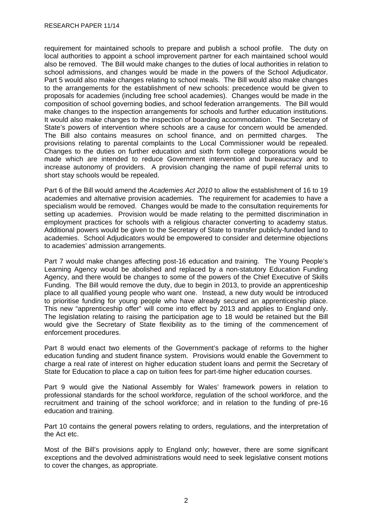requirement for maintained schools to prepare and publish a school profile. The duty on local authorities to appoint a school improvement partner for each maintained school would also be removed. The Bill would make changes to the duties of local authorities in relation to school admissions, and changes would be made in the powers of the School Adjudicator. Part 5 would also make changes relating to school meals. The Bill would also make changes to the arrangements for the establishment of new schools: precedence would be given to proposals for academies (including free school academies). Changes would be made in the composition of school governing bodies, and school federation arrangements. The Bill would make changes to the inspection arrangements for schools and further education institutions. It would also make changes to the inspection of boarding accommodation. The Secretary of State's powers of intervention where schools are a cause for concern would be amended. The Bill also contains measures on school finance, and on permitted charges. The provisions relating to parental complaints to the Local Commissioner would be repealed. Changes to the duties on further education and sixth form college corporations would be made which are intended to reduce Government intervention and bureaucracy and to increase autonomy of providers. A provision changing the name of pupil referral units to short stay schools would be repealed.

Part 6 of the Bill would amend the *Academies Act 2010* to allow the establishment of 16 to 19 academies and alternative provision academies. The requirement for academies to have a specialism would be removed. Changes would be made to the consultation requirements for setting up academies. Provision would be made relating to the permitted discrimination in employment practices for schools with a religious character converting to academy status. Additional powers would be given to the Secretary of State to transfer publicly-funded land to academies. School Adjudicators would be empowered to consider and determine objections to academies' admission arrangements.

Part 7 would make changes affecting post-16 education and training. The Young People's Learning Agency would be abolished and replaced by a non-statutory Education Funding Agency, and there would be changes to some of the powers of the Chief Executive of Skills Funding. The Bill would remove the duty, due to begin in 2013, to provide an apprenticeship place to all qualified young people who want one. Instead, a new duty would be introduced to prioritise funding for young people who have already secured an apprenticeship place. This new "apprenticeship offer" will come into effect by 2013 and applies to England only. The legislation relating to raising the participation age to 18 would be retained but the Bill would give the Secretary of State flexibility as to the timing of the commencement of enforcement procedures.

Part 8 would enact two elements of the Government's package of reforms to the higher education funding and student finance system. Provisions would enable the Government to charge a real rate of interest on higher education student loans and permit the Secretary of State for Education to place a cap on tuition fees for part-time higher education courses.

Part 9 would give the National Assembly for Wales' framework powers in relation to professional standards for the school workforce, regulation of the school workforce, and the recruitment and training of the school workforce; and in relation to the funding of pre-16 education and training.

Part 10 contains the general powers relating to orders, regulations, and the interpretation of the Act etc.

Most of the Bill's provisions apply to England only; however, there are some significant exceptions and the devolved administrations would need to seek legislative consent motions to cover the changes, as appropriate.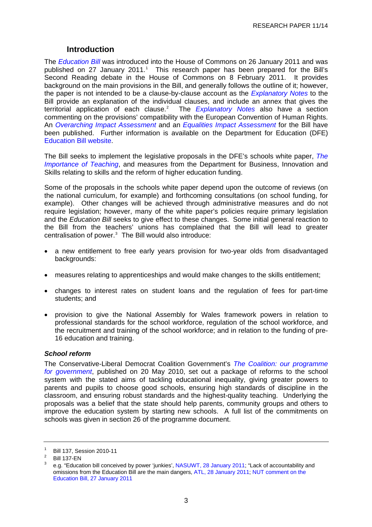### **Introduction**

<span id="page-6-0"></span>The *[Education Bill](http://www.publications.parliament.uk/pa/cm201011/cmbills/137/11137.i-v.html)* was introduced into the House of Commons on 26 January 2011 and was published on 27 January 20[1](#page-6-0)1.<sup>1</sup> This research paper has been prepared for the Bill's Second Reading debate in the House of Commons on 8 February 2011. It provides background on the main provisions in the Bill, and generally follows the outline of it; however, the paper is not intended to be a clause-by-clause account as the *[Explanatory Notes](http://www.publications.parliament.uk/pa/cm201011/cmbills/137/en/2011137en.htm)* to the Bill provide an explanation of the individual clauses, and include an annex that gives the territorial application of each clause.<sup>[2](#page-6-0)</sup> The *[Explanatory Notes](http://services.parliament.uk/bills/2010-11/education/documents.html)* also have a section commenting on the provisions' compatibility with the European Convention of Human Rights. An *Overarching [Impact Assessment](http://media.education.gov.uk/assets/files/pdf/e/education%20bill%20impact%20assessment.pdf)* and an *[Equalities Impact Assessment](http://media.education.gov.uk/assets/files/pdf/e/education%20bill%20equality%20impact%20assessment.pdf)* for the Bill have been published. Further information is available on the Department for Education (DFE) [Education B](http://www.education.gov.uk/aboutdfe/departmentalinformation/educationbill/a0073748/education-bill)ill website.

The Bill seeks to implement the legislative proposals in the DFE's schools white paper, *[The](http://publications.education.gov.uk/eOrderingDownload/CM-7980.pdf)  [Importance of Teaching](http://publications.education.gov.uk/eOrderingDownload/CM-7980.pdf)*, and measures from the Department for Business, Innovation and Skills relating to skills and the reform of higher education funding.

Some of the proposals in the schools white paper depend upon the outcome of reviews (on the national curriculum, for example) and forthcoming consultations (on school funding, for example). Other changes will be achieved through administrative measures and do not require legislation; however, many of the white paper's policies require primary legislation and the *Education Bill* seeks to give effect to these changes. Some initial general reaction to the Bill from the teachers' unions has complained that the Bill will lead to greater centralisation of power. $3$  The Bill would also introduce:

- a new entitlement to free early years provision for two-year olds from disadvantaged backgrounds:
- measures relating to apprenticeships and would make changes to the skills entitlement;
- changes to interest rates on student loans and the regulation of fees for part-time students; and
- provision to give the National Assembly for Wales framework powers in relation to professional standards for the school workforce, regulation of the school workforce, and the recruitment and training of the school workforce; and in relation to the funding of pre-16 education and training.

#### *School reform*

The Conservative-Liberal Democrat Coalition Government's *[The Coalition: our programme](http://www.cabinetoffice.gov.uk/media/409088/pfg_coalition.pdf)  [for government](http://www.cabinetoffice.gov.uk/media/409088/pfg_coalition.pdf)*, published on 20 May 2010, set out a package of reforms to the school system with the stated aims of tackling educational inequality, giving greater powers to parents and pupils to choose good schools, ensuring high standards of discipline in the classroom, and ensuring robust standards and the highest-quality teaching. Underlying the proposals was a belief that the state should help parents, community groups and others to improve the education system by starting new schools. A full list of the commitments on schools was given in section 26 of the programme document.

<sup>1</sup> Bill 137, Session 2010-11

<sup>2</sup> Bill 137-EN

<sup>3</sup> e.g. "Education bill conceived by power 'junkies', [NASUWT, 28 January 2011;](http://www.nasuwt.org.uk/Whatsnew/NASUWTNews/PressReleases/EducationBillConceivedByPowerJunkiesSaysTheNASUWT/NASUWT_007504) "Lack of accountability and omissions from the Education Bill are the main dangers, [ATL, 28 January 2011;](http://www.atl.org.uk/media-office/media-archive/ATL-comment-ahead-of-publication-of-the-Education-Bill.asp) [NUT comment on the](http://www.teachers.org.uk/node/12378)  [Education Bill, 27 January 2011](http://www.teachers.org.uk/node/12378)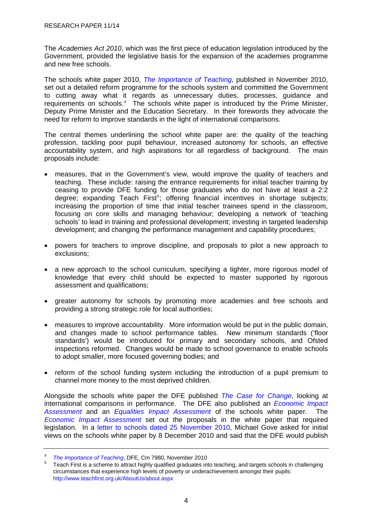<span id="page-7-0"></span>The *Academies Act 2010*, which was the first piece of education legislation introduced by the Government, provided the legislative basis for the expansion of the academies programme and new free schools.

The schools white paper 2010, *[The Importance of Teaching](http://publications.education.gov.uk/eOrderingDownload/CM-7980.pdf)*, published in November 2010, set out a detailed reform programme for the schools system and committed the Government to cutting away what it regards as unnecessary duties, processes, guidance and requirements on schools.<sup>[4](#page-7-0)</sup> The schools white paper is introduced by the Prime Minister, Deputy Prime Minister and the Education Secretary. In their forewords they advocate the need for reform to improve standards in the light of international comparisons.

The central themes underlining the school white paper are: the quality of the teaching profession, tackling poor pupil behaviour, increased autonomy for schools, an effective accountability system, and high aspirations for all regardless of background. The main proposals include:

- measures, that in the Government's view, would improve the quality of teachers and teaching. These include: raising the entrance requirements for initial teacher training by ceasing to provide DFE funding for those graduates who do not have at least a 2:2 degree; expanding Teach First<sup>[5](#page-7-0)</sup>; offering financial incentives in shortage subjects; increasing the proportion of time that initial teacher trainees spend in the classroom, focusing on core skills and managing behaviour; developing a network of 'teaching schools' to lead in training and professional development; investing in targeted leadership development; and changing the performance management and capability procedures;
- powers for teachers to improve discipline, and proposals to pilot a new approach to exclusions;
- a new approach to the school curriculum, specifying a tighter, more rigorous model of knowledge that every child should be expected to master supported by rigorous assessment and qualifications;
- greater autonomy for schools by promoting more academies and free schools and providing a strong strategic role for local authorities;
- measures to improve accountability. More information would be put in the public domain, and changes made to school performance tables. New minimum standards ('floor standards') would be introduced for primary and secondary schools, and Ofsted inspections reformed. Changes would be made to school governance to enable schools to adopt smaller, more focused governing bodies; and
- reform of the school funding system including the introduction of a pupil premium to channel more money to the most deprived children.

Alongside the schools white paper the DFE published *[The Case for Change](http://publications.education.gov.uk/eOrderingDownload/DFE-00564-2010.pdf)*, looking at international comparisons in performance. The DFE also published an *[Economic Impact](http://media.education.gov.uk/assets/files/pdf/s/schools%20white%20paper%202010%20%20%20an%20economic%20impact%20assessment.pdf)  [Assessment](http://media.education.gov.uk/assets/files/pdf/s/schools%20white%20paper%202010%20%20%20an%20economic%20impact%20assessment.pdf)* and an *[Equalities Impact Assessment](http://media.education.gov.uk/assets/files/pdf/s/schools%20white%20paper%20overarching%20equia.pdf)* of the schools white paper. The *[Economic Impact Assessment](http://media.education.gov.uk/assets/files/pdf/s/schools%20white%20paper%202010%20%20%20an%20economic%20impact%20assessment.pdf)* set out the proposals in the white paper that required legislation. In a [letter to schools dated 25 November 2010](http://media.education.gov.uk/assets/files/pdf/m/michael%20goves%20letter%20to%20headteachers%20and%20chairs%20of%20governors%20on%20the%20schools%20white%20paper%20%20%2024%20november%202010.pdf), Michael Gove asked for initial views on the schools white paper by 8 December 2010 and said that the DFE would publish

<sup>4</sup> *The Importance of Teaching*[,](http://publications.education.gov.uk/eOrderingDownload/CM-7980.pdf) DFE, Cm 7980, November 2010

Teach First is a scheme to attract highly qualified graduates into teaching, and targets schools in challenging circumstances that experience high levels of poverty or underachievement amongst their pupils: <http://www.teachfirst.org.uk/AboutUs/about.aspx>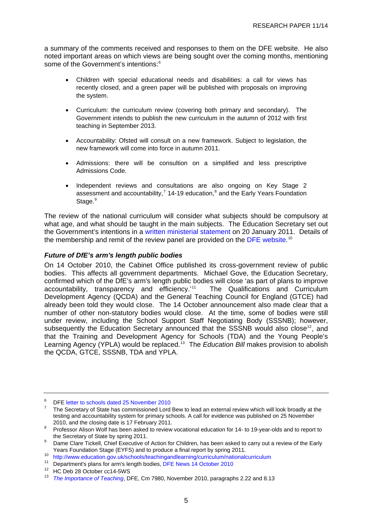<span id="page-8-0"></span>a summary of the comments received and responses to them on the DFE website. He also noted important areas on which views are being sought over the coming months, mentioning some of the Government's intentions:<sup>[6](#page-8-0)</sup>

- Children with special educational needs and disabilities: a call for views has recently closed, and a green paper will be published with proposals on improving the system.
- Curriculum: the curriculum review (covering both primary and secondary). The Government intends to publish the new curriculum in the autumn of 2012 with first teaching in September 2013.
- Accountability: Ofsted will consult on a new framework. Subject to legislation, the new framework will come into force in autumn 2011.
- Admissions: there will be consultion on a simplified and less prescriptive Admissions Code.
- Independent reviews and consultations are also ongoing on Key Stage 2 assessment and accountability,<sup>[7](#page-8-0)</sup> 14-19 education,<sup>[8](#page-8-0)</sup> and the Early Years Foundation Stage.<sup>[9](#page-8-0)</sup>

The review of the national curriculum will consider what subjects should be compulsory at what age, and what should be taught in the main subjects. The Education Secretary set out the Government's intentions in a [written ministerial statement](http://hcl1.hclibrary.parliament.uk/general_pdf/ministerialstatements/Jan2011/wms2.pdf) on 20 January 2011. Details of the membership and remit of the review panel are provided on the [DFE website](http://www.education.gov.uk/schools/teachingandlearning/curriculum/nationalcurriculum).<sup>[10](#page-8-0)</sup>

#### *Future of DfE's arm's length public bodies*

On [14 October 2010,](http://www.education.gov.uk/inthenews/inthenews/a0065289/departments-plans-for-arms-length-bodies) the Cabinet Office published its cross-government review of public bodies. This affects all government departments. Michael Gove, the Education Secretary, confirmed which of the DfE's arm's length public bodies will close 'as part of plans to improve accountability, transparency and efficiency.<sup>[11](#page-8-0)1</sup> The Qualifications and Curriculum Development Agency (QCDA) and the General Teaching Council for England (GTCE) had already been told they would close. The 14 October announcement also made clear that a number of other non-statutory bodies would close. At the time, some of bodies were still under review, including the School Support Staff Negotiating Body (SSSNB); however, subsequently the Education Secretary announced that the SSSNB would also close<sup>[12](#page-8-0)</sup>, and that the Training and Development Agency for Schools (TDA) and the Young People's Learning Agency (YPLA) would be replaced.<sup>[13](#page-8-0)</sup> The *Education Bill* makes provision to abolish the QCDA, GTCE, SSSNB, TDA and YPLA.

<sup>6</sup> DFE [letter to schools dated 25 November 2010](http://media.education.gov.uk/assets/files/pdf/m/michael%20goves%20letter%20to%20headteachers%20and%20chairs%20of%20governors%20on%20the%20schools%20white%20paper%20%20%2024%20november%202010.pdf)

<sup>7</sup> The Secretary of State has commissioned Lord Bew to lead an external review which will look broadly at the testing and accountability system for primary schools. A call for evidence was published on 25 November 2010, and the closing date is 17 February 2011.

Professor Alison Wolf has been asked to review vocational education for 14- to 19-year-olds and to report to the Secretary of State by spring 2011.

Dame Clare Tickell, Chief Executive of Action for Children, has been asked to carry out a review of the Early<br>Years Foundation Stage (EYFS) and to produce a final report by spring 2011.

<sup>10</sup> <http://www.education.gov.uk/schools/teachingandlearning/curriculum/nationalcurriculum>

<sup>11</sup> Department's plans for arm's length bodies, [DFE News 14 October 2010](http://www.education.gov.uk/inthenews/inthenews/a0065289/departments-plans-for-arms-length-bodies)

<sup>12</sup> HC Deb 28 October cc14-5WS

<sup>13</sup> *[The Importance of Teaching](http://publications.education.gov.uk/eOrderingDownload/CM-7980.pdf)*, DFE, Cm 7980, November 2010, paragraphs 2.22 and 8.13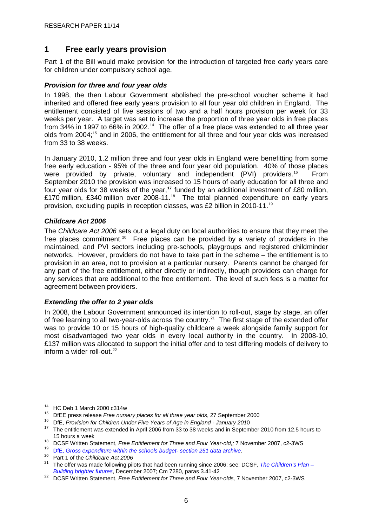# <span id="page-9-0"></span>**1 Free early years provision**

Part 1 of the Bill would make provision for the introduction of targeted free early years care for children under compulsory school age.

#### *Provision for three and four year olds*

In 1998, the then Labour Government abolished the pre-school voucher scheme it had inherited and offered free early years provision to all four year old children in England. The entitlement consisted of five sessions of two and a half hours provision per week for 33 weeks per year. A target was set to increase the proportion of three year olds in free places from 34% in 1997 to 66% in 2002.<sup>[14](#page-9-0)</sup> The offer of a free place was extended to all three year olds from 2004;<sup>[15](#page-9-0)</sup> and in 2006, the entitlement for all three and four year olds was increased from 33 to 38 weeks.

In January 2010, 1.2 million three and four year olds in England were benefitting from some free early education - 95% of the three and four year old population. 40% of those places were provided by private, voluntary and independent (PVI) providers.<sup>[16](#page-9-0)</sup> From September 2010 the provision was increased to 15 hours of early education for all three and four year olds for 38 weeks of the year,**[17](#page-9-0)** funded by an additional investment of £80 million, £170 million, £340 million over 2008-11.<sup>[18](#page-9-0)</sup> The total planned expenditure on early years provision, excluding pupils in reception classes, was £2 billion in 2010-11.[19](#page-9-0)

#### *Childcare Act 2006*

The *Childcare Act 2006* sets out a legal duty on local authorities to ensure that they meet the free places commitment.<sup>[20](#page-9-0)</sup> Free places can be provided by a variety of providers in the maintained, and PVI sectors including pre-schools, playgroups and registered childminder networks. However, providers do not have to take part in the scheme – the entitlement is to provision in an area, not to provision at a particular nursery. Parents cannot be charged for any part of the free entitlement, either directly or indirectly, though providers can charge for any services that are additional to the free entitlement. The level of such fees is a matter for agreement between providers.

#### *Extending the offer to 2 year olds*

In 2008, the Labour Government announced its intention to roll-out, stage by stage, an offer of free learning to all two-year-olds across the country.<sup>[21](#page-9-0)</sup> The first stage of the extended offer was to provide 10 or 15 hours of high-quality childcare a week alongside family support for most disadvantaged two year olds in every local authority in the country. In 2008-10, £137 million was allocated to support the initial offer and to test differing models of delivery to inform a wider roll-out. $22$ 

<sup>&</sup>lt;sup>14</sup> HC Deb 1 March 2000 c314w<br><sup>15</sup> DfEE press release *Free nursery places for all three year olds*, 27 September 2000

<sup>&</sup>lt;sup>16</sup> DfE, *Provision for Children Under Five Years of Age in England - January 201*0<br><sup>17</sup> The entitlement was extended in April 2006 from 33 to 38 weeks and in September 2010 from 12.5 hours to 15 hours a week<br>
<sup>18</sup> DCSF Written Statement, *Free Entitlement for Three and Four Year-old*,; 7 November 2007, c2-3WS<br>
<sup>19</sup> [DfE,](http://www.education.gov.uk/childrenandyoungpeople/strategy/financeandfunding/section251/archive/b0068383/section-251-data-archive/) *Gross expenditure within the schools budget- section 251 data archive.*<br>
<sup>20</sup> Part 1 of the

<sup>&</sup>lt;sup>21</sup> The offer was made following pilots that had been running since 2006; see: DCSF, *[The Children's Plan –](http://www.dcsf.gov.uk/childrensplan/downloads/The_Childrens_Plan.pdf) Building brighter futures*, December 2007; Cm 7280, paras 3.41-42

<sup>&</sup>lt;sup>22</sup> DCSF Written Statement, *Free Entitlement for Three and Four Year-olds, 7* November 2007, c2-3WS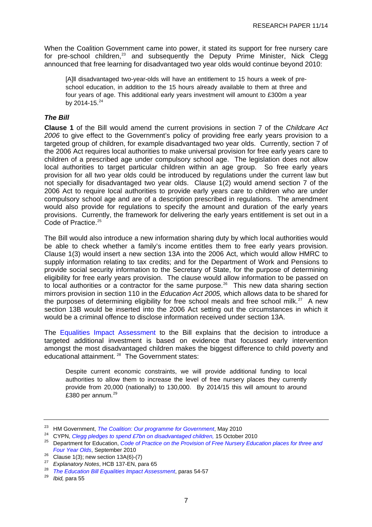<span id="page-10-0"></span>When the Coalition Government came into power, it stated its support for free nursery care for pre-school children, $^{23}$  $^{23}$  $^{23}$  and subsequently the Deputy Prime Minister, Nick Clegg announced that free learning for disadvantaged two year olds would continue beyond 2010:

[A]ll disadvantaged two-year-olds will have an entitlement to 15 hours a week of preschool education, in addition to the 15 hours already available to them at three and four years of age. This additional early years investment will amount to £300m a year by  $2014 - 15^{24}$  $2014 - 15^{24}$  $2014 - 15^{24}$ 

#### *The Bill*

**Clause 1** of the Bill would amend the current provisions in section 7 of the *Childcare Act 2006* to give effect to the Government's policy of providing free early years provision to a targeted group of children, for example disadvantaged two year olds. Currently, section 7 of the 2006 Act requires local authorities to make universal provision for free early years care to children of a prescribed age under compulsory school age. The legislation does not allow local authorities to target particular children within an age group. So free early years provision for all two year olds could be introduced by regulations under the current law but not specially for disadvantaged two year olds. Clause 1(2) would amend section 7 of the 2006 Act to require local authorities to provide early years care to children who are under compulsory school age and are of a description prescribed in regulations. The amendment would also provide for regulations to specify the amount and duration of the early years provisions. Currently, the framework for delivering the early years entitlement is set out in a Code of Practice.<sup>[25](#page-10-0)</sup>

The Bill would also introduce a new information sharing duty by which local authorities would be able to check whether a family's income entitles them to free early years provision. Clause 1(3) would insert a new section 13A into the 2006 Act, which would allow HMRC to supply information relating to tax credits; and for the Department of Work and Pensions to provide social security information to the Secretary of State, for the purpose of determining eligibility for free early years provision. The clause would allow information to be passed on to local authorities or a contractor for the same purpose.<sup>[26](#page-10-0)</sup> This new data sharing section mirrors provision in section 110 in the *Education Act 2005,* which allows data to be shared for the purposes of determining eligibility for free school meals and free school milk.<sup>[27](#page-10-0)</sup> A new section 13B would be inserted into the 2006 Act setting out the circumstances in which it would be a criminal offence to disclose information received under section 13A.

The [Equalities Impact Assessment](http://media.education.gov.uk/assets/files/pdf/e/education%20bill%20equality%20impact%20assessment.pdf) to the Bill explains that the decision to introduce a targeted additional investment is based on evidence that focussed early intervention amongst the most disadvantaged children makes the biggest difference to child poverty and educational attainment.<sup>[28](#page-10-0)</sup> The Government states:

Despite current economic constraints, we will provide additional funding to local authorities to allow them to increase the level of free nursery places they currently provide from 20,000 (nationally) to 130,000. By 2014/15 this will amount to around  $£380$  per annum.<sup>[29](#page-10-0)</sup>

<sup>&</sup>lt;sup>23</sup> HM Government[,](http://www.cabinetoffice.gov.uk/media/409088/pfg_coalition.pdf)*The Coalition: Our programme for Government*, May 2010<br><sup>24</sup> CYPN, *Clegg pledges to spend £7bn on disadvantaged children*, 15 October 2010<br><sup>25</sup> Department for Education, *Code of Practice on the Provis* 

<sup>&</sup>lt;sup>26</sup> Clause 1(3); new section 13A(6)-(7)<br><sup>27</sup> Explanatory Notes, HCB 137-EN, para 65

<sup>&</sup>lt;sup>28</sup> The Education Bill Equalities Impact Assessment, paras 54-57<br><sup>29</sup> Ibid, para 55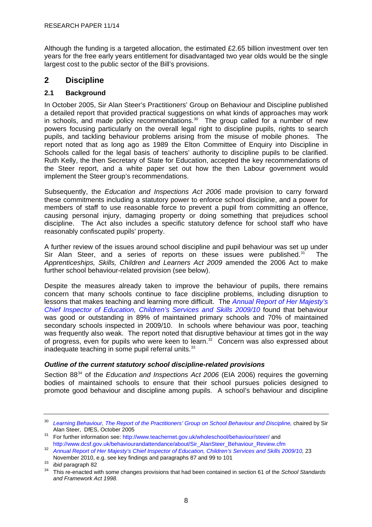<span id="page-11-0"></span>Although the funding is a targeted allocation, the estimated £2.65 billion investment over ten years for the free early years entitlement for disadvantaged two year olds would be the single largest cost to the public sector of the Bill's provisions.

# **2 Discipline**

#### **2.1 Background**

In October 2005, Sir Alan Steer's Practitioners' Group on Behaviour and Discipline published a detailed report that provided practical suggestions on what kinds of approaches may work in schools, and made policy recommendations. $30$  The group called for a number of new powers focusing particularly on the overall legal right to discipline pupils, rights to search pupils, and tackling behaviour problems arising from the misuse of mobile phones. The report noted that as long ago as 1989 the Elton Committee of Enquiry into Discipline in Schools called for the legal basis of teachers' authority to discipline pupils to be clarified. Ruth Kelly, the then Secretary of State for Education, accepted the key recommendations of the Steer report, and a white paper set out how the then Labour government would implement the Steer group's recommendations.

Subsequently, the *Education and Inspections Act 2006* made provision to carry forward these commitments including a statutory power to enforce school discipline, and a power for members of staff to use reasonable force to prevent a pupil from committing an offence, causing personal injury, damaging property or doing something that prejudices school discipline. The Act also includes a specific statutory defence for school staff who have reasonably confiscated pupils' property.

A further review of the issues around school discipline and pupil behaviour was set up under Sir Alan Steer, and a series of reports on these issues were published. $31$  The *Apprenticeships, Skills, Children and Learners Act 2009* amended the 2006 Act to make further school behaviour-related provision (see below).

Despite the measures already taken to improve the behaviour of pupils, there remains concern that many schools continue to face discipline problems, including disruption to lessons that makes teaching and learning more difficult. The *[Annual Report of Her Majesty's](http://www.ofsted.gov.uk/Ofsted-home/Publications-and-research/Browse-all-by/Annual-Report/2009-10/The-Annual-Report-of-Her-Majesty-s-Chief-Inspector-of-Education-Children-s-Services-and-Skills-2009-10)  [Chief Inspector of Education, Children's Services and Skills 2009/10](http://www.ofsted.gov.uk/Ofsted-home/Publications-and-research/Browse-all-by/Annual-Report/2009-10/The-Annual-Report-of-Her-Majesty-s-Chief-Inspector-of-Education-Children-s-Services-and-Skills-2009-10)* found that behaviour was good or outstanding in 89% of maintained primary schools and 70% of maintained secondary schools inspected in 2009/10. In schools where behaviour was poor, teaching was frequently also weak. The report noted that disruptive behaviour at times got in the way of progress, even for pupils who were keen to learn.<sup>[32](#page-11-0)</sup> Concern was also expressed about inadequate teaching in some pupil referral units.<sup>[33](#page-11-0)</sup>

#### *Outline of the current statutory school discipline-related provisions*

Section 88<sup>[34](#page-11-0)</sup> of the *Education and Inspections Act 2006* (EIA 2006) requires the governing bodies of maintained schools to ensure that their school pursues policies designed to promote good behaviour and discipline among pupils. A school's behaviour and discipline

<sup>30</sup> *[Learning Behaviour, The Report of the Practitioners' Group on School Behaviour and Discipline,](http://www.dcsf.gov.uk/behaviourandattendance/uploads/Steer%20interim%20260308FINAL.pdf)* chaired by Sir Alan Steer, DfES, October 2005<br><sup>31</sup> For further information see:<http://www.teachernet.gov.uk/wholeschool/behaviour/steer/> and

[http://www.dcsf.gov.uk/behaviourandattendance/about/Sir\\_AlanSteer\\_Behaviour\\_Review.cfm](http://www.dcsf.gov.uk/behaviourandattendance/about/Sir_AlanSteer_Behaviour_Review.cfm)

<sup>32</sup> *[Annual Report of Her Majesty's Chief Inspector of Education, Children's Services and Skills 2009/10](http://www.ofsted.gov.uk/Ofsted-home/Publications-and-research/Browse-all-by/Annual-Report/2009-10/The-Annual-Report-of-Her-Majesty-s-Chief-Inspector-of-Education-Children-s-Services-and-Skills-2009-10),* 23 November 2010, e.g. see key findings and paragraphs 87 and 99 to 101<br><sup>33</sup> *ibid* paragraph 82<br><sup>34</sup> This re-enacted with some changes provisions that had been contained in section 61 of the *School Standards* 

*and Framework Act 1998*.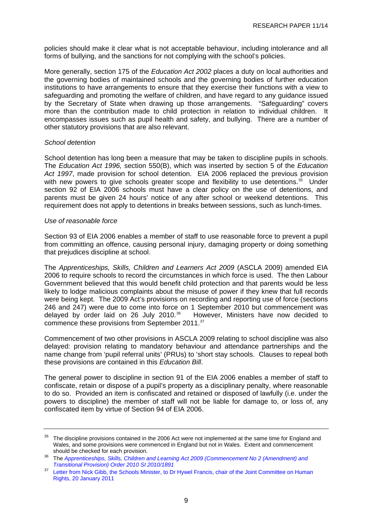<span id="page-12-0"></span>policies should make it clear what is not acceptable behaviour, including intolerance and all forms of bullying, and the sanctions for not complying with the school's policies.

More generally, section 175 of the *Education Act 2002* places a duty on local authorities and the governing bodies of maintained schools and the governing bodies of further education institutions to have arrangements to ensure that they exercise their functions with a view to safeguarding and promoting the welfare of children, and have regard to any guidance issued by the Secretary of State when drawing up those arrangements. "Safeguarding" covers more than the contribution made to child protection in relation to individual children. It encompasses issues such as pupil health and safety, and bullying. There are a number of other statutory provisions that are also relevant.

#### *School detention*

School detention has long been a measure that may be taken to discipline pupils in schools. The *Education Act 1996,* section 550(B), which was inserted by section 5 of the *Education Act 1997*, made provision for school detention. EIA 2006 replaced the previous provision with new powers to give schools greater scope and flexibility to use detentions. $35$  Under section 92 of EIA 2006 schools must have a clear policy on the use of detentions, and parents must be given 24 hours' notice of any after school or weekend detentions. This requirement does not apply to detentions in breaks between sessions, such as lunch-times.

#### *Use of reasonable force*

Section 93 of EIA 2006 enables a member of staff to use reasonable force to prevent a pupil from committing an offence, causing personal injury, damaging property or doing something that prejudices discipline at school.

The *Apprenticeships, Skills, Children and Learners Act 2009* (ASCLA 2009) amended EIA 2006 to require schools to record the circumstances in which force is used. The then Labour Government believed that this would benefit child protection and that parents would be less likely to lodge malicious complaints about the misuse of power if they knew that full records were being kept. The 2009 Act's provisions on recording and reporting use of force (sections 246 and 247) were due to come into force on 1 September 2010 but commencement was delayed by order laid on 26 July 2010.<sup>[36](#page-12-0)</sup> However, Ministers have now decided to commence these provisions from September 2011.<sup>[37](#page-12-0)</sup>

Commencement of two other provisions in ASCLA 2009 relating to school discipline was also delayed: provision relating to mandatory behaviour and attendance partnerships and the name change from 'pupil referral units' (PRUs) to 'short stay schools. Clauses to repeal both these provisions are contained in this *Education Bill*.

The general power to discipline in section 91 of the EIA 2006 enables a member of staff to confiscate, retain or dispose of a pupil's property as a disciplinary penalty, where reasonable to do so. Provided an item is confiscated and retained or disposed of lawfully (i.e. under the powers to discipline) the member of staff will not be liable for damage to, or loss of, any confiscated item by virtue of Section 94 of EIA 2006.

<sup>&</sup>lt;sup>35</sup> The discipline provisions contained in the 2006 Act were not implemented at the same time for England and Wales, and some provisions were commenced in England but not in Wales. Extent and commencement

should be checked for each provision. 36 The *[Apprenticeships, Skills, Children and Learning Act 2009 \(Commencement No 2 \(Amendment\) and](http://www.legislation.gov.uk/uksi/2010/1891/pdfs/uksi_20101891_en.pdf)  [Transitional Provision\) Order 2010 SI 2010/1891](http://www.legislation.gov.uk/uksi/2010/1891/pdfs/uksi_20101891_en.pdf)*

<sup>&</sup>lt;sup>37</sup> Letter from Nick Gibb, the Schools Minister, to Dr Hywel Francis, chair of the Joint Committee on Human [Rights, 20 January 2011](http://www.parliament.uk/business/committees/committees-a-z/joint-select/human-rights-committee/leg-scru-2010-11/apprenticeships-skills-children-and-learning-act-2009/)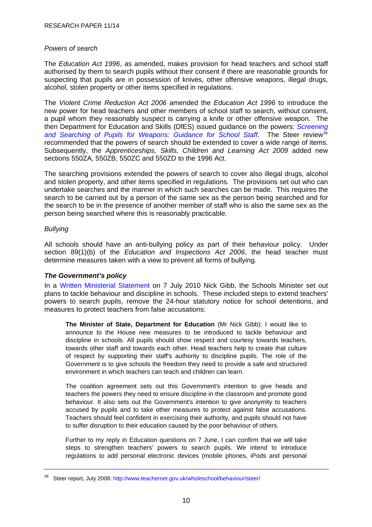#### <span id="page-13-0"></span>*Powers of search*

The *Education Act 1996*, as amended, makes provision for head teachers and school staff authorised by them to search pupils without their consent if there are reasonable grounds for suspecting that pupils are in possession of knives, other offensive weapons, illegal drugs, alcohol, stolen property or other items specified in regulations.

The *Violent Crime Reduction Act 2006* amended the *Education Act 1996* to introduce the new power for head teachers and other members of school staff to search, without consent, a pupil whom they reasonably suspect is carrying a knife or other offensive weapon. The then Department for Education and Skills (DfES) issued guidance on the powers: *[Screening](http://www.google.co.uk/search?hl=en&source=hp&q=Section+550AA+of+the+Education+Act+1996+inserted+under+Section+45+of+the+Crime+Reduction+Act+2006+introduced%2C+from+31+May+2007%2C+a+power+for+headteachers+and+other+members+of+school+staff+to+search%2C+wit)*  [and Searching of Pupils for Weapons: Guidance for School Staff](http://www.google.co.uk/search?hl=en&source=hp&q=Section+550AA+of+the+Education+Act+1996+inserted+under+Section+45+of+the+Crime+Reduction+Act+2006+introduced%2C+from+31+May+2007%2C+a+power+for+headteachers+and+other+members+of+school+staff+to+search%2C+wit). The Steer review<sup>[38](#page-13-0)</sup> recommended that the powers of search should be extended to cover a wide range of items. Subsequently, the *Apprenticeships, Skills, Children and Learning Act 2009* added new sections 550ZA, 550ZB, 550ZC and 550ZD to the 1996 Act.

The searching provisions extended the powers of search to cover also illegal drugs, alcohol and stolen property, and other items specified in regulations. The provisions set out who can undertake searches and the manner in which such searches can be made. This requires the search to be carried out by a person of the same sex as the person being searched and for the search to be in the presence of another member of staff who is also the same sex as the person being searched where this is reasonably practicable.

#### *Bullying*

All schools should have an anti-bullying policy as part of their behaviour policy. Under section 89(1)(b) of the *Education and Inspections Act 2006*, the head teacher must determine measures taken with a view to prevent all forms of bullying.

#### *The Government's policy*

In a [Written Ministerial Statement](http://www.publications.parliament.uk/pa/cm201011/cmhansrd/cm100707/wmstext/100707m0001.htm#10070742000006) on 7 July 2010 Nick Gibb, the Schools Minister set out plans to tackle behaviour and discipline in schools. These included steps to extend teachers' powers to search pupils, remove the 24-hour statutory notice for school detentions, and measures to protect teachers from false accusations:

**The Minister of State, Department for Education** (Mr Nick Gibb): I would like to announce to the House new measures to be introduced to tackle behaviour and discipline in schools. All pupils should show respect and courtesy towards teachers, towards other staff and towards each other. Head teachers help to create that culture of respect by supporting their staff's authority to discipline pupils. The role of the Government is to give schools the freedom they need to provide a safe and structured environment in which teachers can teach and children can learn.

The coalition agreement sets out this Government's intention to give heads and teachers the powers they need to ensure discipline in the classroom and promote good behaviour. It also sets out the Government's intention to give anonymity to teachers accused by pupils and to take other measures to protect against false accusations. Teachers should feel confident in exercising their authority, and pupils should not have to suffer disruption to their education caused by the poor behaviour of others.

Further to my reply in Education questions on 7 June, I can confirm that we will take steps to strengthen teachers' powers to search pupils. We intend to introduce regulations to add personal electronic devices (mobile phones, iPods and personal

Steer report, July 2008:<http://www.teachernet.gov.uk/wholeschool/behaviour/steer/>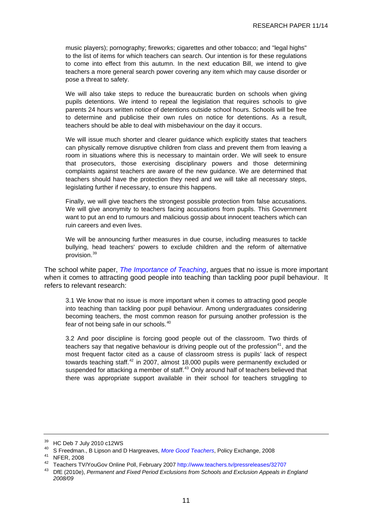<span id="page-14-0"></span>music players); pornography; fireworks; cigarettes and other tobacco; and "legal highs" to the list of items for which teachers can search. Our intention is for these regulations to come into effect from this autumn. In the next education Bill, we intend to give teachers a more general search power covering any item which may cause disorder or pose a threat to safety.

We will also take steps to reduce the bureaucratic burden on schools when giving pupils detentions. We intend to repeal the legislation that requires schools to give parents 24 hours written notice of detentions outside school hours. Schools will be free to determine and publicise their own rules on notice for detentions. As a result, teachers should be able to deal with misbehaviour on the day it occurs.

We will issue much shorter and clearer guidance which explicitly states that teachers can physically remove disruptive children from class and prevent them from leaving a room in situations where this is necessary to maintain order. We will seek to ensure that prosecutors, those exercising disciplinary powers and those determining complaints against teachers are aware of the new guidance. We are determined that teachers should have the protection they need and we will take all necessary steps, legislating further if necessary, to ensure this happens.

Finally, we will give teachers the strongest possible protection from false accusations. We will give anonymity to teachers facing accusations from pupils. This Government want to put an end to rumours and malicious gossip about innocent teachers which can ruin careers and even lives.

We will be announcing further measures in due course, including measures to tackle bullying, head teachers' powers to exclude children and the reform of alternative provision.<sup>[39](#page-14-0)</sup>

The school white paper, *[The Importance of Teaching](http://publications.education.gov.uk/eOrderingDownload/CM-7980.pdf)*, argues that no issue is more important when it comes to attracting good people into teaching than tackling poor pupil behaviour. It refers to relevant research:

3.1 We know that no issue is more important when it comes to attracting good people into teaching than tackling poor pupil behaviour. Among undergraduates considering becoming teachers, the most common reason for pursuing another profession is the fear of not being safe in our schools.<sup>[40](#page-14-0)</sup>

3.2 And poor discipline is forcing good people out of the classroom. Two thirds of teachers say that negative behaviour is driving people out of the profession<sup>[41](#page-14-0)</sup>, and the most frequent factor cited as a cause of classroom stress is pupils' lack of respect towards teaching staff. $42$  in 2007, almost 18,000 pupils were permanently excluded or suspended for attacking a member of staff.<sup>[43](#page-14-0)</sup> Only around half of teachers believed that there was appropriate support available in their school for teachers struggling to

<sup>39</sup> HC Deb 7 July 2010 c12WS

<sup>40</sup> S Freedman., B Lipson and D Hargreaves, *More Good Teachers*[,](http://www.policyexchange.org.uk/images/publications/pdfs/More_Good_Teachers.pdf) Policy Exchange, 2008 41 NFER, 2008

<sup>42</sup> Teachers TV/YouGov Online Poll, February 2007 <http://www.teachers.tv/pressreleases/32707>

<sup>43</sup> DfE (2010e), *Permanent and Fixed Period Exclusions from Schools and Exclusion Appeals in England 2008/09*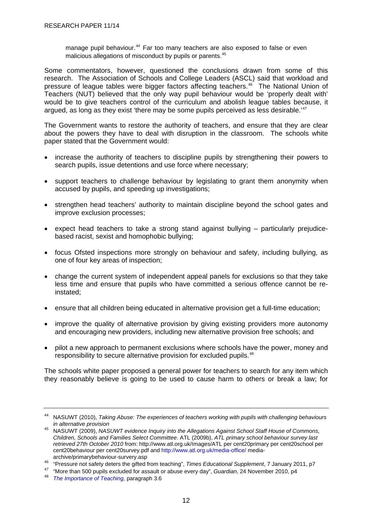<span id="page-15-0"></span>manage pupil behaviour.<sup>[44](#page-15-0)</sup> Far too many teachers are also exposed to false or even malicious allegations of misconduct by pupils or parents.<sup>[45](#page-15-0)</sup>

Some commentators, however, questioned the conclusions drawn from some of this research. The Association of Schools and College Leaders (ASCL) said that workload and pressure of league tables were bigger factors affecting teachers.<sup>[46](#page-15-0)</sup> The National Union of Teachers (NUT) believed that the only way pupil behaviour would be 'properly dealt with' would be to give teachers control of the curriculum and abolish league tables because, it argued, as long as they exist 'there may be some pupils perceived as less desirable.<sup>[47](#page-15-0)</sup>

The Government wants to restore the authority of teachers, and ensure that they are clear about the powers they have to deal with disruption in the classroom. The schools white paper stated that the Government would:

- increase the authority of teachers to discipline pupils by strengthening their powers to search pupils, issue detentions and use force where necessary;
- support teachers to challenge behaviour by legislating to grant them anonymity when accused by pupils, and speeding up investigations;
- strengthen head teachers' authority to maintain discipline beyond the school gates and improve exclusion processes;
- expect head teachers to take a strong stand against bullying particularly prejudicebased racist, sexist and homophobic bullying;
- focus Ofsted inspections more strongly on behaviour and safety, including bullying, as one of four key areas of inspection;
- change the current system of independent appeal panels for exclusions so that they take less time and ensure that pupils who have committed a serious offence cannot be reinstated;
- ensure that all children being educated in alternative provision get a full-time education;
- improve the quality of alternative provision by giving existing providers more autonomy and encouraging new providers, including new alternative provision free schools; and
- pilot a new approach to permanent exclusions where schools have the power, money and responsibility to secure alternative provision for excluded pupils.<sup>[48](#page-15-0)</sup>

The schools white paper proposed a general power for teachers to search for any item which they reasonably believe is going to be used to cause harm to others or break a law; for

<sup>44</sup> NASUWT (2010), *Taking Abuse: The experiences of teachers working with pupils with challenging behaviours in alternative provision*

<sup>45</sup> NASUWT (2009), *NASUWT evidence Inquiry into the Allegations Against School Staff House of Commons, Children, Schools and Families Select Committee*. ATL (2009b), *ATL primary school behaviour survey last retrieved 27th October 2010* from: http://www.atl.org.uk/Images/ATL per cent20primary per cent20school per cent20behaviour per cent20survey.pdf and<http://www.atl.org.uk/media-office/>media-

<sup>&</sup>lt;sup>46</sup> "Pressure not safety deters the gifted from teaching", *Times Educational Supplement*, 7 January 2011, p7<br><sup>47</sup> "More than 500 pupils excluded for assault or abuse every day", *Guardian*, 24 November 2010, p4<br><sup>48</sup> The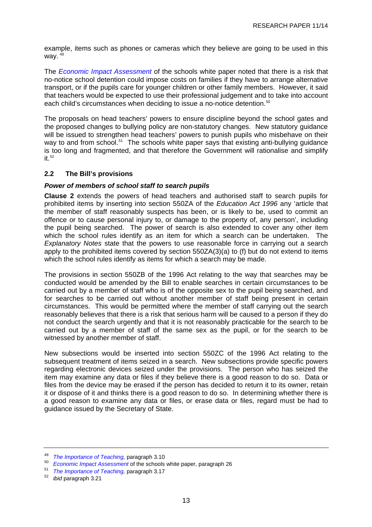<span id="page-16-0"></span>example, items such as phones or cameras which they believe are going to be used in this way.  $49$ 

The *[Economic Impact Assessment](http://media.education.gov.uk/assets/files/pdf/s/schools%20white%20paper%202010%20%20%20an%20economic%20impact%20assessment.pdf)* of the schools white paper noted that there is a risk that no-notice school detention could impose costs on families if they have to arrange alternative transport, or if the pupils care for younger children or other family members. However, it said that teachers would be expected to use their professional judgement and to take into account each child's circumstances when deciding to issue a no-notice detention.<sup>[50](#page-16-0)</sup>

The proposals on head teachers' powers to ensure discipline beyond the school gates and the proposed changes to bullying policy are non-statutory changes. New statutory guidance will be issued to strengthen head teachers' powers to punish pupils who misbehave on their way to and from school.<sup>[51](#page-16-0)</sup> The schools white paper says that existing anti-bullying guidance is too long and fragmented, and that therefore the Government will rationalise and simplify  $it.<sup>52</sup>$  $it.<sup>52</sup>$  $it.<sup>52</sup>$ 

#### **2.2 The Bill's provisions**

#### *Power of members of school staff to search pupils*

**Clause 2** extends the powers of head teachers and authorised staff to search pupils for prohibited items by inserting into section 550ZA of the *Education Act 1996* any 'article that the member of staff reasonably suspects has been, or is likely to be, used to commit an offence or to cause personal injury to, or damage to the property of, any person', including the pupil being searched. The power of search is also extended to cover any other item which the school rules identify as an item for which a search can be undertaken. The *Explanatory Notes* state that the powers to use reasonable force in carrying out a search apply to the prohibited items covered by section 550ZA(3)(a) to (f) but do not extend to items which the school rules identify as items for which a search may be made.

The provisions in section 550ZB of the 1996 Act relating to the way that searches may be conducted would be amended by the Bill to enable searches in certain circumstances to be carried out by a member of staff who is of the opposite sex to the pupil being searched, and for searches to be carried out without another member of staff being present in certain circumstances. This would be permitted where the member of staff carrying out the search reasonably believes that there is a risk that serious harm will be caused to a person if they do not conduct the search urgently and that it is not reasonably practicable for the search to be carried out by a member of staff of the same sex as the pupil, or for the search to be witnessed by another member of staff.

New subsections would be inserted into section 550ZC of the 1996 Act relating to the subsequent treatment of items seized in a search. New subsections provide specific powers regarding electronic devices seized under the provisions. The person who has seized the item may examine any data or files if they believe there is a good reason to do so. Data or files from the device may be erased if the person has decided to return it to its owner, retain it or dispose of it and thinks there is a good reason to do so. In determining whether there is a good reason to examine any data or files, or erase data or files, regard must be had to guidance issued by the Secretary of State.

<sup>49</sup>*The Importance of Teaching,* paragraph 3.10 50 *Economic Impact Assessment*of the schools white paper, paragraph 26 51 *The Importance of Teaching,* paragraph 3.17 52 *ibid* paragraph 3.21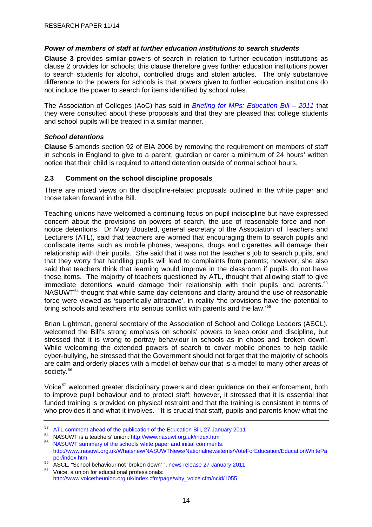#### <span id="page-17-0"></span>*Power of members of staff at further education institutions to search students*

**Clause 3** provides similar powers of search in relation to further education institutions as clause 2 provides for schools; this clause therefore gives further education institutions power to search students for alcohol, controlled drugs and stolen articles. The only substantive difference to the powers for schools is that powers given to further education institutions do not include the power to search for items identified by school rules.

The Association of Colleges (AoC) has said in *[Briefing for MPs: Education Bill – 2011](http://www.aoc.co.uk/download.cfm?docid=925A3AF3-6B55-4209-BC2876A4F6E88452)* that they were consulted about these proposals and that they are pleased that college students and school pupils will be treated in a similar manner.

#### *School detentions*

**Clause 5** amends section 92 of EIA 2006 by removing the requirement on members of staff in schools in England to give to a parent, guardian or carer a minimum of 24 hours' written notice that their child is required to attend detention outside of normal school hours.

#### **2.3 Comment on the school discipline proposals**

There are mixed views on the discipline-related proposals outlined in the white paper and those taken forward in the Bill.

Teaching unions have welcomed a continuing focus on pupil indiscipline but have expressed concern about the provisions on powers of search, the use of reasonable force and nonnotice detentions. Dr Mary Bousted, general secretary of the Association of Teachers and Lecturers (ATL), said that teachers are worried that encouraging them to search pupils and confiscate items such as mobile phones, weapons, drugs and cigarettes will damage their relationship with their pupils. She said that it was not the teacher's job to search pupils, and that they worry that handling pupils will lead to complaints from parents; however, she also said that teachers think that learning would improve in the classroom if pupils do not have these items. The majority of teachers questioned by ATL, thought that allowing staff to give immediate detentions would damage their relationship with their pupils and parents.<sup>[53](#page-17-0)</sup> NASUWT<sup>[54](#page-17-0)</sup> thought that while same-day detentions and clarity around the use of reasonable force were viewed as 'superficially attractive', in reality 'the provisions have the potential to bring schools and teachers into serious conflict with parents and the law.'[55](#page-17-0)

Brian Lightman, general secretary of the Association of School and College Leaders (ASCL), welcomed the Bill's strong emphasis on schools' powers to keep order and discipline, but stressed that it is wrong to portray behaviour in schools as in chaos and 'broken down'. While welcoming the extended powers of search to cover mobile phones to help tackle cyber-bullying, he stressed that the Government should not forget that the majority of schools are calm and orderly places with a model of behaviour that is a model to many other areas of society.<sup>[56](#page-17-0)</sup>

Voice<sup>[57](#page-17-0)</sup> welcomed greater disciplinary powers and clear guidance on their enforcement, both to improve pupil behaviour and to protect staff; however, it stressed that it is essential that funded training is provided on physical restraint and that the training is consistent in terms of who provides it and what it involves. "It is crucial that staff, pupils and parents know what the

<sup>&</sup>lt;sup>53</sup> [ATL comment ahead of the publication of the Education Bill, 27 January 2011](http://www.atl.org.uk/media-office/media-archive/ATL-comment-ahead-of-publication-of-the-Education-Bill.asp)

NASUWT is a teachers' union:<http://www.nasuwt.org.uk/index.htm>

<sup>55</sup> [NASUWT summary of the schools white paper and initial comments](http://www.nasuwt.org.uk/Whatsnew/NASUWTNews/Nationalnewsitems/VoteForEducation/EducationWhitePaper/index.htm): [http://www.nasuwt.org.uk/Whatsnew/NASUWTNews/Nationalnewsitems/VoteForEducation/EducationWhitePa](http://www.nasuwt.org.uk/Whatsnew/NASUWTNews/Nationalnewsitems/VoteForEducation/EducationWhitePaper/index.htm) [per/index.htm](http://www.nasuwt.org.uk/Whatsnew/NASUWTNews/Nationalnewsitems/VoteForEducation/EducationWhitePaper/index.htm)

<sup>56</sup> ASCL, "School behaviour not 'broken down' ", [news release 27 January 2011](http://www.ascl.org.uk/home/news_results/?l=l&ListItemID=738&ListGroupID=2)

Voice, a union for educational professionals: [http://www.voicetheunion.org.uk/index.cfm/page/why\\_voice.cfm/ncid/1055](http://www.voicetheunion.org.uk/index.cfm/page/why_voice.cfm/ncid/1055)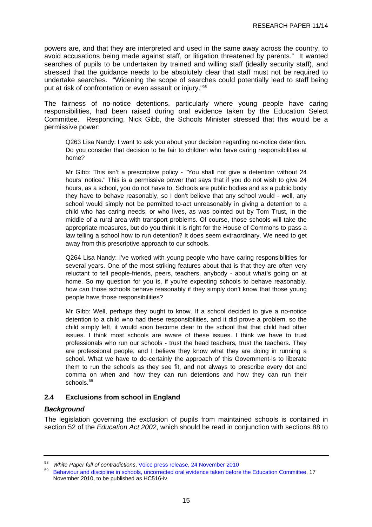<span id="page-18-0"></span>powers are, and that they are interpreted and used in the same away across the country, to avoid accusations being made against staff, or litigation threatened by parents." It wanted searches of pupils to be undertaken by trained and willing staff (ideally security staff), and stressed that the guidance needs to be absolutely clear that staff must not be required to undertake searches. "Widening the scope of searches could potentially lead to staff being put at risk of confrontation or even assault or injury."[58](#page-18-0)

The fairness of no-notice detentions, particularly where young people have caring responsibilities, had been raised during oral evidence taken by the Education Select Committee. Responding, Nick Gibb, the Schools Minister stressed that this would be a permissive power:

Q263 Lisa Nandy: I want to ask you about your decision regarding no-notice detention. Do you consider that decision to be fair to children who have caring responsibilities at home?

Mr Gibb: This isn't a prescriptive policy - "You shall not give a detention without 24 hours' notice." This is a permissive power that says that if you do not wish to give 24 hours, as a school, you do not have to. Schools are public bodies and as a public body they have to behave reasonably, so I don't believe that any school would - well, any school would simply not be permitted to-act unreasonably in giving a detention to a child who has caring needs, or who lives, as was pointed out by Tom Trust, in the middle of a rural area with transport problems. Of course, those schools will take the appropriate measures, but do you think it is right for the House of Commons to pass a law telling a school how to run detention? It does seem extraordinary. We need to get away from this prescriptive approach to our schools.

Q264 Lisa Nandy: I've worked with young people who have caring responsibilities for several years. One of the most striking features about that is that they are often very reluctant to tell people-friends, peers, teachers, anybody - about what's going on at home. So my question for you is, if you're expecting schools to behave reasonably, how can those schools behave reasonably if they simply don't know that those young people have those responsibilities?

Mr Gibb: Well, perhaps they ought to know. If a school decided to give a no-notice detention to a child who had these responsibilities, and it did prove a problem, so the child simply left, it would soon become clear to the school that that child had other issues. I think most schools are aware of these issues. I think we have to trust professionals who run our schools - trust the head teachers, trust the teachers. They are professional people, and I believe they know what they are doing in running a school. What we have to do-certainly the approach of this Government-is to liberate them to run the schools as they see fit, and not always to prescribe every dot and comma on when and how they can run detentions and how they can run their schools.<sup>[59](#page-18-0)</sup>

#### **2.4 Exclusions from school in England**

#### *Background*

The legislation governing the exclusion of pupils from maintained schools is contained in section 52 of the *Education Act 2002*, which should be read in conjunction with sections 88 to

<sup>58</sup> *White Paper full of contradictions*, [Voice press release, 24 November 2010](http://www.voicetheunion.org.uk/index.cfm/page/_sections.contentdetail.cfm/navid/126/parentid/325/id/1933/_sa/17)

<sup>59</sup> [Behaviour and discipline in schools, uncorrected oral evidence taken before the Education Committee,](http://www.publications.parliament.uk/pa/cm201011/cmselect/cmeduc/uc516-iv/uc51601.htm) 17 November 2010, to be published as HC516-iv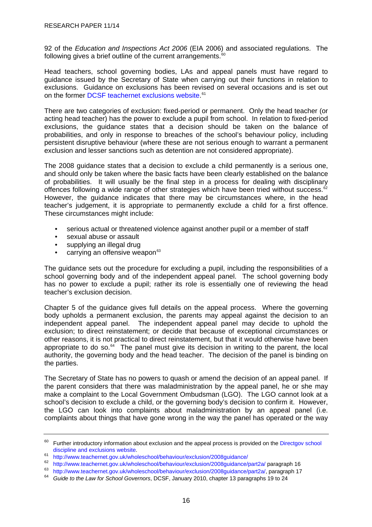<span id="page-19-0"></span>92 of the *Education and Inspections Act 2006* (EIA 2006) and associated regulations. The following gives a brief outline of the current arrangements. $60$ 

Head teachers, school governing bodies, LAs and appeal panels must have regard to guidance issued by the Secretary of State when carrying out their functions in relation to exclusions. Guidance on exclusions has been revised on several occasions and is set out on the former [DCSF teachernet exclusions website](http://www.teachernet.gov.uk/wholeschool/behaviour/exclusion/).<sup>[61](#page-19-0)</sup>

There are two categories of exclusion: fixed-period or permanent. Only the head teacher (or acting head teacher) has the power to exclude a pupil from school. In relation to fixed-period exclusions, the guidance states that a decision should be taken on the balance of probabilities, and only in response to breaches of the school's behaviour policy, including persistent disruptive behaviour (where these are not serious enough to warrant a permanent exclusion and lesser sanctions such as detention are not considered appropriate).

The 2008 guidance states that a decision to exclude a child permanently is a serious one, and should only be taken where the basic facts have been clearly established on the balance of probabilities. It will usually be the final step in a process for dealing with disciplinary offences following a wide range of other strategies which have been tried without success.<sup>[62](#page-19-0)</sup> However, the guidance indicates that there may be circumstances where, in the head teacher's judgement, it is appropriate to permanently exclude a child for a first offence. These circumstances might include:

- serious actual or threatened violence against another pupil or a member of staff
- sexual abuse or assault
- supplying an illegal drug
- $\bullet$  carrying an offensive weapon $63$

The guidance sets out the procedure for excluding a pupil, including the responsibilities of a school governing body and of the independent appeal panel. The school governing body has no power to exclude a pupil; rather its role is essentially one of reviewing the head teacher's exclusion decision.

Chapter 5 of the guidance gives full details on the appeal process. Where the governing body upholds a permanent exclusion, the parents may appeal against the decision to an independent appeal panel. The independent appeal panel may decide to uphold the exclusion; to direct reinstatement; or decide that because of exceptional circumstances or other reasons, it is not practical to direct reinstatement, but that it would otherwise have been appropriate to do so. $64$  The panel must give its decision in writing to the parent, the local authority, the governing body and the head teacher. The decision of the panel is binding on the parties.

The Secretary of State has no powers to quash or amend the decision of an appeal panel. If the parent considers that there was maladministration by the appeal panel, he or she may make a complaint to the Local Government Ombudsman (LGO). The LGO cannot look at a school's decision to exclude a child, or the governing body's decision to confirm it. However, the LGO can look into complaints about maladministration by an appeal panel (i.e. complaints about things that have gone wrong in the way the panel has operated or the way

 $60$  Further introductory information about exclusion and the appeal process is provided on the [Directgov school](http://www.direct.gov.uk/en/Parents/Schoolslearninganddevelopment/YourChildsWelfareAtSchool/DG_4016112) discipline and exclusions website.

<sup>61</sup> <http://www.teachernet.gov.uk/wholeschool/behaviour/exclusion/2008guidance/><br>62 http://www.teachernet.gov.uk/wholeschool/behaviour/exclusion/2008guidance/part2a/ paragraph 16

<sup>&</sup>lt;sup>63</sup> [http://www.teachernet.gov.uk/wholeschool/behaviour/exclusion/2008guidance/part2a/,](http://www.teachernet.gov.uk/wholeschool/behaviour/exclusion/2008guidance/part2a/) paragraph 17<br><sup>64</sup> Guide to the Law for School Governors, DCSF, January 2010, chapter 13 paragraphs 19 to 24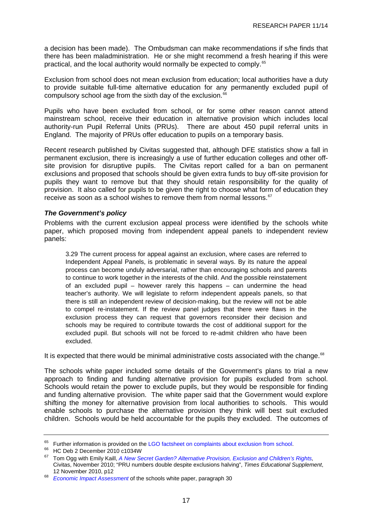<span id="page-20-0"></span>a decision has been made). The Ombudsman can make recommendations if s/he finds that there has been maladministration. He or she might recommend a fresh hearing if this were practical, and the local authority would normally be expected to comply.[65](#page-20-0)

Exclusion from school does not mean exclusion from education; local authorities have a duty to provide suitable full-time alternative education for any permanently excluded pupil of compulsory school age from the sixth day of the exclusion.<sup>[66](#page-20-0)</sup>

Pupils who have been excluded from school, or for some other reason cannot attend mainstream school, receive their education in alternative provision which includes local authority-run Pupil Referral Units (PRUs). There are about 450 pupil referral units in England. The majority of PRUs offer education to pupils on a temporary basis.

Recent research published by Civitas suggested that, although DFE statistics show a fall in permanent exclusion, there is increasingly a use of further education colleges and other offsite provision for disruptive pupils. The Civitas report called for a ban on permanent exclusions and proposed that schools should be given extra funds to buy off-site provision for pupils they want to remove but that they should retain responsibility for the quality of provision. It also called for pupils to be given the right to choose what form of education they receive as soon as a school wishes to remove them from normal lessons.<sup>[67](#page-20-0)</sup>

#### *The Government's policy*

Problems with the current exclusion appeal process were identified by the schools white paper, which proposed moving from independent appeal panels to independent review panels:

3.29 The current process for appeal against an exclusion, where cases are referred to Independent Appeal Panels, is problematic in several ways. By its nature the appeal process can become unduly adversarial, rather than encouraging schools and parents to continue to work together in the interests of the child. And the possible reinstatement of an excluded pupil – however rarely this happens – can undermine the head teacher's authority. We will legislate to reform independent appeals panels, so that there is still an independent review of decision-making, but the review will not be able to compel re-instatement. If the review panel judges that there were flaws in the exclusion process they can request that governors reconsider their decision and schools may be required to contribute towards the cost of additional support for the excluded pupil. But schools will not be forced to re-admit children who have been excluded.

It is expected that there would be minimal administrative costs associated with the change. $68$ 

The schools white paper included some details of the Government's plans to trial a new approach to finding and funding alternative provision for pupils excluded from school. Schools would retain the power to exclude pupils, but they would be responsible for finding and funding alternative provision. The white paper said that the Government would explore shifting the money for alternative provision from local authorities to schools. This would enable schools to purchase the alternative provision they think will best suit excluded children. Schools would be held accountable for the pupils they excluded. The outcomes of

<sup>&</sup>lt;sup>65</sup> Further information is provided on the [LGO factsheet on complaints about exclusion from school](http://www.lgo.org.uk/publications/fact-sheets/complaints-about-school-exclusion/).<br><sup>66</sup> HC Deb 2 December 2010 c1034W<br><sup>67</sup> Tem Osa with Emily Keill, A Now Searct Carden? Alternative Provision, Evalueian

<sup>67</sup> Tom Ogg with Emily Kaill, *[A New Secret Garden? Alternative Provision, Exclusion and Children's Rights,](http://www.civitas.org.uk/pdf/NewSecretGarden.pdf)* 

Civitas, November 2010; "PRU numbers double despite exclusions halving", *Times Educational Supplement*, 12 November 2010, p12 68 *[Economic Impact Assessment](http://media.education.gov.uk/assets/files/pdf/s/schools%20white%20paper%202010%20%20%20an%20economic%20impact%20assessment.pdf)* of the schools white paper, paragraph 30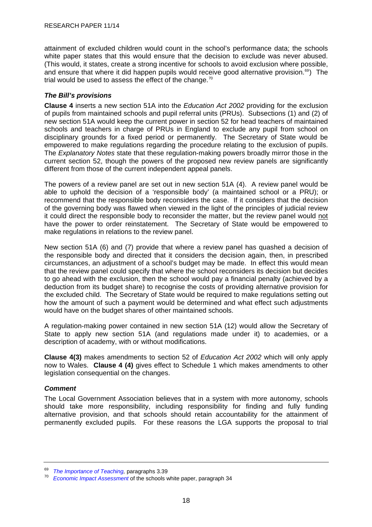<span id="page-21-0"></span>attainment of excluded children would count in the school's performance data; the schools white paper states that this would ensure that the decision to exclude was never abused. (This would, it states, create a strong incentive for schools to avoid exclusion where possible, and ensure that where it did happen pupils would receive good alternative provision. $69$ ) The trial would be used to assess the effect of the change.<sup>[70](#page-21-0)</sup>

#### *The Bill's provisions*

**Clause 4** inserts a new section 51A into the *Education Act 2002* providing for the exclusion of pupils from maintained schools and pupil referral units (PRUs). Subsections (1) and (2) of new section 51A would keep the current power in section 52 for head teachers of maintained schools and teachers in charge of PRUs in England to exclude any pupil from school on disciplinary grounds for a fixed period or permanently. The Secretary of State would be empowered to make regulations regarding the procedure relating to the exclusion of pupils. The *Explanatory Notes* state that these regulation-making powers broadly mirror those in the current section 52, though the powers of the proposed new review panels are significantly different from those of the current independent appeal panels.

The powers of a review panel are set out in new section 51A (4). A review panel would be able to uphold the decision of a 'responsible body' (a maintained school or a PRU); or recommend that the responsible body reconsiders the case. If it considers that the decision of the governing body was flawed when viewed in the light of the principles of judicial review it could direct the responsible body to reconsider the matter, but the review panel would not have the power to order reinstatement. The Secretary of State would be empowered to make regulations in relations to the review panel.

New section 51A (6) and (7) provide that where a review panel has quashed a decision of the responsible body and directed that it considers the decision again, then, in prescribed circumstances, an adjustment of a school's budget may be made. In effect this would mean that the review panel could specify that where the school reconsiders its decision but decides to go ahead with the exclusion, then the school would pay a financial penalty (achieved by a deduction from its budget share) to recognise the costs of providing alternative provision for the excluded child. The Secretary of State would be required to make regulations setting out how the amount of such a payment would be determined and what effect such adjustments would have on the budget shares of other maintained schools.

A regulation-making power contained in new section 51A (12) would allow the Secretary of State to apply new section 51A (and regulations made under it) to academies, or a description of academy, with or without modifications.

**Clause 4(3)** makes amendments to section 52 of *Education Act 2002* which will only apply now to Wales. **Clause 4 (4)** gives effect to Schedule 1 which makes amendments to other legislation consequential on the changes.

#### *Comment*

The Local Government Association believes that in a system with more autonomy, schools should take more responsibility, including responsibility for finding and fully funding alternative provision, and that schools should retain accountability for the attainment of permanently excluded pupils. For these reasons the LGA supports the proposal to trial

<sup>&</sup>lt;sup>69</sup> The Importance of Teaching, paragraphs 3.39<br><sup>70</sup> *Economic Impact Assessment* of the schools white paper, paragraph 34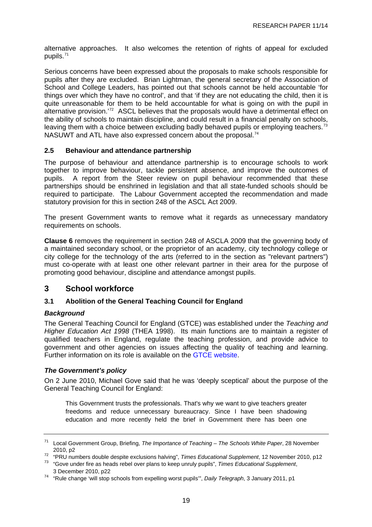<span id="page-22-0"></span>alternative approaches. It also welcomes the retention of rights of appeal for excluded pupils.<sup>[71](#page-22-0)</sup>

Serious concerns have been expressed about the proposals to make schools responsible for pupils after they are excluded. Brian Lightman, the general secretary of the Association of School and College Leaders, has pointed out that schools cannot be held accountable 'for things over which they have no control', and that 'if they are not educating the child, then it is quite unreasonable for them to be held accountable for what is going on with the pupil in alternative provision.<sup>[72](#page-22-0)</sup> ASCL believes that the proposals would have a detrimental effect on the ability of schools to maintain discipline, and could result in a financial penalty on schools, leaving them with a choice between excluding badly behaved pupils or employing teachers.<sup>[73](#page-22-0)</sup> NASUWT and ATL have also expressed concern about the proposal.<sup>[74](#page-22-0)</sup>

#### **2.5 Behaviour and attendance partnership**

The purpose of behaviour and attendance partnership is to encourage schools to work together to improve behaviour, tackle persistent absence, and improve the outcomes of pupils. A report from the Steer review on pupil behaviour recommended that these partnerships should be enshrined in legislation and that all state-funded schools should be required to participate. The Labour Government accepted the recommendation and made statutory provision for this in section 248 of the ASCL Act 2009.

The present Government wants to remove what it regards as unnecessary mandatory requirements on schools.

**Clause 6** removes the requirement in section 248 of ASCLA 2009 that the governing body of a maintained secondary school, or the proprietor of an academy, city technology college or city college for the technology of the arts (referred to in the section as "relevant partners") must co-operate with at least one other relevant partner in their area for the purpose of promoting good behaviour, discipline and attendance amongst pupils.

#### **3 School workforce**

#### **3.1 Abolition of the General Teaching Council for England**

#### *Background*

The General Teaching Council for England (GTCE) was established under the *Teaching and Higher Education Act 1998* (THEA 1998). Its main functions are to maintain a register of qualified teachers in England, regulate the teaching profession, and provide advice to government and other agencies on issues affecting the quality of teaching and learning. Further information on its role is available on the [GTCE website.](http://www.gtce.org.uk/)

#### *The Government's policy*

On 2 June 2010, Michael Gove said that he was 'deeply sceptical' about the purpose of the General Teaching Council for England:

This Government trusts the professionals. That's why we want to give teachers greater freedoms and reduce unnecessary bureaucracy. Since I have been shadowing education and more recently held the brief in Government there has been one

<sup>71</sup> Local Government Group, Briefing, *The Importance of Teaching – The Schools White Paper*, 28 November

<sup>2010,</sup> p2<br><sup>72</sup> "PRU numbers double despite exclusions halving", *Times Educational Supplement*, 12 November 2010, p12<br><sup>73</sup> "Gove under fire as heads rebel over plans to keep unruly pupils", *Times Educational Supplement*,

 <sup>3</sup> December 2010, p22

<sup>74 &</sup>quot;Rule change 'will stop schools from expelling worst pupils'", *Daily Telegraph*, 3 January 2011, p1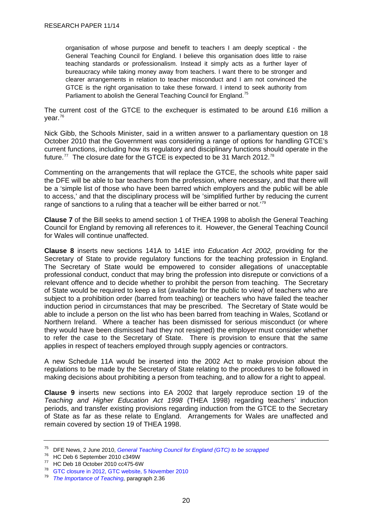<span id="page-23-0"></span>organisation of whose purpose and benefit to teachers I am deeply sceptical - the General Teaching Council for England. I believe this organisation does little to raise teaching standards or professionalism. Instead it simply acts as a further layer of bureaucracy while taking money away from teachers. I want there to be stronger and clearer arrangements in relation to teacher misconduct and I am not convinced the GTCE is the right organisation to take these forward. I intend to seek authority from Parliament to abolish the General Teaching Council for England.<sup>[75](#page-23-0)</sup>

The current cost of the GTCE to the exchequer is estimated to be around £16 million a year.[76](#page-23-0)

Nick Gibb, the Schools Minister, said in a written answer to a parliamentary question on 18 October 2010 that the Government was considering a range of options for handling GTCE's current functions, including how its regulatory and disciplinary functions should operate in the future.<sup>[77](#page-23-0)</sup> The closure date for the GTCE is expected to be 31 March 2012.<sup>[78](#page-23-0)</sup>

Commenting on the arrangements that will replace the GTCE, the schools white paper said the DFE will be able to bar teachers from the profession, where necessary, and that there will be a 'simple list of those who have been barred which employers and the public will be able to access,' and that the disciplinary process will be 'simplified further by reducing the current range of sanctions to a ruling that a teacher will be either barred or not.<sup>[79](#page-23-0)</sup>

**Clause 7** of the Bill seeks to amend section 1 of THEA 1998 to abolish the General Teaching Council for England by removing all references to it. However, the General Teaching Council for Wales will continue unaffected.

**Clause 8** inserts new sections 141A to 141E into *Education Act 2002,* providing for the Secretary of State to provide regulatory functions for the teaching profession in England. The Secretary of State would be empowered to consider allegations of unacceptable professional conduct, conduct that may bring the profession into disrepute or convictions of a relevant offence and to decide whether to prohibit the person from teaching. The Secretary of State would be required to keep a list (available for the public to view) of teachers who are subject to a prohibition order (barred from teaching) or teachers who have failed the teacher induction period in circumstances that may be prescribed. The Secretary of State would be able to include a person on the list who has been barred from teaching in Wales, Scotland or Northern Ireland. Where a teacher has been dismissed for serious misconduct (or where they would have been dismissed had they not resigned) the employer must consider whether to refer the case to the Secretary of State. There is provision to ensure that the same applies in respect of teachers employed through supply agencies or contractors.

A new Schedule 11A would be inserted into the 2002 Act to make provision about the regulations to be made by the Secretary of State relating to the procedures to be followed in making decisions about prohibiting a person from teaching, and to allow for a right to appeal.

**Clause 9** inserts new sections into EA 2002 that largely reproduce section 19 of the *Teaching and Higher Education Act 1998* (THEA 1998) regarding teachers' induction periods, and transfer existing provisions regarding induction from the GTCE to the Secretary of State as far as these relate to England. Arrangements for Wales are unaffected and remain covered by section 19 of THEA 1998.

<sup>75</sup> DFE News, 2 June 2010, *[General Teaching Council for England \(GTC\) to be scrapped](http://www.education.gov.uk/news/news/gtcscrapped)*

<sup>76</sup> HC Deb 6 September 2010 c349W

 $^{77}$  HC Deb 18 October 2010 cc475-6W

[GTC closure in 2012, GTC website, 5 November 2010](http://www.gtce.org.uk/media_parliament/news_comment/gtc_closure2012/)

<sup>79</sup> *[The Importance of Teaching,](http://publications.education.gov.uk/eOrderingDownload/CM-7980.pdf)* paragraph 2.36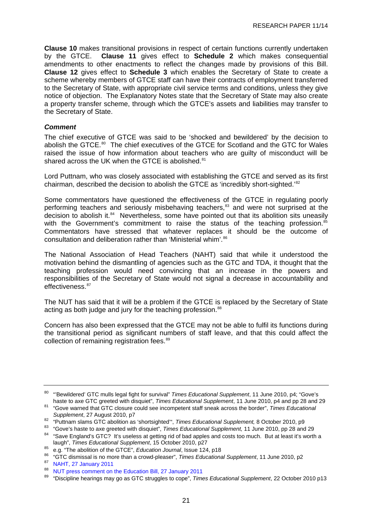<span id="page-24-0"></span>**Clause 10** makes transitional provisions in respect of certain functions currently undertaken by the GTCE. **Clause 11** gives effect to **Schedule 2** which makes consequential amendments to other enactments to reflect the changes made by provisions of this Bill. **Clause 12** gives effect to **Schedule 3** which enables the Secretary of State to create a scheme whereby members of GTCE staff can have their contracts of employment transferred to the Secretary of State, with appropriate civil service terms and conditions, unless they give notice of objection. The Explanatory Notes state that the Secretary of State may also create a property transfer scheme, through which the GTCE's assets and liabilities may transfer to the Secretary of State.

#### *Comment*

The chief executive of GTCE was said to be 'shocked and bewildered' by the decision to abolish the GTCE.<sup>[80](#page-24-0)</sup> The chief executives of the GTCE for Scotland and the GTC for Wales raised the issue of how information about teachers who are guilty of misconduct will be shared across the UK when the GTCE is abolished.<sup>[81](#page-24-0)</sup>

Lord Puttnam, who was closely associated with establishing the GTCE and served as its first chairman, described the decision to abolish the GTCE as 'incredibly short-sighted.'<sup>[82](#page-24-0)</sup>

Some commentators have questioned the effectiveness of the GTCE in regulating poorly performing teachers and seriously misbehaving teachers,<sup>[83](#page-24-0)</sup> and were not surprised at the decision to abolish it.<sup>84</sup> Nevertheless, some have pointed out that its abolition sits uneasily with the Government's commitment to raise the status of the teaching profession.<sup>[85](#page-24-0)</sup> Commentators have stressed that whatever replaces it should be the outcome of consultation and deliberation rather than 'Ministerial whim'.<sup>[86](#page-24-0)</sup>

The National Association of Head Teachers (NAHT) said that while it understood the motivation behind the dismantling of agencies such as the GTC and TDA, it thought that the teaching profession would need convincing that an increase in the powers and responsibilities of the Secretary of State would not signal a decrease in accountability and effectiveness.<sup>[87](#page-24-0)</sup>

The NUT has said that it will be a problem if the GTCE is replaced by the Secretary of State acting as both judge and jury for the teaching profession.<sup>[88](#page-24-0)</sup>

Concern has also been expressed that the GTCE may not be able to fulfil its functions during the transitional period as significant numbers of staff leave, and that this could affect the collection of remaining registration fees.<sup>[89](#page-24-0)</sup>

<sup>80 &</sup>quot;'Bewildered' GTC mulls legal fight for survival" *Times Educational Supplement*, 11 June 2010, p4; "Gove's

<sup>&</sup>lt;sup>81</sup> "Gove warned that GTC closure could see incompetent staff sneak across the border", *Times Educational Supplement*, 27 August 2010, p7

<sup>&</sup>lt;sup>82</sup> "Puttnam slams GTC abolition as 'shortsighted'", *Times Educational Supplement*, 8 October 2010, p9<br><sup>83</sup> "Gove's haste to axe greeted with disquiet", *Times Educational Supplement*, 11 June 2010, pp 28 and 29<br><sup>84</sup> "Sa

laugh", *Times Educational Supplement*, 15 October 2010, p27<br>
<sup>85</sup> e.g. "The abolition of the GTCE", *Education Journal*, Issue 124, p18<br>
<sup>86</sup> "GTC dismissal is no more than a crowd-pleaser", *Times Educational Supplement* 

<sup>88</sup> [NUT press comment on the Education Bill, 27 January 2011](http://www.teachers.org.uk/node/12378)

<sup>89 &</sup>quot;Discipline hearings may go as GTC struggles to cope", *Times Educational Supplement*, 22 October 2010 p13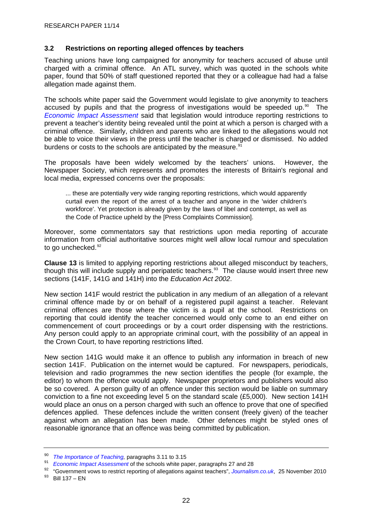#### <span id="page-25-0"></span>**3.2 Restrictions on reporting alleged offences by teachers**

Teaching unions have long campaigned for anonymity for teachers accused of abuse until charged with a criminal offence. An ATL survey, which was quoted in the schools white paper, found that 50% of staff questioned reported that they or a colleague had had a false allegation made against them.

The schools white paper said the Government would legislate to give anonymity to teachers accused by pupils and that the progress of investigations would be speeded up.<sup>[90](#page-25-0)</sup> The *[Economic Impact Assessment](http://media.education.gov.uk/assets/files/pdf/s/schools%20white%20paper%202010%20%20%20an%20economic%20impact%20assessment.pdf)* said that legislation would introduce reporting restrictions to prevent a teacher's identity being revealed until the point at which a person is charged with a criminal offence. Similarly, children and parents who are linked to the allegations would not be able to voice their views in the press until the teacher is charged or dismissed. No added burdens or costs to the schools are anticipated by the measure.<sup>[91](#page-25-0)</sup>

The proposals have been widely welcomed by the teachers' unions. However, the Newspaper Society, which represents and promotes the interests of Britain's regional and local media, expressed concerns over the proposals:

... these are potentially very wide ranging reporting restrictions, which would apparently curtail even the report of the arrest of a teacher and anyone in the 'wider children's workforce'. Yet protection is already given by the laws of libel and contempt, as well as the Code of Practice upheld by the [Press Complaints Commission].

Moreover, some commentators say that restrictions upon media reporting of accurate information from official authoritative sources might well allow local rumour and speculation to go unchecked.<sup>[92](#page-25-0)</sup>

**Clause 13** is limited to applying reporting restrictions about alleged misconduct by teachers, though this will include supply and peripatetic teachers.<sup>[93](#page-25-0)</sup> The clause would insert three new sections (141F, 141G and 141H) into the *Education Act 2002*.

New section 141F would restrict the publication in any medium of an allegation of a relevant criminal offence made by or on behalf of a registered pupil against a teacher. Relevant criminal offences are those where the victim is a pupil at the school. Restrictions on reporting that could identify the teacher concerned would only come to an end either on commencement of court proceedings or by a court order dispensing with the restrictions. Any person could apply to an appropriate criminal court, with the possibility of an appeal in the Crown Court, to have reporting restrictions lifted.

New section 141G would make it an offence to publish any information in breach of new section 141F. Publication on the internet would be captured. For newspapers, periodicals, television and radio programmes the new section identifies the people (for example, the editor) to whom the offence would apply. Newspaper proprietors and publishers would also be so covered. A person guilty of an offence under this section would be liable on summary conviction to a fine not exceeding level 5 on the standard scale (£5,000). New section 141H would place an onus on a person charged with such an offence to prove that one of specified defences applied. These defences include the written consent (freely given) of the teacher against whom an allegation has been made. Other defences might be styled ones of reasonable ignorance that an offence was being committed by publication.

<sup>&</sup>lt;sup>90</sup>The Importance of Teaching[,](http://www.journalism.co.uk/news/government-vows-to-restrict-reporting-of-allegations-against-teachers/s2/a541700/) paragraphs 3.11 to 3.15<br><sup>91</sup> Economic Impact Assessment of the schools white paper, paragraphs 27 and 28<br><sup>92</sup> "Government vows to restrict reporting of allegations against teachers", Journ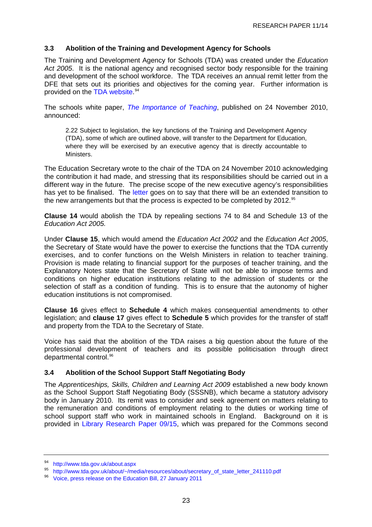#### <span id="page-26-0"></span>**3.3 Abolition of the Training and Development Agency for Schools**

The Training and Development Agency for Schools (TDA) was created under the *Education*  Act 2005. It is the national agency and recognised sector body responsible for the training and development of the school workforce. The TDA receives an annual remit letter from the DFE that sets out its priorities and objectives for the coming year. Further information is provided on the [TDA website](http://www.tda.gov.uk/about.aspx).<sup>[94](#page-26-0)</sup>

The schools white paper, *[The Importance of Teaching](http://publications.education.gov.uk/eOrderingDownload/CM-7980.pdf)*, published on 24 November 2010, announced:

2.22 Subject to legislation, the key functions of the Training and Development Agency (TDA), some of which are outlined above, will transfer to the Department for Education, where they will be exercised by an executive agency that is directly accountable to Ministers.

The Education Secretary wrote to the chair of the TDA on 24 November 2010 acknowledging the contribution it had made, and stressing that its responsibilities should be carried out in a different way in the future. The precise scope of the new executive agency's responsibilities has yet to be finalised. The [letter](http://www.tda.gov.uk/about/%7E/media/resources/about/secretary_of_state_letter_241110.pdf) goes on to say that there will be an extended transition to the new arrangements but that the process is expected to be completed by 2012.<sup>[95](#page-26-0)</sup>

**Clause 14** would abolish the TDA by repealing sections 74 to 84 and Schedule 13 of the *Education Act 2005.* 

Under **Clause 15**, which would amend the *Education Act 2002* and the *Education Act 2005*, the Secretary of State would have the power to exercise the functions that the TDA currently exercises, and to confer functions on the Welsh Ministers in relation to teacher training. Provision is made relating to financial support for the purposes of teacher training, and the Explanatory Notes state that the Secretary of State will not be able to impose terms and conditions on higher education institutions relating to the admission of students or the selection of staff as a condition of funding. This is to ensure that the autonomy of higher education institutions is not compromised.

**Clause 16** gives effect to **Schedule 4** which makes consequential amendments to other legislation; and **clause 17** gives effect to **Schedule 5** which provides for the transfer of staff and property from the TDA to the Secretary of State.

Voice has said that the abolition of the TDA raises a big question about the future of the professional development of teachers and its possible politicisation through direct departmental control.<sup>[96](#page-26-0)</sup>

#### **3.4 Abolition of the School Support Staff Negotiating Body**

The *Apprenticeships, Skills, Children and Learning Act 2009* established a new body known as the School Support Staff Negotiating Body (SSSNB), which became a statutory advisory body in January 2010. Its remit was to consider and seek agreement on matters relating to the remuneration and conditions of employment relating to the duties or working time of school support staff who work in maintained schools in England. Background on it is provided in [Library Research Paper 09/15,](http://pims.parliament.uk:81/PIMS/Static%20Files/Extended%20File%20Scan%20Files/LIBRARY_OTHER_PAPERS/RESEARCH_PAPER/RP09-015.pdf) which was prepared for the Commons second

<sup>94</sup> <http://www.tda.gov.uk/about.aspx>

<sup>95</sup> [http://www.tda.gov.uk/about/~/media/resources/about/secretary\\_of\\_state\\_letter\\_241110.pdf](http://www.tda.gov.uk/about/%7E/media/resources/about/secretary_of_state_letter_241110.pdf)

<sup>96</sup> [Voice, press release on the Education Bill, 27 January 2011](http://www.politics.co.uk/opinion-formers/press-releases/education/voice-education-bill-$21386897$366260.htm)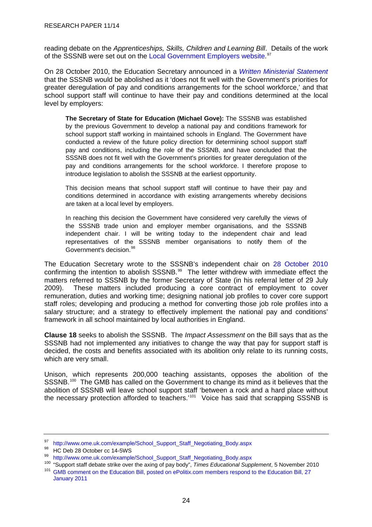<span id="page-27-0"></span>reading debate on the *Apprenticeships, Skills, Children and Learning Bill*. Details of the work of the SSSNB were set out on the [Local Government Employers website.](http://www.ome.uk.com/example/School_Support_Staff_Negotiating_Body.aspx)<sup>[97](#page-27-0)</sup>

On 28 October 2010, the Education Secretary announced in a *[Written Ministerial Statement](http://media.education.gov.uk/assets/files/pdf/w/written%20ministerial%20statement%20on%20abolition%20of%20the%20sssnb.pdf)* that the SSSNB would be abolished as it 'does not fit well with the Government's priorities for greater deregulation of pay and conditions arrangements for the school workforce,' and that school support staff will continue to have their pay and conditions determined at the local level by employers:

**The Secretary of State for Education (Michael Gove):** The SSSNB was established by the previous Government to develop a national pay and conditions framework for school support staff working in maintained schools in England. The Government have conducted a review of the future policy direction for determining school support staff pay and conditions, including the role of the SSSNB, and have concluded that the SSSNB does not fit well with the Government's priorities for greater deregulation of the pay and conditions arrangements for the school workforce. I therefore propose to introduce legislation to abolish the SSSNB at the earliest opportunity.

This decision means that school support staff will continue to have their pay and conditions determined in accordance with existing arrangements whereby decisions are taken at a local level by employers.

In reaching this decision the Government have considered very carefully the views of the SSSNB trade union and employer member organisations, and the SSSNB independent chair. I will be writing today to the independent chair and lead representatives of the SSSNB member organisations to notify them of the Government's decision.<sup>[98](#page-27-0)</sup>

The Education Secretary wrote to the SSSNB's independent chair on [28 October 2010](http://www.ome.uk.com/example/School_Support_Staff_Negotiating_Body.aspx) confirming the intention to abolish SSSNB.<sup>[99](#page-27-0)</sup> The letter withdrew with immediate effect the matters referred to SSSNB by the former Secretary of State (in his referral letter of 29 July 2009). These matters included producing a core contract of employment to cover remuneration, duties and working time; designing national job profiles to cover core support staff roles; developing and producing a method for converting those job role profiles into a salary structure; and a strategy to effectively implement the national pay and conditions' framework in all school maintained by local authorities in England.

**Clause 18** seeks to abolish the SSSNB. The *Impact Assessment* on the Bill says that as the SSSNB had not implemented any initiatives to change the way that pay for support staff is decided, the costs and benefits associated with its abolition only relate to its running costs, which are very small.

Unison, which represents 200,000 teaching assistants, opposes the abolition of the SSSNB.<sup>[100](#page-27-0)</sup> The GMB has called on the Government to change its mind as it believes that the abolition of SSSNB will leave school support staff 'between a rock and a hard place without the necessary protection afforded to teachers.<sup>'[101](#page-27-0)</sup> Voice has said that scrapping SSSNB is

<sup>97</sup> [http://www.ome.uk.com/example/School\\_Support\\_Staff\\_Negotiating\\_Body.aspx](http://www.ome.uk.com/example/School_Support_Staff_Negotiating_Body.aspx)

 $^{98}$  HC Deb 28 October cc 14-5WS

<sup>99</sup> [http://www.ome.uk.com/example/School\\_Support\\_Staff\\_Negotiating\\_Body.aspx](http://www.ome.uk.com/example/School_Support_Staff_Negotiating_Body.aspx)<br><sup>100</sup> "Support staff debate strike over the axing of pay body", *Times Educational Supplement*, 5 November 2010 <sup>101</sup> GMB comment on the Education Bill, posted on ePolitix.com members respond to the Education Bill, 27 [January 2011](http://www.epolitix.com/latestnews/article-detail/newsarticle/teaching-unions-respond-to-education-bill/)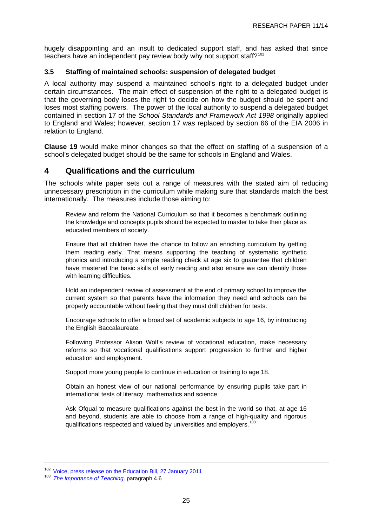<span id="page-28-0"></span>hugely disappointing and an insult to dedicated support staff, and has asked that since teachers have an independent pay review body why not support staff?<sup>[102](#page-28-0)</sup>

#### **3.5 Staffing of maintained schools: suspension of delegated budget**

A local authority may suspend a maintained school's right to a delegated budget under certain circumstances. The main effect of suspension of the right to a delegated budget is that the governing body loses the right to decide on how the budget should be spent and loses most staffing powers. The power of the local authority to suspend a delegated budget contained in section 17 of the *School Standards and Framework Act 1998* originally applied to England and Wales; however, section 17 was replaced by section 66 of the EIA 2006 in relation to England.

**Clause 19** would make minor changes so that the effect on staffing of a suspension of a school's delegated budget should be the same for schools in England and Wales.

#### **4 Qualifications and the curriculum**

The schools white paper sets out a range of measures with the stated aim of reducing unnecessary prescription in the curriculum while making sure that standards match the best internationally. The measures include those aiming to:

Review and reform the National Curriculum so that it becomes a benchmark outlining the knowledge and concepts pupils should be expected to master to take their place as educated members of society.

Ensure that all children have the chance to follow an enriching curriculum by getting them reading early. That means supporting the teaching of systematic synthetic phonics and introducing a simple reading check at age six to guarantee that children have mastered the basic skills of early reading and also ensure we can identify those with learning difficulties.

Hold an independent review of assessment at the end of primary school to improve the current system so that parents have the information they need and schools can be properly accountable without feeling that they must drill children for tests.

Encourage schools to offer a broad set of academic subjects to age 16, by introducing the English Baccalaureate.

Following Professor Alison Wolf's review of vocational education, make necessary reforms so that vocational qualifications support progression to further and higher education and employment.

Support more young people to continue in education or training to age 18.

Obtain an honest view of our national performance by ensuring pupils take part in international tests of literacy, mathematics and science.

Ask Ofqual to measure qualifications against the best in the world so that, at age 16 and beyond, students are able to choose from a range of high-quality and rigorous qualifications respected and valued by universities and employers.<sup>[103](#page-28-0)</sup>

<sup>102</sup> [Voice, press release on the Education Bill, 27 January 2011](http://www.politics.co.uk/opinion-formers/press-releases/education/voice-education-bill-$21386897$366260.htm)

<sup>&</sup>lt;sup>103</sup> *[The Importance of Teaching,](http://publications.education.gov.uk/eOrderingDownload/CM-7980.pdf)* paragraph 4.6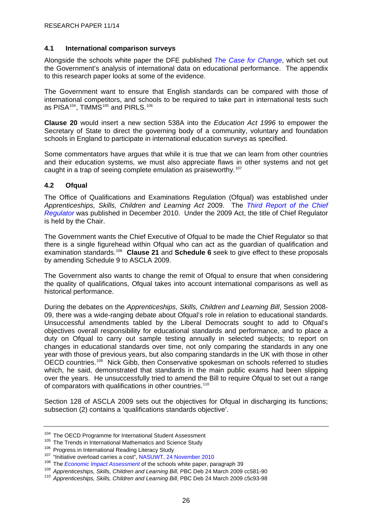#### <span id="page-29-0"></span>**4.1 International comparison surveys**

Alongside the schools white paper the DFE published *[The Case for Change](http://publications.education.gov.uk/eOrderingDownload/DFE-00564-2010.pdf)*, which set out the Government's analysis of international data on educational performance. The appendix to this research paper looks at some of the evidence.

The Government want to ensure that English standards can be compared with those of international competitors, and schools to be required to take part in international tests such as PISA $104$ , TIMMS $105$  and PIRLS.  $106$ 

**Clause 20** would insert a new section 538A into the *Education Act 1996* to empower the Secretary of State to direct the governing body of a community, voluntary and foundation schools in England to participate in international education surveys as specified.

Some commentators have argues that while it is true that we can learn from other countries and their education systems, we must also appreciate flaws in other systems and not get caught in a trap of seeing complete emulation as praiseworthy.<sup>[107](#page-29-0)</sup>

#### **4.2 Ofqual**

The Office of Qualifications and Examinations Regulation (Ofqual) was established under *Apprenticeships, Skills, Children and Learning Act* 2009. The *[Third Report of the Chief](http://www.ofqual.gov.uk/files/2010-12-15-the-third-report-of-the-chief-regulator.pdf)  [Regulator](http://www.ofqual.gov.uk/files/2010-12-15-the-third-report-of-the-chief-regulator.pdf)* was published in December 2010. Under the 2009 Act, the title of Chief Regulator is held by the Chair.

The Government wants the Chief Executive of Ofqual to be made the Chief Regulator so that there is a single figurehead within Ofqual who can act as the guardian of qualification and examination standards[.108](#page-29-0) **Clause 21** and **Schedule 6** seek to give effect to these proposals by amending Schedule 9 to ASCLA 2009.

The Government also wants to change the remit of Ofqual to ensure that when considering the quality of qualifications, Ofqual takes into account international comparisons as well as historical performance.

During the debates on the *Apprenticeships, Skills, Children and Learning Bill*, Session 2008- 09, there was a wide-ranging debate about Ofqual's role in relation to educational standards. Unsuccessful amendments tabled by the Liberal Democrats sought to add to Ofqual's objectives overall responsibility for educational standards and performance, and to place a duty on Ofqual to carry out sample testing annually in selected subjects; to report on changes in educational standards over time, not only comparing the standards in any one year with those of previous years, but also comparing standards in the UK with those in other OECD countries.<sup>[109](#page-29-0)</sup> Nick Gibb, then Conservative spokesman on schools referred to studies which, he said, demonstrated that standards in the main public exams had been slipping over the years. He unsuccessfully tried to amend the Bill to require Ofqual to set out a range of comparators with qualifications in other countries.<sup>[110](#page-29-0)</sup>

Section 128 of ASCLA 2009 sets out the objectives for Ofqual in discharging its functions; subsection (2) contains a 'qualifications standards objective'.

<sup>&</sup>lt;sup>104</sup> The OECD Programme for International Student Assessment<br><sup>105</sup> The Trends in International Mathematics and Science Study<br><sup>106</sup> Progress in International Reading Literacy Study<br><sup>107</sup> "Initiative overload carries a cost

<sup>&</sup>lt;sup>109</sup>Apprenticeships, Skills, Children and Learning Bill, PBC Deb 24 March 2009 cc581-90<br><sup>110</sup> Apprenticeships, Skills, Children and Learning Bill, PBC Deb 24 March 2009 c5c93-98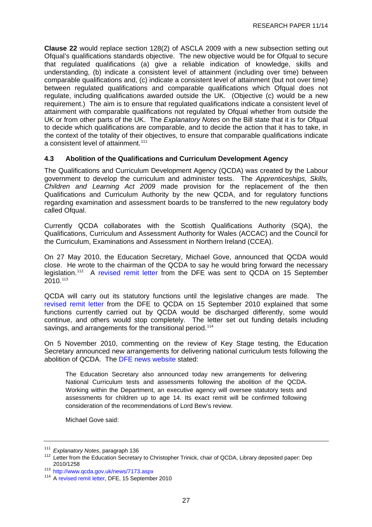<span id="page-30-0"></span>**Clause 22** would replace section 128(2) of ASCLA 2009 with a new subsection setting out Ofqual's qualifications standards objective. The new objective would be for Ofqual to secure that regulated qualifications (a) give a reliable indication of knowledge, skills and understanding, (b) indicate a consistent level of attainment (including over time) between comparable qualifications and, (c) indicate a consistent level of attainment (but not over time) between regulated qualifications and comparable qualifications which Ofqual does not regulate, including qualifications awarded outside the UK. (Objective (c) would be a new requirement.) The aim is to ensure that regulated qualifications indicate a consistent level of attainment with comparable qualifications not regulated by Ofqual whether from outside the UK or from other parts of the UK. The *Explanatory Notes* on the Bill state that it is for Ofqual to decide which qualifications are comparable, and to decide the action that it has to take, in the context of the totality of their objectives, to ensure that comparable qualifications indicate a consistent level of attainment.<sup>[111](#page-30-0)</sup>

#### **4.3 Abolition of the Qualifications and Curriculum Development Agency**

The Qualifications and Curriculum Development Agency (QCDA) was created by the Labour government to develop the curriculum and administer tests. The *Apprenticeships, Skills, Children and Learning Act 2009* made provision for the replacement of the then Qualifications and Curriculum Authority by the new QCDA, and for regulatory functions regarding examination and assessment boards to be transferred to the new regulatory body called Ofqual.

Currently QCDA collaborates with the Scottish Qualifications Authority (SQA), the Qualifications, Curriculum and Assessment Authority for Wales (ACCAC) and the Council for the Curriculum, Examinations and Assessment in Northern Ireland (CCEA).

On 27 May 2010, the Education Secretary, Michael Gove, announced that QCDA would close. He wrote to the chairman of the QCDA to say he would bring forward the necessary legislation.[112](#page-30-0) A [revised remit letter](http://www.qcda.gov.uk/docs/2010_DfE_Secretary_of_State_Rt_Hon_Michael_Gove_MP.pdf) from the DFE was sent to QCDA on 15 September 2010.[113](#page-30-0)

QCDA will carry out its statutory functions until the legislative changes are made. The [revised remit letter](http://www.qcda.gov.uk/docs/2010_DfE_Secretary_of_State_Rt_Hon_Michael_Gove_MP.pdf) from the DFE to QCDA on 15 September 2010 explained that some functions currently carried out by QCDA would be discharged differently, some would continue, and others would stop completely. The letter set out funding details including savings, and arrangements for the transitional period.<sup>[114](#page-30-0)</sup>

On 5 November 2010, commenting on the review of Key Stage testing, the Education Secretary announced new arrangements for delivering national curriculum tests following the abolition of QCDA. The [DFE news website](http://www.education.gov.uk/inthenews/inthenews/a0066617/michael-gove-announces-review-of-key-stage-2-testing) stated:

The Education Secretary also announced today new arrangements for delivering National Curriculum tests and assessments following the abolition of the QCDA. Working within the Department, an executive agency will oversee statutory tests and assessments for children up to age 14. Its exact remit will be confirmed following consideration of the recommendations of Lord Bew's review.

Michael Gove said:

<sup>&</sup>lt;sup>111</sup> Explanatory Notes, paragraph 136<br><sup>112</sup> Letter from the Education Secretary to Christopher Trinick, chair of QCDA, Library deposited paper: Dep<br>2010/1258

<sup>&</sup>lt;sup>113</sup> <http://www.qcda.gov.uk/news/7173.aspx>

<sup>114</sup> A [revised remit letter,](http://www.qcda.gov.uk/docs/2010_DfE_Secretary_of_State_Rt_Hon_Michael_Gove_MP.pdf) DFE, 15 September 2010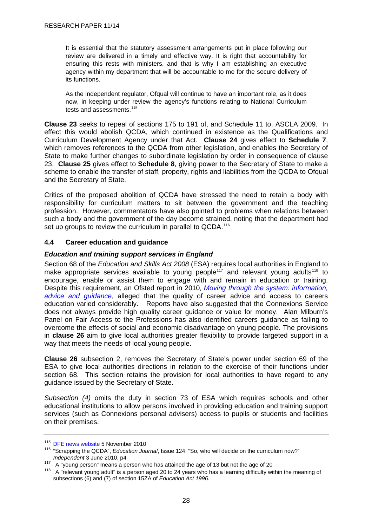<span id="page-31-0"></span>It is essential that the statutory assessment arrangements put in place following our review are delivered in a timely and effective way. It is right that accountability for ensuring this rests with ministers, and that is why I am establishing an executive agency within my department that will be accountable to me for the secure delivery of its functions.

As the independent regulator, Ofqual will continue to have an important role, as it does now, in keeping under review the agency's functions relating to National Curriculum tests and assessments  $115$ 

**Clause 23** seeks to repeal of sections 175 to 191 of, and Schedule 11 to, ASCLA 2009. In effect this would abolish QCDA, which continued in existence as the Qualifications and Curriculum Development Agency under that Act. **Clause 24** gives effect to **Schedule 7**, which removes references to the QCDA from other legislation, and enables the Secretary of State to make further changes to subordinate legislation by order in consequence of clause 23. **Clause 25** gives effect to **Schedule 8**, giving power to the Secretary of State to make a scheme to enable the transfer of staff, property, rights and liabilities from the QCDA to Ofqual and the Secretary of State.

Critics of the proposed abolition of QCDA have stressed the need to retain a body with responsibility for curriculum matters to sit between the government and the teaching profession. However, commentators have also pointed to problems when relations between such a body and the government of the day become strained, noting that the department had set up groups to review the curriculum in parallel to QCDA.<sup>[116](#page-31-0)</sup>

#### **4.4 Career education and guidance**

#### *Education and training support services in England*

Section 68 of the *Education and Skills Act 2008* (ESA) requires local authorities in England to make appropriate services available to young people<sup>[117](#page-31-0)</sup> and relevant young adults<sup>[118](#page-31-0)</sup> to encourage, enable or assist them to engage with and remain in education or training. Despite this requirement, an Ofsted report in 2010, *[Moving through the system: information,](http://www.ofsted.gov.uk/Ofsted-home/Publications-and-research/Browse-all-by/Documents-by-type/Thematic-reports/Moving-through-the-system-information-advice-and-guidance)  [advice and guidance](http://www.ofsted.gov.uk/Ofsted-home/Publications-and-research/Browse-all-by/Documents-by-type/Thematic-reports/Moving-through-the-system-information-advice-and-guidance)*, alleged that the quality of career advice and access to careers education varied considerably. Reports have also suggested that the Connexions Service does not always provide high quality career guidance or value for money. Alan Milburn's Panel on Fair Access to the Professions has also identified careers guidance as failing to overcome the effects of social and economic disadvantage on young people. The provisions in **clause 26** aim to give local authorities greater flexibility to provide targeted support in a way that meets the needs of local young people.

**Clause 26** subsection 2, removes the Secretary of State's power under section 69 of the ESA to give local authorities directions in relation to the exercise of their functions under section 68. This section retains the provision for local authorities to have regard to any guidance issued by the Secretary of State.

*Subsection (4)* omits the duty in section 73 of ESA which requires schools and other educational institutions to allow persons involved in providing education and training support services (such as Connexions personal advisers) access to pupils or students and facilities on their premises.

<sup>&</sup>lt;sup>115</sup> [DFE news website](http://www.education.gov.uk/inthenews/inthenews/a0066617/michael-gove-announces-review-of-key-stage-2-testing) 5 November 2010<br><sup>116</sup> "Scrapping the QCDA", *Education Journal*, Issue 124: "So, who will decide on the curriculum now?"

Independent 3 June 2010, p4<br><sup>117</sup> A "young person" means a person who has attained the age of 13 but not the age of 20<br><sup>118</sup> A "relevant young adult" is a person aged 20 to 24 years who has a learning difficulty within th subsections (6) and (7) of section 15ZA of *Education Act 1996.*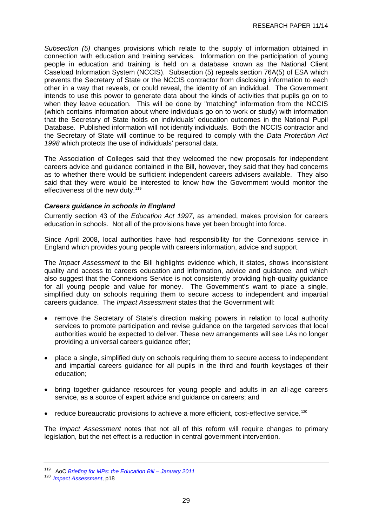<span id="page-32-0"></span>*Subsection (5)* changes provisions which relate to the supply of information obtained in connection with education and training services. Information on the participation of young people in education and training is held on a database known as the National Client Caseload Information System (NCCIS). Subsection (5) repeals section 76A(5) of ESA which prevents the Secretary of State or the NCCIS contractor from disclosing information to each other in a way that reveals, or could reveal, the identity of an individual. The Government intends to use this power to generate data about the kinds of activities that pupils go on to when they leave education. This will be done by "matching" information from the NCCIS (which contains information about where individuals go on to work or study) with information that the Secretary of State holds on individuals' education outcomes in the National Pupil Database. Published information will not identify individuals. Both the NCCIS contractor and the Secretary of State will continue to be required to comply with the *Data Protection Act 1998* which protects the use of individuals' personal data.

The Association of Colleges said that they welcomed the new proposals for independent careers advice and guidance contained in the Bill, however, they said that they had concerns as to whether there would be sufficient independent careers advisers available. They also said that they were would be interested to know how the Government would monitor the effectiveness of the new duty.<sup>[119](#page-32-0)</sup>

#### *Careers guidance in schools in England*

Currently section 43 of the *Education Act 1997*, as amended, makes provision for careers education in schools. Not all of the provisions have yet been brought into force.

Since April 2008, local authorities have had responsibility for the Connexions service in England which provides young people with careers information, advice and support.

The *Impact Assessment* to the Bill highlights evidence which, it states, shows inconsistent quality and access to careers education and information, advice and guidance, and which also suggest that the Connexions Service is not consistently providing high-quality guidance for all young people and value for money. The Government's want to place a single, simplified duty on schools requiring them to secure access to independent and impartial careers guidance. The *Impact Assessment* states that the Government will:

- remove the Secretary of State's direction making powers in relation to local authority services to promote participation and revise guidance on the targeted services that local authorities would be expected to deliver. These new arrangements will see LAs no longer providing a universal careers guidance offer;
- place a single, simplified duty on schools requiring them to secure access to independent and impartial careers guidance for all pupils in the third and fourth keystages of their education;
- bring together guidance resources for young people and adults in an all-age careers service, as a source of expert advice and guidance on careers; and
- reduce bureaucratic provisions to achieve a more efficient, cost-effective service.<sup>[120](#page-32-0)</sup>

The *Impact Assessment* notes that not all of this reform will require changes to primary legislation, but the net effect is a reduction in central government intervention.

<sup>119</sup> AoC *Briefing for MPs: the Education Bill – January 2011*

<sup>120</sup> *[Impact Assessment](http://media.education.gov.uk/assets/files/pdf/e/education%20bill%20impact%20assessment.pdf)*, p18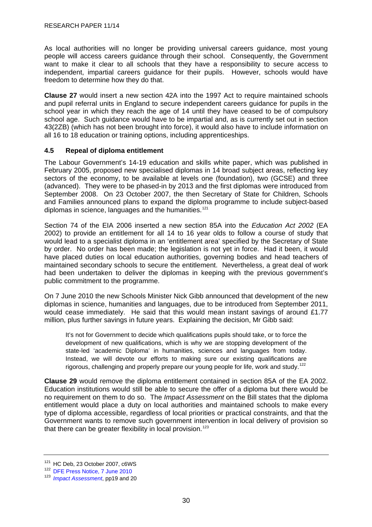<span id="page-33-0"></span>As local authorities will no longer be providing universal careers guidance, most young people will access careers guidance through their school. Consequently, the Government want to make it clear to all schools that they have a responsibility to secure access to independent, impartial careers guidance for their pupils. However, schools would have freedom to determine how they do that.

**Clause 27** would insert a new section 42A into the 1997 Act to require maintained schools and pupil referral units in England to secure independent careers guidance for pupils in the school year in which they reach the age of 14 until they have ceased to be of compulsory school age. Such guidance would have to be impartial and, as is currently set out in section 43(2ZB) (which has not been brought into force), it would also have to include information on all 16 to 18 education or training options, including apprenticeships.

#### **4.5 Repeal of diploma entitlement**

The Labour Government's 14-19 education and skills white paper, which was published in February 2005, proposed new specialised diplomas in 14 broad subject areas, reflecting key sectors of the economy, to be available at levels one (foundation), two (GCSE) and three (advanced). They were to be phased-in by 2013 and the first diplomas were introduced from September 2008. On 23 October 2007, the then Secretary of State for Children, Schools and Families announced plans to expand the diploma programme to include subject-based diplomas in science, languages and the humanities.<sup>[121](#page-33-0)</sup>

Section 74 of the EIA 2006 inserted a new section 85A into the *Education Act 2002* (EA 2002) to provide an entitlement for all 14 to 16 year olds to follow a course of study that would lead to a specialist diploma in an 'entitlement area' specified by the Secretary of State by order. No order has been made; the legislation is not yet in force. Had it been, it would have placed duties on local education authorities, governing bodies and head teachers of maintained secondary schools to secure the entitlement. Nevertheless, a great deal of work had been undertaken to deliver the diplomas in keeping with the previous government's public commitment to the programme.

On 7 June 2010 the new Schools Minister Nick Gibb announced that development of the new diplomas in science, humanities and languages, due to be introduced from September 2011, would cease immediately. He said that this would mean instant savings of around £1.77 million, plus further savings in future years. Explaining the decision, Mr Gibb said:

It's not for Government to decide which qualifications pupils should take, or to force the development of new qualifications, which is why we are stopping development of the state-led 'academic Diploma' in humanities, sciences and languages from today. Instead, we will devote our efforts to making sure our existing qualifications are rigorous, challenging and properly prepare our young people for life, work and study.<sup>[122](#page-33-0)</sup>

**Clause 29** would remove the diploma entitlement contained in section 85A of the EA 2002. Education institutions would still be able to secure the offer of a diploma but there would be no requirement on them to do so. The *Impact Assessment* on the Bill states that the diploma entitlement would place a duty on local authorities and maintained schools to make every type of diploma accessible, regardless of local priorities or practical constraints, and that the Government wants to remove such government intervention in local delivery of provision so that there can be greater flexibility in local provision.<sup>[123](#page-33-0)</sup>

<sup>&</sup>lt;sup>121</sup> HC Deb, 23 October 2007, c6WS<br><sup>122</sup> [DFE Press Notice, 7 June 2010](http://webarchive.nationalarchives.gov.uk/+/http:/www.education.gov.uk/news/press-notices-new/nationalcurriculum/)

<sup>123</sup> *[Impact Assessment](http://media.education.gov.uk/assets/files/pdf/e/education%20bill%20impact%20assessment.pdf)*, pp19 and 20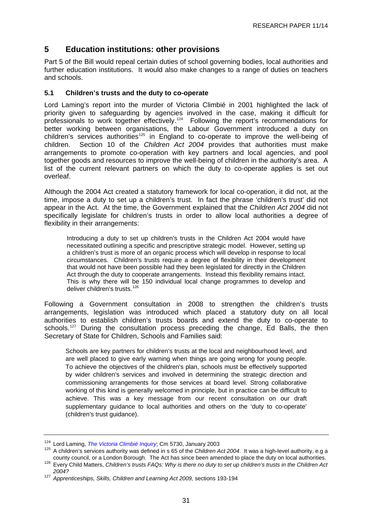# <span id="page-34-0"></span>**5 Education institutions: other provisions**

Part 5 of the Bill would repeal certain duties of school governing bodies, local authorities and further education institutions. It would also make changes to a range of duties on teachers and schools.

#### **5.1 Children's trusts and the duty to co-operate**

Lord Laming's report into the murder of Victoria Climbié in 2001 highlighted the lack of priority given to safeguarding by agencies involved in the case, making it difficult for professionals to work together effectively.[124](#page-34-0) Following the report's recommendations for better working between organisations, the Labour Government introduced a duty on children's services authorities<sup>[125](#page-34-0)</sup> in England to co-operate to improve the well-being of children. Section 10 of the *Children Act 2004* provides that authorities must make arrangements to promote co-operation with key partners and local agencies, and pool together goods and resources to improve the well-being of children in the authority's area. A list of the current relevant partners on which the duty to co-operate applies is set out overleaf.

Although the 2004 Act created a statutory framework for local co-operation, it did not, at the time, impose a duty to set up a children's trust. In fact the phrase 'children's trust' did not appear in the Act. At the time, the Government explained that the *Children Act 2004* did not specifically legislate for children's trusts in order to allow local authorities a degree of flexibility in their arrangements:

Introducing a duty to set up children's trusts in the Children Act 2004 would have necessitated outlining a specific and prescriptive strategic model. However, setting up a children's trust is more of an organic process which will develop in response to local circumstances. Children's trusts require a degree of flexibility in their development that would not have been possible had they been legislated for directly in the Children Act through the duty to cooperate arrangements. Instead this flexibility remains intact. This is why there will be 150 individual local change programmes to develop and deliver children's trusts.<sup>[126](#page-34-0)</sup>

Following a Government consultation in 2008 to strengthen the children's trusts arrangements, legislation was introduced which placed a statutory duty on all local authorities to establish children's trusts boards and extend the duty to co-operate to schools.<sup>[127](#page-34-0)</sup> During the consultation process preceding the change, Ed Balls, the then Secretary of State for Children, Schools and Families said:

Schools are key partners for children's trusts at the local and neighbourhood level, and are well placed to give early warning when things are going wrong for young people. To achieve the objectives of the children's plan, schools must be effectively supported by wider children's services and involved in determining the strategic direction and commissioning arrangements for those services at board level. Strong collaborative working of this kind is generally welcomed in principle, but in practice can be difficult to achieve. This was a key message from our recent consultation on our draft supplementary guidance to local authorities and others on the 'duty to co-operate' (children's trust guidance).

<sup>&</sup>lt;sup>124</sup> Lord Laming, *The Victoria Climbié Inquiry*; Cm 5730, January 2003<br><sup>125</sup> A children's services authority was defined in s 65 of the *Children Act 2004*. It was a high-level authority, e.g a county council, or a London Borough. The Act has since been amended to place the duty on local authorities.<br><sup>126</sup> Every Child Matters, Children's trusts FAQs: Why is there no duty to set up children's trusts in the Childre

*<sup>2004?</sup>*

<sup>127</sup> *Apprenticeships, Skills, Children and Learning Act 2009,* sections 193-194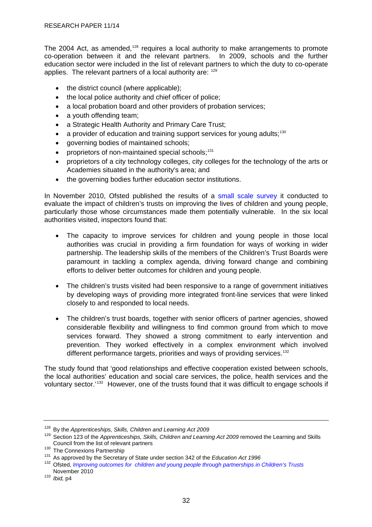<span id="page-35-0"></span>The 2004 Act, as amended,<sup>[128](#page-35-0)</sup> requires a local authority to make arrangements to promote co-operation between it and the relevant partners. In 2009, schools and the further education sector were included in the list of relevant partners to which the duty to co-operate applies. The relevant partners of a local authority are: [129](#page-35-0)

- the district council (where applicable);
- the local police authority and chief officer of police;
- a local probation board and other providers of probation services;
- a youth offending team:
- a Strategic Health Authority and Primary Care Trust;
- a provider of education and training support services for young adults:  $130$
- governing bodies of maintained schools;
- proprietors of non-maintained special schools; $131$
- proprietors of a city technology colleges, city colleges for the technology of the arts or Academies situated in the authority's area; and
- the governing bodies further education sector institutions.

In November 2010, Ofsted published the results of a [small scale survey](http://www.ofsted.gov.uk/Ofsted-home/Publications-and-research/Browse-all-by/Documents-by-type/Thematic-reports/Improving-outcomes-for-children-and-young-people-through-partnership-in-Children-s-Trusts) it conducted to evaluate the impact of children's trusts on improving the lives of children and young people, particularly those whose circumstances made them potentially vulnerable. In the six local authorities visited, inspectors found that:

- The capacity to improve services for children and young people in those local authorities was crucial in providing a firm foundation for ways of working in wider partnership. The leadership skills of the members of the Children's Trust Boards were paramount in tackling a complex agenda, driving forward change and combining efforts to deliver better outcomes for children and young people.
- The children's trusts visited had been responsive to a range of government initiatives by developing ways of providing more integrated front-line services that were linked closely to and responded to local needs.
- The children's trust boards, together with senior officers of partner agencies, showed considerable flexibility and willingness to find common ground from which to move services forward. They showed a strong commitment to early intervention and prevention. They worked effectively in a complex environment which involved different performance targets, priorities and ways of providing services.<sup>[132](#page-35-0)</sup>

The study found that 'good relationships and effective cooperation existed between schools, the local authorities' education and social care services, the police, health services and the voluntary sector.'[133](#page-35-0) However, one of the trusts found that it was difficult to engage schools if

<sup>128</sup> By the *Apprenticeships, Skills, Children and Learning Act 2009*

<sup>&</sup>lt;sup>129</sup> Section 123 of the *Apprenticeships, Skills, Children and Learning Act 2009* removed the Learning and Skills<br>Council from the list of relevant partners

The Connexions Partnership<br>
<sup>130</sup> The Connexions Partnership<br>
<sup>131</sup> As approved by the Secretary of State under section 342 of the *Education Act 1996* 

<sup>132</sup> Ofsted, *Improving outcomes for children and young people through partnerships in Children's Trusts*

<sup>&</sup>lt;sup>133</sup> *Ibid*, p4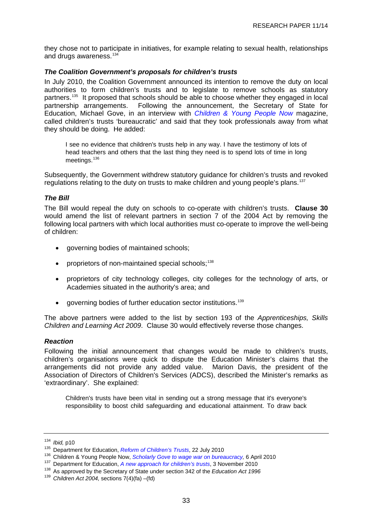<span id="page-36-0"></span>they chose not to participate in initiatives, for example relating to sexual health, relationships and drugs awareness.<sup>[134](#page-36-0)</sup>

## *The Coalition Government's proposals for children's trusts*

In July 2010, the Coalition Government announced its intention to remove the duty on local authorities to form children's trusts and to legislate to remove schools as statutory partners.[135](#page-36-0) It proposed that schools should be able to choose whether they engaged in local partnership arrangements. Following the announcement, the Secretary of State for Education, Michael Gove, in an interview with *[Children & Young People Now](http://www.cypnow.co.uk/inDepth/ByDiscipline/Education/994782/News-Insight-Scholarly-Gove-wage-war-bureaucracy/)* magazine, called children's trusts 'bureaucratic' and said that they took professionals away from what they should be doing. He added:

I see no evidence that children's trusts help in any way. I have the testimony of lots of head teachers and others that the last thing they need is to spend lots of time in long meetings.<sup>[136](#page-36-0)</sup>

Subsequently, the Government withdrew statutory guidance for children's trusts and revoked regulations relating to the duty on trusts to make children and young people's plans.<sup>[137](#page-36-0)</sup>

## *The Bill*

The Bill would repeal the duty on schools to co-operate with children's trusts. **Clause 30**  would amend the list of relevant partners in section 7 of the 2004 Act by removing the following local partners with which local authorities must co-operate to improve the well-being of children:

- governing bodies of maintained schools;
- proprietors of non-maintained special schools:<sup>[138](#page-36-0)</sup>
- proprietors of city technology colleges, city colleges for the technology of arts, or Academies situated in the authority's area; and
- governing bodies of further education sector institutions.[139](#page-36-0)

The above partners were added to the list by section 193 of the *Apprenticeships, Skills Children and Learning Act 2009*. Clause 30 would effectively reverse those changes.

## *Reaction*

Following the initial announcement that changes would be made to children's trusts, children's organisations were quick to dispute the Education Minister's claims that the arrangements did not provide any added value. Marion Davis, the president of the Association of Directors of Children's Services (ADCS), described the Minister's remarks as 'extraordinary'. She explained:

Children's trusts have been vital in sending out a strong message that it's everyone's responsibility to boost child safeguarding and educational attainment. To draw back

<sup>&</sup>lt;sup>134</sup> *Ibid*[,](http://www.education.gov.uk/inthenews/inthenews/a0066362/more-freedom-and-flexibility-a-new-approach-for-childrens-trust-boards-children-and-young-peoples-plans-and-the-duty-to-cooperate) p10<br><sup>135</sup> Department for Education, *Reform of Children's Trusts*, 22 July 2010<br><sup>136</sup> Children & Young People Now, *Scholarly Gove to wage war on bureaucracy*, 6 April 2010<br><sup>137</sup> Department for Education, *A* 

<sup>139</sup> *Children Act 2004,* sections 7(4)(fa) –(fd)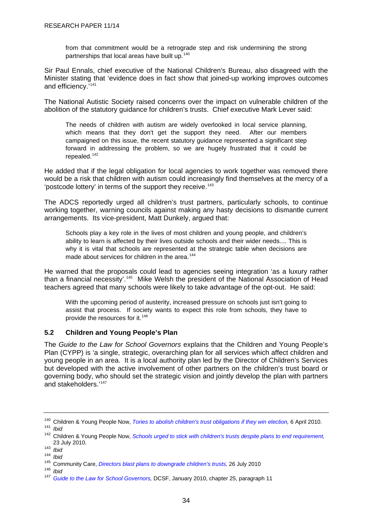<span id="page-37-0"></span>from that commitment would be a retrograde step and risk undermining the strong partnerships that local areas have built up.[140](#page-37-0)

Sir Paul Ennals, chief executive of the National Children's Bureau, also disagreed with the Minister stating that 'evidence does in fact show that joined-up working improves outcomes and efficiency.<sup>'[141](#page-37-0)</sup>

The National Autistic Society raised concerns over the impact on vulnerable children of the abolition of the statutory guidance for children's trusts. Chief executive Mark Lever said:

The needs of children with autism are widely overlooked in local service planning, which means that they don't get the support they need. After our members campaigned on this issue, the recent statutory guidance represented a significant step forward in addressing the problem, so we are hugely frustrated that it could be repealed. $142$ 

He added that if the legal obligation for local agencies to work together was removed there would be a risk that children with autism could increasingly find themselves at the mercy of a 'postcode lottery' in terms of the support they receive.<sup>[143](#page-37-0)</sup>

The ADCS reportedly urged all children's trust partners, particularly schools, to continue working together, warning councils against making any hasty decisions to dismantle current arrangements. Its vice-president, Matt Dunkely, argued that:

Schools play a key role in the lives of most children and young people, and children's ability to learn is affected by their lives outside schools and their wider needs.... This is why it is vital that schools are represented at the strategic table when decisions are made about services for children in the area.<sup>[144](#page-37-0)</sup>

He warned that the proposals could lead to agencies seeing integration 'as a luxury rather than a financial necessity'.<sup>[145](#page-37-0)</sup> Mike Welsh the president of the National Association of Head teachers agreed that many schools were likely to take advantage of the opt-out. He said:

With the upcoming period of austerity, increased pressure on schools just isn't going to assist that process. If society wants to expect this role from schools, they have to provide the resources for it.<sup>[146](#page-37-0)</sup>

## **5.2 Children and Young People's Plan**

The *Guide to the Law for School Governors* explains that the Children and Young People's Plan (CYPP) is 'a single, strategic, overarching plan for all services which affect children and young people in an area. It is a local authority plan led by the Director of Children's Services but developed with the active involvement of other partners on the children's trust board or governing body, who should set the strategic vision and jointly develop the plan with partners and stakeholders.'<sup>[147](#page-37-0)</sup>

<sup>140</sup> Children & Young People Now, *Tories to abolish children's trust obligations if they win election,* 6 April 2010.<br><sup>141</sup> *Ibid* 

<sup>142</sup> Children & Young People Now, *[Schools urged to stick with children's trusts despite plans to end requirement,](http://www.cypnow.co.uk/news/ByDiscipline/Education/1018245/Schools-urged-stick-childrens-trusts-despite-plans-end-requirement/)* 23 July 2010. 143 *Ibid*

<sup>144</sup> *Ibid*

<sup>145</sup> Community Care, *Directors blast plans to downgrade children's trusts,*26 July 2010 146 *Ibid*

<sup>147</sup> *[Guide to the Law for School Governors,](http://www.education.gov.uk/b0065507/gttl/)* DCSF, January 2010, chapter 25, paragraph 11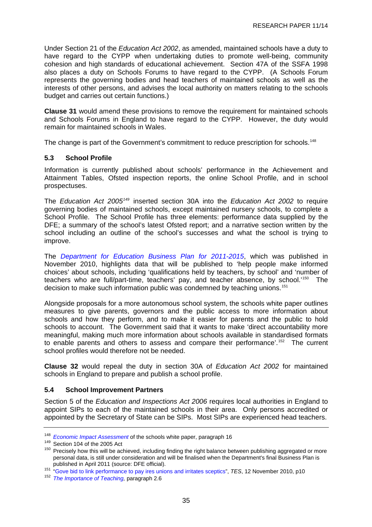<span id="page-38-0"></span>Under Section 21 of the *Education Act 2002*, as amended, maintained schools have a duty to have regard to the CYPP when undertaking duties to promote well-being, community cohesion and high standards of educational achievement. Section 47A of the SSFA 1998 also places a duty on Schools Forums to have regard to the CYPP. (A Schools Forum represents the governing bodies and head teachers of maintained schools as well as the interests of other persons, and advises the local authority on matters relating to the schools budget and carries out certain functions.)

**Clause 31** would amend these provisions to remove the requirement for maintained schools and Schools Forums in England to have regard to the CYPP. However, the duty would remain for maintained schools in Wales.

The change is part of the Government's commitment to reduce prescription for schools.<sup>[148](#page-38-0)</sup>

## **5.3 School Profile**

Information is currently published about schools' performance in the Achievement and Attainment Tables, Ofsted inspection reports, the online School Profile, and in school prospectuses.

The *Education Act 2005[149](#page-38-0)* inserted section 30A into the *Education Act 2002* to require governing bodies of maintained schools, except maintained nursery schools, to complete a School Profile. The School Profile has three elements: performance data supplied by the DFE; a summary of the school's latest Ofsted report; and a narrative section written by the school including an outline of the school's successes and what the school is trying to improve.

The *[Department for Education Business Plan for 2011-2015](http://www.number10.gov.uk/wp-content/uploads/Department-for-Education-Final-Business-Plan.pdf)*, which was published in November 2010, highlights data that will be published to 'help people make informed choices' about schools, including 'qualifications held by teachers, by school' and 'number of teachers who are full/part-time, teachers' pay, and teacher absence, by school.<sup>[150](#page-38-0)</sup> The decision to make such information public was condemned by teaching unions.<sup>[151](#page-38-0)</sup>

Alongside proposals for a more autonomous school system, the schools white paper outlines measures to give parents, governors and the public access to more information about schools and how they perform, and to make it easier for parents and the public to hold schools to account. The Government said that it wants to make 'direct accountability more meaningful, making much more information about schools available in standardised formats to enable parents and others to assess and compare their performance'.<sup>[152](#page-38-0)</sup> The current school profiles would therefore not be needed.

**Clause 32** would repeal the duty in section 30A of *Education Act 2002* for maintained schools in England to prepare and publish a school profile.

## **5.4 School Improvement Partners**

Section 5 of the *Education and Inspections Act 2006* requires local authorities in England to appoint SIPs to each of the maintained schools in their area. Only persons accredited or appointed by the Secretary of State can be SIPs. Most SIPs are experienced head teachers.

<sup>&</sup>lt;sup>148</sup>Economic Impact Assessment of the schools white paper, paragraph 16<br><sup>149</sup> Section 104 of the 2005 Act<br><sup>150</sup> Precisely how this will be achieved, including finding the right balance between publishing aggregated or mo personal data, is still under consideration and will be finalised when the Department's final Business Plan is

published in April 2011 (source: DFE official). 151 ["Gove bid to link performance to pay ires unions and irritates sceptics"](http://www.allbusiness.com/labor-employment/compensation-benefits/15285171-1.html), *TES*, 12 November 2010, p10 152 *The Importance of Teaching,* paragraph 2.6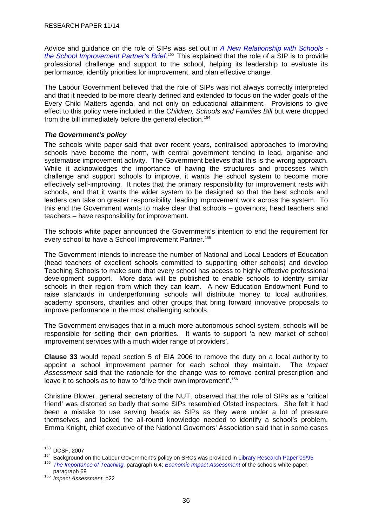<span id="page-39-0"></span>Advice and guidance on the role of SIPs was set out in *[A New Relationship with Schools](http://www.teachernet.gov.uk/_doc/8508/SIP%20Brief%20edition%203%20final.pdf)  [the School Improvement Partner's Brief](http://www.teachernet.gov.uk/_doc/8508/SIP%20Brief%20edition%203%20final.pdf)*. *[153](#page-39-0)* This explained that the role of a SIP is to provide professional challenge and support to the school, helping its leadership to evaluate its performance, identify priorities for improvement, and plan effective change.

The Labour Government believed that the role of SIPs was not always correctly interpreted and that it needed to be more clearly defined and extended to focus on the wider goals of the Every Child Matters agenda, and not only on educational attainment. Provisions to give effect to this policy were included in the *Children, Schools and Families Bill* but were dropped from the bill immediately before the general election.<sup>[154](#page-39-0)</sup>

## *The Government's policy*

The schools white paper said that over recent years, centralised approaches to improving schools have become the norm, with central government tending to lead, organise and systematise improvement activity. The Government believes that this is the wrong approach. While it acknowledges the importance of having the structures and processes which challenge and support schools to improve, it wants the school system to become more effectively self-improving. It notes that the primary responsibility for improvement rests with schools, and that it wants the wider system to be designed so that the best schools and leaders can take on greater responsibility, leading improvement work across the system. To this end the Government wants to make clear that schools – governors, head teachers and teachers – have responsibility for improvement.

The schools white paper announced the Government's intention to end the requirement for every school to have a School Improvement Partner.<sup>[155](#page-39-0)</sup>

The Government intends to increase the number of National and Local Leaders of Education (head teachers of excellent schools committed to supporting other schools) and develop Teaching Schools to make sure that every school has access to highly effective professional development support. More data will be published to enable schools to identify similar schools in their region from which they can learn. A new Education Endowment Fund to raise standards in underperforming schools will distribute money to local authorities, academy sponsors, charities and other groups that bring forward innovative proposals to improve performance in the most challenging schools.

The Government envisages that in a much more autonomous school system, schools will be responsible for setting their own priorities. It wants to support 'a new market of school improvement services with a much wider range of providers'.

**Clause 33** would repeal section 5 of EIA 2006 to remove the duty on a local authority to appoint a school improvement partner for each school they maintain. The *Impact Assessment* said that the rationale for the change was to remove central prescription and leave it to schools as to how to 'drive their own improvement'.<sup>[156](#page-39-0)</sup>

Christine Blower, general secretary of the NUT, observed that the role of SIPs as a 'critical friend' was distorted so badly that some SIPs resembled Ofsted inspectors. She felt it had been a mistake to use serving heads as SIPs as they were under a lot of pressure themselves, and lacked the all-round knowledge needed to identify a school's problem. Emma Knight, chief executive of the National Governors' Association said that in some cases

<sup>&</sup>lt;sup>153</sup> DCSF, 2007<br><sup>154</sup> Background on the Labour Government's policy on SRCs was provided in [Library Research Paper 09/95](http://pims.parliament.uk:81/PIMS/Static%20Files/Extended%20File%20Scan%20Files/LIBRARY_OTHER_PAPERS/RESEARCH_PAPER/RP09-095.pdf) <sup>155</sup> *[The Importance of Teaching,](http://publications.education.gov.uk/eOrderingDownload/CM-7980.pdf)* paragraph 6.4; *[Economic Impact Assessment](http://media.education.gov.uk/assets/files/pdf/s/schools%20white%20paper%202010%20%20%20an%20economic%20impact%20assessment.pdf)* of the schools white paper, paragraph 69

<sup>&</sup>lt;sup>156</sup> *Impact Assessment*, p22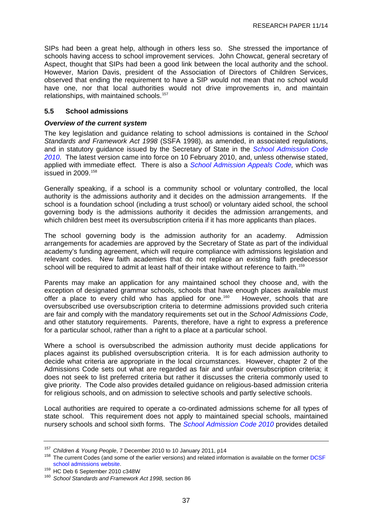<span id="page-40-0"></span>SIPs had been a great help, although in others less so. She stressed the importance of schools having access to school improvement services. John Chowcat, general secretary of Aspect, thought that SIPs had been a good link between the local authority and the school. However, Marion Davis, president of the Association of Directors of Children Services, observed that ending the requirement to have a SIP would not mean that no school would have one, nor that local authorities would not drive improvements in, and maintain relationships, with maintained schools.<sup>[157](#page-40-0)</sup>

## **5.5 School admissions**

### *Overview of the current system*

The key legislation and guidance relating to school admissions is contained in the *School Standards and Framework Act 1998* (SSFA 1998), as amended, in associated regulations, and in statutory guidance issued by the Secretary of State in the *[School Admission Code](http://www.dcsf.gov.uk/sacode/downloads/admissions-code-feb10.pdf)  [2010](http://www.dcsf.gov.uk/sacode/downloads/admissions-code-feb10.pdf)*. The latest version came into force on 10 February 2010, and, unless otherwise stated, applied with immediate effect. There is also a *[School Admission Appeals Code](http://www.dcsf.gov.uk/sacode/downloads/SchoolAdmissionAppealsCodeWEB060309.pdf),* which was issued in  $2009.<sup>158</sup>$  $2009.<sup>158</sup>$  $2009.<sup>158</sup>$ 

Generally speaking, if a school is a community school or voluntary controlled, the local authority is the admissions authority and it decides on the admission arrangements. If the school is a foundation school (including a trust school) or voluntary aided school, the school governing body is the admissions authority it decides the admission arrangements, and which children best meet its oversubscription criteria if it has more applicants than places.

The school governing body is the admission authority for an academy. Admission arrangements for academies are approved by the Secretary of State as part of the individual academy's funding agreement, which will require compliance with admissions legislation and relevant codes. New faith academies that do not replace an existing faith predecessor school will be required to admit at least half of their intake without reference to faith.<sup>[159](#page-40-0)</sup>

Parents may make an application for any maintained school they choose and, with the exception of designated grammar schools, schools that have enough places available must offer a place to every child who has applied for one.<sup>[160](#page-40-0)</sup> However, schools that are oversubscribed use oversubscription criteria to determine admissions provided such criteria are fair and comply with the mandatory requirements set out in the *School Admissions Code*, and other statutory requirements. Parents, therefore, have a right to express a preference for a particular school, rather than a right to a place at a particular school.

Where a school is oversubscribed the admission authority must decide applications for places against its published oversubscription criteria. It is for each admission authority to decide what criteria are appropriate in the local circumstances. However, chapter 2 of the Admissions Code sets out what are regarded as fair and unfair oversubscription criteria; it does not seek to list preferred criteria but rather it discusses the criteria commonly used to give priority. The Code also provides detailed guidance on religious-based admission criteria for religious schools, and on admission to selective schools and partly selective schools.

Local authorities are required to operate a co-ordinated admissions scheme for all types of state school. This requirement does not apply to maintained special schools, maintained nursery schools and school sixth forms. The *[School Admission Code 2010](http://www.dcsf.gov.uk/sacode/downloads/admissions-code-feb10.pdf)* provides detailed

<sup>&</sup>lt;sup>157</sup> Children & Young People, 7 December 2010 to 10 January 2011, p14<br><sup>158</sup> The current Codes (and some of the earlier versions) and related information is available on the former DCSF [school admissions website.](http://www.dcsf.gov.uk/sacode/)<br><sup>159</sup> HC Deb 6 September 2010 c348W<br><sup>160</sup> *School Standards and Framework Act 1998,* section 86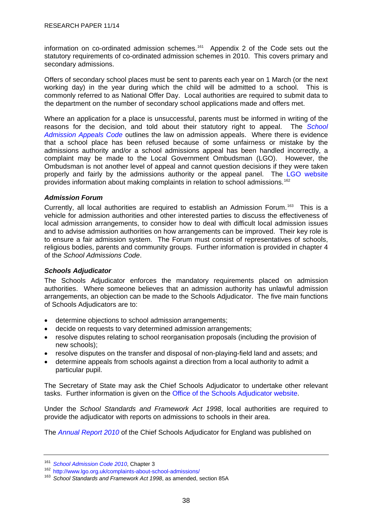<span id="page-41-0"></span>information on co-ordinated admission schemes.<sup>[161](#page-41-0)</sup> Appendix 2 of the Code sets out the statutory requirements of co-ordinated admission schemes in 2010. This covers primary and secondary admissions.

Offers of secondary school places must be sent to parents each year on 1 March (or the next working day) in the year during which the child will be admitted to a school. This is commonly referred to as National Offer Day. Local authorities are required to submit data to the department on the number of secondary school applications made and offers met.

Where an application for a place is unsuccessful, parents must be informed in writing of the reasons for the decision, and told about their statutory right to appeal. The *[School](http://www.dcsf.gov.uk/sacode/downloads/SchoolAdmissionAppealsCodeWEB060309.pdf)  [Admission Appeals Code](http://www.dcsf.gov.uk/sacode/downloads/SchoolAdmissionAppealsCodeWEB060309.pdf)* outlines the law on admission appeals. Where there is evidence that a school place has been refused because of some unfairness or mistake by the admissions authority and/or a school admissions appeal has been handled incorrectly, a complaint may be made to the Local Government Ombudsman (LGO). However, the Ombudsman is not another level of appeal and cannot question decisions if they were taken properly and fairly by the admissions authority or the appeal panel. The [LGO website](http://www.lgo.org.uk/complaints-about-school-admissions/) provides information about making complaints in relation to school admissions.[162](#page-41-0)

### *Admission Forum*

Currently, all local authorities are required to establish an Admission Forum.<sup>[163](#page-41-0)</sup> This is a vehicle for admission authorities and other interested parties to discuss the effectiveness of local admission arrangements, to consider how to deal with difficult local admission issues and to advise admission authorities on how arrangements can be improved. Their key role is to ensure a fair admission system. The Forum must consist of representatives of schools, religious bodies, parents and community groups. Further information is provided in chapter 4 of the *School Admissions Code*.

## *Schools Adjudicator*

The Schools Adjudicator enforces the mandatory requirements placed on admission authorities. Where someone believes that an admission authority has unlawful admission arrangements, an objection can be made to the Schools Adjudicator. The five main functions of Schools Adjudicators are to:

- determine objections to school admission arrangements;
- decide on requests to vary determined admission arrangements;
- resolve disputes relating to school reorganisation proposals (including the provision of new schools);
- resolve disputes on the transfer and disposal of non-playing-field land and assets; and
- determine appeals from schools against a direction from a local authority to admit a particular pupil.

The Secretary of State may ask the Chief Schools Adjudicator to undertake other relevant tasks. Further information is given on the [Office of the Schools Adjudicator website.](http://www.schoolsadjudicator.gov.uk/index.cfm)

Under the *School Standards and Framework Act 1998*, local authorities are required to provide the adjudicator with reports on admissions to schools in their area.

The *[Annual Report 2010](http://www.schoolsadjudicator.gov.uk/RMS_upload/Annual%20Report%202009-103.pdf)* of the Chief Schools Adjudicator for England was published on

<sup>&</sup>lt;sup>161</sup> School Admission Code 2010, Chapter 3<br><sup>162</sup> <http://www.lgo.org.uk/complaints-about-school-admissions/>

<sup>163</sup> *School Standards and Framework Act 1998*, as amended, section 85A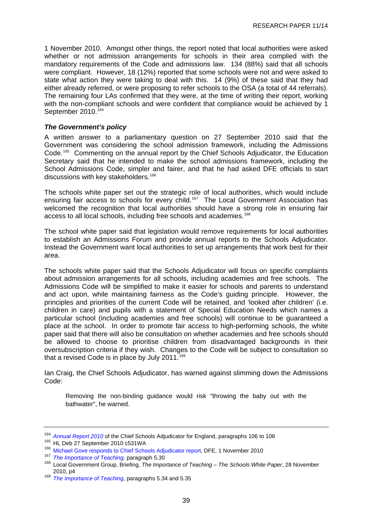<span id="page-42-0"></span>1 November 2010. Amongst other things, the report noted that local authorities were asked whether or not admission arrangements for schools in their area complied with the mandatory requirements of the Code and admissions law. 134 (88%) said that all schools were compliant. However, 18 (12%) reported that some schools were not and were asked to state what action they were taking to deal with this. 14 (9%) of these said that they had either already referred, or were proposing to refer schools to the OSA (a total of 44 referrals). The remaining four LAs confirmed that they were, at the time of writing their report, working with the non-compliant schools and were confident that compliance would be achieved by 1 September 2010.<sup>[164](#page-42-0)</sup>

### *The Government's policy*

A written answer to a parliamentary question on 27 September 2010 said that the Government was considering the school admission framework, including the Admissions Code.[165](#page-42-0) Commenting on the annual report by the Chief Schools Adjudicator, the Education Secretary said that he intended to make the school admissions framework, including the School Admissions Code, simpler and fairer, and that he had asked DFE officials to start discussions with key stakeholders.<sup>[166](#page-42-0)</sup>

The schools white paper set out the strategic role of local authorities, which would include ensuring fair access to schools for every child.[167](#page-42-0) The Local Government Association has welcomed the recognition that local authorities should have a strong role in ensuring fair access to all local schools, including free schools and academies.<sup>[168](#page-42-0)</sup>

The school white paper said that legislation would remove requirements for local authorities to establish an Admissions Forum and provide annual reports to the Schools Adjudicator. Instead the Government want local authorities to set up arrangements that work best for their area.

The schools white paper said that the Schools Adjudicator will focus on specific complaints about admission arrangements for all schools, including academies and free schools. The Admissions Code will be simplified to make it easier for schools and parents to understand and act upon, while maintaining fairness as the Code's guiding principle. However, the principles and priorities of the current Code will be retained, and 'looked after children' (i.e. children in care) and pupils with a statement of Special Education Needs which names a particular school (including academies and free schools) will continue to be guaranteed a place at the school. In order to promote fair access to high-performing schools, the white paper said that there will also be consultation on whether academies and free schools should be allowed to choose to prioritise children from disadvantaged backgrounds in their oversubscription criteria if they wish. Changes to the Code will be subject to consultation so that a revised Code is in place by July 2011.<sup>[169](#page-42-0)</sup>

Ian Craig, the Chief Schools Adjudicator, has warned against slimming down the Admissions Code:

Removing the non-binding guidance would risk "throwing the baby out with the bathwater", he warned.

<sup>&</sup>lt;sup>164</sup> Annual Report 2010 of the Chief Schools Adjudicator for England, paragraphs 106 to 108<br><sup>165</sup> HL Deb 27 September 2010 c531WA<br><sup>166</sup> [Michael Gove responds to Chief Schools Adjudicator report](http://www.education.gov.uk/inthenews/inthenews/a0066140/michael-gove-responds-to-chief-schools-adjudicator-report), DFE, 1 November 2010<br><sup>167</sup> 2010, p4 169 *[The Importance of Teaching,](http://publications.education.gov.uk/eOrderingDownload/CM-7980.pdf)* paragraphs 5.34 and 5.35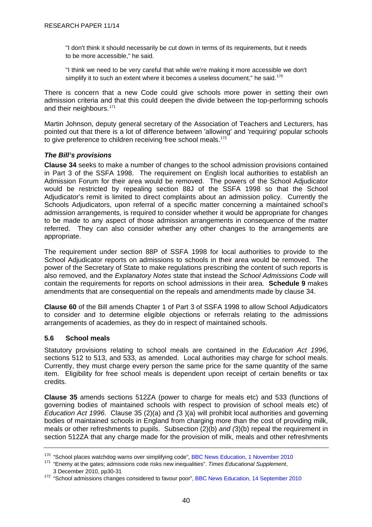<span id="page-43-0"></span>"I don't think it should necessarily be cut down in terms of its requirements, but it needs to be more accessible," he said.

"I think we need to be very careful that while we're making it more accessible we don't simplify it to such an extent where it becomes a useless document," he said.<sup>[170](#page-43-0)</sup>

There is concern that a new Code could give schools more power in setting their own admission criteria and that this could deepen the divide between the top-performing schools and their neighbours.<sup>[171](#page-43-0)</sup>

Martin Johnson, deputy general secretary of the Association of Teachers and Lecturers, has pointed out that there is a lot of difference between 'allowing' and 'requiring' popular schools to give preference to children receiving free school meals.<sup>[172](#page-43-0)</sup>

## *The Bill's provisions*

**Clause 34** seeks to make a number of changes to the school admission provisions contained in Part 3 of the SSFA 1998. The requirement on English local authorities to establish an Admission Forum for their area would be removed. The powers of the School Adjudicator would be restricted by repealing section 88J of the SSFA 1998 so that the School Adjudicator's remit is limited to direct complaints about an admission policy. Currently the Schools Adjudicators, upon referral of a specific matter concerning a maintained school's admission arrangements, is required to consider whether it would be appropriate for changes to be made to any aspect of those admission arrangements in consequence of the matter referred. They can also consider whether any other changes to the arrangements are appropriate.

The requirement under section 88P of SSFA 1998 for local authorities to provide to the School Adjudicator reports on admissions to schools in their area would be removed. The power of the Secretary of State to make regulations prescribing the content of such reports is also removed, and the *Explanatory Notes* state that instead the *School Admissions Code* will contain the requirements for reports on school admissions in their area. **Schedule 9** makes amendments that are consequential on the repeals and amendments made by clause 34.

**Clause 60** of the Bill amends Chapter 1 of Part 3 of SSFA 1998 to allow School Adjudicators to consider and to determine eligible objections or referrals relating to the admissions arrangements of academies, as they do in respect of maintained schools.

## **5.6 School meals**

Statutory provisions relating to school meals are contained in the *Education Act 1996*, sections 512 to 513, and 533, as amended. Local authorities may charge for school meals. Currently, they must charge every person the same price for the same quantity of the same item. Eligibility for free school meals is dependent upon receipt of certain benefits or tax credits.

**Clause 35** amends sections 512ZA (power to charge for meals etc) and 533 (functions of governing bodies of maintained schools with respect to provision of school meals etc) of *Education Act 1996*. Clause 35 (2)(a) and *(*3 )(a) will prohibit local authorities and governing bodies of maintained schools in England from charging more than the cost of providing milk, meals or other refreshments to pupils. Subsection (2)(b) *and (*3)(b) repeal the requirement in section 512ZA that any charge made for the provision of milk, meals and other refreshments

<sup>&</sup>lt;sup>170</sup> "School places watchdog warns over simplifying code", [BBC News Education, 1 November 2010](http://www.bbc.co.uk/news/education-11665540)

<sup>171 &</sup>quot;Enemy at the gates; admissions code risks new inequalities". *Times Educational Supplement*, 3 December 2010, pp30-31

<sup>&</sup>lt;sup>172</sup> "School admissions changes considered to favour poor", [BBC News Education, 14 September 2010](http://www.bbc.co.uk/news/education-11292965)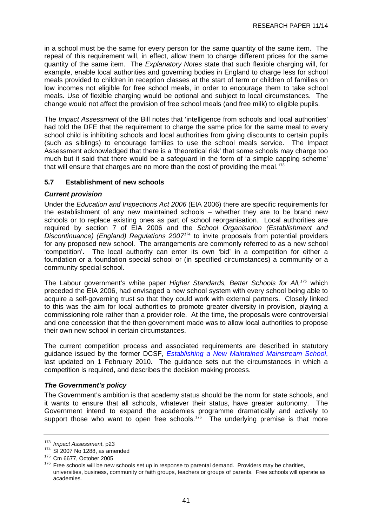<span id="page-44-0"></span>in a school must be the same for every person for the same quantity of the same item. The repeal of this requirement will, in effect, allow them to charge different prices for the same quantity of the same item. The *Explanatory Notes* state that such flexible charging will, for example, enable local authorities and governing bodies in England to charge less for school meals provided to children in reception classes at the start of term or children of families on low incomes not eligible for free school meals, in order to encourage them to take school meals. Use of flexible charging would be optional and subject to local circumstances. The change would not affect the provision of free school meals (and free milk) to eligible pupils.

The *Impact Assessment* of the Bill notes that 'intelligence from schools and local authorities' had told the DFE that the requirement to charge the same price for the same meal to every school child is inhibiting schools and local authorities from giving discounts to certain pupils (such as siblings) to encourage families to use the school meals service. The Impact Assessment acknowledged that there is a 'theoretical risk' that some schools may charge too much but it said that there would be a safeguard in the form of 'a simple capping scheme' that will ensure that charges are no more than the cost of providing the meal.<sup>[173](#page-44-0)</sup>

# **5.7 Establishment of new schools**

## *Current provision*

Under the *Education and Inspections Act 2006* (EIA 2006) there are specific requirements for the establishment of any new maintained schools – whether they are to be brand new schools or to replace existing ones as part of school reorganisation. Local authorities are required by section 7 of EIA 2006 and the *School Organisation (Establishment and Discontinuance) (England) Regulations 2007[174](#page-44-0)* to invite proposals from potential providers for any proposed new school. The arrangements are commonly referred to as a new school 'competition'. The local authority can enter its own 'bid' in a competition for either a foundation or a foundation special school or (in specified circumstances) a community or a community special school.

The Labour government's white paper *Higher Standards, Better Schools for All,[175](#page-44-0)* which preceded the EIA 2006, had envisaged a new school system with every school being able to acquire a self-governing trust so that they could work with external partners. Closely linked to this was the aim for local authorities to promote greater diversity in provision, playing a commissioning role rather than a provider role. At the time, the proposals were controversial and one concession that the then government made was to allow local authorities to propose their own new school in certain circumstances.

The current competition process and associated requirements are described in statutory guidance issued by the former DCSF, *[Establishing a New Maintained Mainstream School](http://www.dcsf.gov.uk/schoolorg/guidance.cfm?id=2)*, last updated on 1 February 2010. The guidance sets out the circumstances in which a competition is required, and describes the decision making process.

## *The Government's policy*

The Government's ambition is that academy status should be the norm for state schools, and it wants to ensure that all schools, whatever their status, have greater autonomy. The Government intend to expand the academies programme dramatically and actively to support those who want to open free schools.<sup>[176](#page-44-0)</sup> The underlying premise is that more

<sup>&</sup>lt;sup>173</sup> Impact Assessment, p23<br><sup>174</sup> SI 2007 No 1288, as amended<br><sup>175</sup> Cm 6677, October 2005<br><sup>176</sup> Free schools will be new schools set up in response to parental demand. Providers may be charities, universities, business, community or faith groups, teachers or groups of parents. Free schools will operate as academies.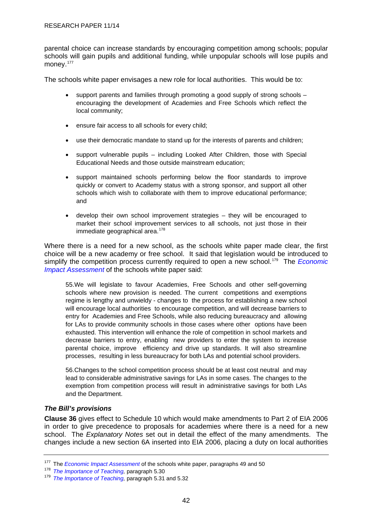<span id="page-45-0"></span>parental choice can increase standards by encouraging competition among schools; popular schools will gain pupils and additional funding, while unpopular schools will lose pupils and money.<sup>[177](#page-45-0)</sup>

The schools white paper envisages a new role for local authorities. This would be to:

- support parents and families through promoting a good supply of strong schools encouraging the development of Academies and Free Schools which reflect the local community;
- ensure fair access to all schools for every child;
- use their democratic mandate to stand up for the interests of parents and children;
- support vulnerable pupils including Looked After Children, those with Special Educational Needs and those outside mainstream education;
- support maintained schools performing below the floor standards to improve quickly or convert to Academy status with a strong sponsor, and support all other schools which wish to collaborate with them to improve educational performance; and
- develop their own school improvement strategies they will be encouraged to market their school improvement services to all schools, not just those in their immediate geographical area.<sup>[178](#page-45-0)</sup>

Where there is a need for a new school, as the schools white paper made clear, the first choice will be a new academy or free school. It said that legislation would be introduced to simplify the competition process currently required to open a new school.[179](#page-45-0) The *[Economic](http://media.education.gov.uk/assets/files/pdf/s/schools%20white%20paper%202010%20%20%20an%20economic%20impact%20assessment.pdf)  [Impact Assessment](http://media.education.gov.uk/assets/files/pdf/s/schools%20white%20paper%202010%20%20%20an%20economic%20impact%20assessment.pdf)* of the schools white paper said:

55.We will legislate to favour Academies, Free Schools and other self-governing schools where new provision is needed. The current competitions and exemptions regime is lengthy and unwieldy - changes to the process for establishing a new school will encourage local authorities to encourage competition, and will decrease barriers to entry for Academies and Free Schools, while also reducing bureaucracy and allowing for LAs to provide community schools in those cases where other options have been exhausted. This intervention will enhance the role of competition in school markets and decrease barriers to entry, enabling new providers to enter the system to increase parental choice, improve efficiency and drive up standards. It will also streamline processes, resulting in less bureaucracy for both LAs and potential school providers.

56.Changes to the school competition process should be at least cost neutral and may lead to considerable administrative savings for LAs in some cases. The changes to the exemption from competition process will result in administrative savings for both LAs and the Department.

## *The Bill's provisions*

**Clause 36** gives effect to Schedule 10 which would make amendments to Part 2 of EIA 2006 in order to give precedence to proposals for academies where there is a need for a new school. The *Explanatory Notes* set out in detail the effect of the many amendments. The changes include a new section 6A inserted into EIA 2006, placing a duty on local authorities

<sup>&</sup>lt;sup>177</sup>The *Economic Impact Assessment* of the schools white paper, paragraphs 49 and 50<br><sup>178</sup> *The Importance of Teaching, paragraph* 5.31 and 5.32<br><sup>179</sup> *The Importance of Teaching, paragraph* 5.31 and 5.32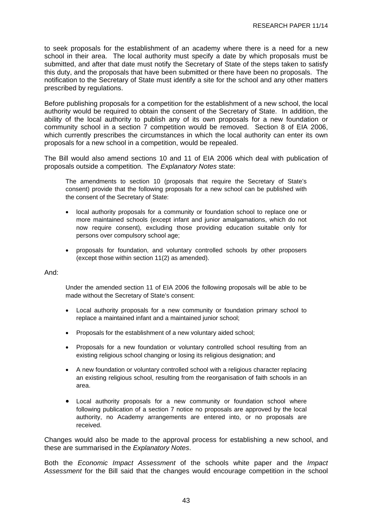to seek proposals for the establishment of an academy where there is a need for a new school in their area. The local authority must specify a date by which proposals must be submitted, and after that date must notify the Secretary of State of the steps taken to satisfy this duty, and the proposals that have been submitted or there have been no proposals. The notification to the Secretary of State must identify a site for the school and any other matters prescribed by regulations.

Before publishing proposals for a competition for the establishment of a new school, the local authority would be required to obtain the consent of the Secretary of State. In addition, the ability of the local authority to publish any of its own proposals for a new foundation or community school in a section 7 competition would be removed. Section 8 of EIA 2006, which currently prescribes the circumstances in which the local authority can enter its own proposals for a new school in a competition, would be repealed.

The Bill would also amend sections 10 and 11 of EIA 2006 which deal with publication of proposals outside a competition. The *Explanatory Notes* state:

The amendments to section 10 (proposals that require the Secretary of State's consent) provide that the following proposals for a new school can be published with the consent of the Secretary of State:

- local authority proposals for a community or foundation school to replace one or more maintained schools (except infant and junior amalgamations, which do not now require consent), excluding those providing education suitable only for persons over compulsory school age;
- proposals for foundation, and voluntary controlled schools by other proposers (except those within section 11(2) as amended).

And:

Under the amended section 11 of EIA 2006 the following proposals will be able to be made without the Secretary of State's consent:

- Local authority proposals for a new community or foundation primary school to replace a maintained infant and a maintained junior school;
- Proposals for the establishment of a new voluntary aided school;
- Proposals for a new foundation or voluntary controlled school resulting from an existing religious school changing or losing its religious designation; and
- A new foundation or voluntary controlled school with a religious character replacing an existing religious school, resulting from the reorganisation of faith schools in an area.
- Local authority proposals for a new community or foundation school where following publication of a section 7 notice no proposals are approved by the local authority, no Academy arrangements are entered into, or no proposals are received.

Changes would also be made to the approval process for establishing a new school, and these are summarised in the *Explanatory Notes*.

Both the *Economic Impact Assessment* of the schools white paper and the *Impact Assessment* for the Bill said that the changes would encourage competition in the school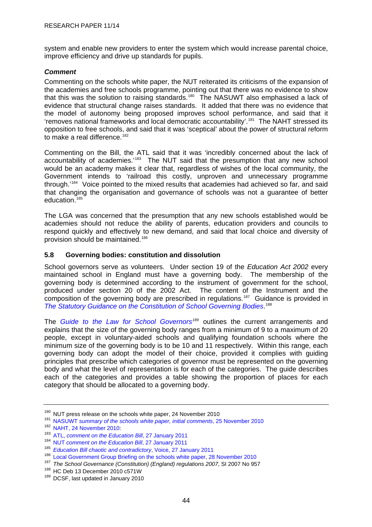<span id="page-47-0"></span>system and enable new providers to enter the system which would increase parental choice, improve efficiency and drive up standards for pupils.

## *Comment*

Commenting on the schools white paper, the NUT reiterated its criticisms of the expansion of the academies and free schools programme, pointing out that there was no evidence to show that this was the solution to raising standards.<sup>[180](#page-47-0)</sup> The NASUWT also emphasised a lack of evidence that structural change raises standards. It added that there was no evidence that the model of autonomy being proposed improves school performance, and said that it 'removes national frameworks and local democratic accountability'.[181](#page-47-0) The NAHT stressed its opposition to free schools, and said that it was 'sceptical' about the power of structural reform to make a real difference.<sup>[182](#page-47-0)</sup>

Commenting on the Bill, the ATL said that it was 'incredibly concerned about the lack of accountability of academies.<sup>[183](#page-47-0)</sup> The NUT said that the presumption that any new school would be an academy makes it clear that, regardless of wishes of the local community, the Government intends to 'railroad this costly, unproven and unnecessary programme through.'[184](#page-47-0) Voice pointed to the mixed results that academies had achieved so far, and said that changing the organisation and governance of schools was not a guarantee of better education.<sup>[185](#page-47-0)</sup>

The LGA was concerned that the presumption that any new schools established would be academies should not reduce the ability of parents, education providers and councils to respond quickly and effectively to new demand, and said that local choice and diversity of provision should be maintained.[186](#page-47-0)

# **5.8 Governing bodies: constitution and dissolution**

School governors serve as volunteers. Under section 19 of the *Education Act 2002* every maintained school in England must have a governing body. The membership of the governing body is determined according to the instrument of government for the school, produced under section 20 of the 2002 Act. The content of the Instrument and the composition of the governing body are prescribed in regulations.<sup>[187](#page-47-0)</sup> Guidance is provided in *[The Statutory Guidance on the Constitution of School Governing Bodies](http://www.governornet.co.uk/publishArticle.cfm?contentId=1342)*. [188](#page-47-0)

The *[Guide to the Law for School Governors](http://www.governornet.co.uk/linkAttachments/GTTL%2024.10.09.pdf)[189](#page-47-0)* outlines the current arrangements and explains that the size of the governing body ranges from a minimum of 9 to a maximum of 20 people, except in voluntary-aided schools and qualifying foundation schools where the minimum size of the governing body is to be 10 and 11 respectively. Within this range, each governing body can adopt the model of their choice, provided it complies with guiding principles that prescribe which categories of governor must be represented on the governing body and what the level of representation is for each of the categories. The guide describes each of the categories and provides a table showing the proportion of places for each category that should be allocated to a governing body.

<sup>&</sup>lt;sup>180</sup> NUT press release on the schools white paper, 24 November 2010<br><sup>181</sup> NASUWT summary of the schools white paper, initial comments, 25 November 2010<br><sup>182</sup> [NAHT, 24 November 2010](http://www.naht.org.uk/welcome/resources/key-topics/government-policy/initiative-overload-carries-a-cost/):<br><sup>183</sup> ATL. comment on the Education Bi

<sup>184</sup> NUT *[comment on the Education Bill](http://www.teachers.org.uk/node/12378)*, 27 January 2011

<sup>185</sup> *[Education Bill chaotic and contradictory](http://www.voicetheunion.org.uk/index.cfm/page/_sections.contentdetail.cfm/navid/11/parentid/0/id/1950)*, Voice, 27 January 2011

<sup>186</sup> [Local Government Group Briefing on the schools white paper, 28 November 2010](http://www.lga.gov.uk/lga/core/page.do?pageId=15189004)

<sup>&</sup>lt;sup>187</sup> The School Governance (Constitution) (England) regulations 2007, SI 2007 No 957<br><sup>188</sup> HC Deb 13 December 2010 c571W<br><sup>189</sup> DCSF, last updated in January 2010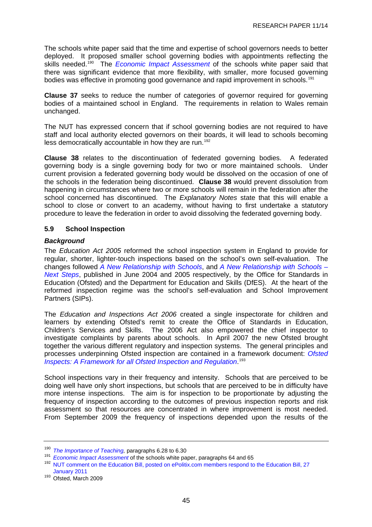<span id="page-48-0"></span>The schools white paper said that the time and expertise of school governors needs to better deployed. It proposed smaller school governing bodies with appointments reflecting the skills needed.<sup>[190](#page-48-0)</sup> The *[Economic Impact Assessment](http://media.education.gov.uk/assets/files/pdf/s/schools%20white%20paper%202010%20%20%20an%20economic%20impact%20assessment.pdf)* of the schools white paper said that there was significant evidence that more flexibility, with smaller, more focused governing bodies was effective in promoting good governance and rapid improvement in schools.<sup>[191](#page-48-0)</sup>

**Clause 37** seeks to reduce the number of categories of governor required for governing bodies of a maintained school in England. The requirements in relation to Wales remain unchanged.

The NUT has expressed concern that if school governing bodies are not required to have staff and local authority elected governors on their boards, it will lead to schools becoming less democratically accountable in how they are run.<sup>[192](#page-48-0)</sup>

**Clause 38** relates to the discontinuation of federated governing bodies. A federated governing body is a single governing body for two or more maintained schools. Under current provision a federated governing body would be dissolved on the occasion of one of the schools in the federation being discontinued. **Clause 38** would prevent dissolution from happening in circumstances where two or more schools will remain in the federation after the school concerned has discontinued. The *Explanatory Notes* state that this will enable a school to close or convert to an academy, without having to first undertake a statutory procedure to leave the federation in order to avoid dissolving the federated governing body.

## **5.9 School Inspection**

## *Background*

The *Education Act 2005* reformed the school inspection system in England to provide for regular, shorter, lighter-touch inspections based on the school's own self-evaluation. The changes followed *A New Relationship with Schools*, and *A New Relationship with Schools – Next Steps*, published in June 2004 and 2005 respectively, by the Office for Standards in Education (Ofsted) and the Department for Education and Skills (DfES). At the heart of the reformed inspection regime was the school's self-evaluation and School Improvement Partners (SIPs).

The *Education and Inspections Act 2006* created a single inspectorate for children and learners by extending Ofsted's remit to create the Office of Standards in Education, Children's Services and Skills. The 2006 Act also empowered the chief inspector to investigate complaints by parents about schools. In April 2007 the new Ofsted brought together the various different regulatory and inspection systems. The general principles and processes underpinning Ofsted inspection are contained in a framework document: *[Ofsted](http://www.ofsted.gov.uk/Ofsted-home/Forms-and-guidance/Browse-all-by/Other/General/Ofsted-inspects/(language)/eng-GB)  [Inspects: A Framework for all Ofsted Inspection and Regulation](http://www.ofsted.gov.uk/Ofsted-home/Forms-and-guidance/Browse-all-by/Other/General/Ofsted-inspects/(language)/eng-GB)*. [193](#page-48-0)

School inspections vary in their frequency and intensity. Schools that are perceived to be doing well have only short inspections, but schools that are perceived to be in difficulty have more intense inspections. The aim is for inspection to be proportionate by adjusting the frequency of inspection according to the outcomes of previous inspection reports and risk assessment so that resources are concentrated in where improvement is most needed. From September 2009 the frequency of inspections depended upon the results of the

<sup>&</sup>lt;sup>190</sup> The Importance of Teaching, paragraphs 6.28 to 6.30<br><sup>191</sup> Economic Impact Assessment of the schools white paper, paragraphs 64 and 65<br><sup>192</sup> NUT comment on the Education Bill, posted on ePolitix.com members respond to [January 2011](http://www.epolitix.com/policy/education/education-article/newsarticle/education-bill-will-reduce-pupil-rights/)

<sup>193</sup> Ofsted, March 2009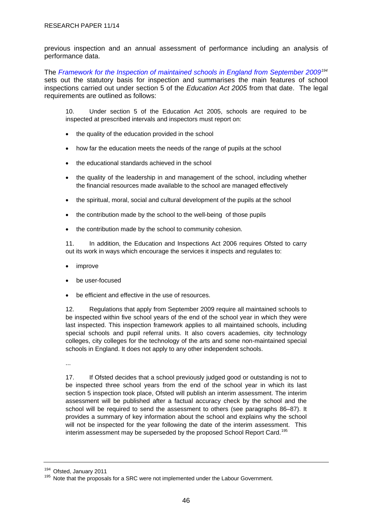<span id="page-49-0"></span>previous inspection and an annual assessment of performance including an analysis of performance data.

The *[Framework for the Inspection of maintained schools in England from September 2009](http://www.ofsted.gov.uk/Ofsted-home/Forms-and-guidance/Browse-all-by/Other/General/Framework-for-the-inspection-of-maintained-schools-in-England-from-September-2009)[194](#page-49-0)* sets out the statutory basis for inspection and summarises the main features of school inspections carried out under section 5 of the *Education Act 2005* from that date. The legal requirements are outlined as follows:

10. Under section 5 of the Education Act 2005, schools are required to be inspected at prescribed intervals and inspectors must report on:

- the quality of the education provided in the school
- how far the education meets the needs of the range of pupils at the school
- the educational standards achieved in the school
- the quality of the leadership in and management of the school, including whether the financial resources made available to the school are managed effectively
- the spiritual, moral, social and cultural development of the pupils at the school
- the contribution made by the school to the well-being of those pupils
- the contribution made by the school to community cohesion.

11. In addition, the Education and Inspections Act 2006 requires Ofsted to carry out its work in ways which encourage the services it inspects and regulates to:

- improve
- be user-focused
- be efficient and effective in the use of resources.

12. Regulations that apply from September 2009 require all maintained schools to be inspected within five school years of the end of the school year in which they were last inspected. This inspection framework applies to all maintained schools, including special schools and pupil referral units. It also covers academies, city technology colleges, city colleges for the technology of the arts and some non-maintained special schools in England. It does not apply to any other independent schools.

...

17. If Ofsted decides that a school previously judged good or outstanding is not to be inspected three school years from the end of the school year in which its last section 5 inspection took place, Ofsted will publish an interim assessment. The interim assessment will be published after a factual accuracy check by the school and the school will be required to send the assessment to others (see paragraphs 86–87). It provides a summary of key information about the school and explains why the school will not be inspected for the year following the date of the interim assessment. This interim assessment may be superseded by the proposed School Report Card.<sup>[195](#page-49-0)</sup>

<sup>&</sup>lt;sup>194</sup> Ofsted, January 2011<br><sup>195</sup> Note that the proposals for a SRC were not implemented under the Labour Government.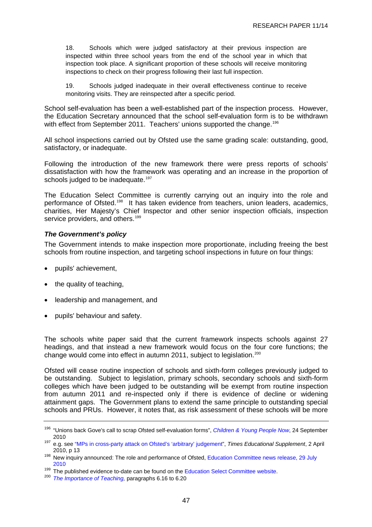<span id="page-50-0"></span>18. Schools which were judged satisfactory at their previous inspection are inspected within three school years from the end of the school year in which that inspection took place. A significant proportion of these schools will receive monitoring inspections to check on their progress following their last full inspection.

19. Schools judged inadequate in their overall effectiveness continue to receive monitoring visits. They are reinspected after a specific period.

School self-evaluation has been a well-established part of the inspection process. However, the Education Secretary announced that the school self-evaluation form is to be withdrawn with effect from September 2011. Teachers' unions supported the change.<sup>[196](#page-50-0)</sup>

All school inspections carried out by Ofsted use the same grading scale: outstanding, good, satisfactory, or inadequate.

Following the introduction of the new framework there were press reports of schools' dissatisfaction with how the framework was operating and an increase in the proportion of schools judged to be inadequate.<sup>[197](#page-50-0)</sup>

The Education Select Committee is currently carrying out an inquiry into the role and performance of Ofsted.[198](#page-50-0) It has taken evidence from teachers, union leaders, academics, charities, Her Majesty's Chief Inspector and other senior inspection officials, inspection service providers, and others.<sup>[199](#page-50-0)</sup>

## *The Government's policy*

The Government intends to make inspection more proportionate, including freeing the best schools from routine inspection, and targeting school inspections in future on four things:

- pupils' achievement,
- the quality of teaching,
- leadership and management, and
- pupils' behaviour and safety.

The schools white paper said that the current framework inspects schools against 27 headings, and that instead a new framework would focus on the four core functions; the change would come into effect in autumn 2011, subject to legislation.<sup>[200](#page-50-0)</sup>

Ofsted will cease routine inspection of schools and sixth-form colleges previously judged to be outstanding. Subject to legislation, primary schools, secondary schools and sixth-form colleges which have been judged to be outstanding will be exempt from routine inspection from autumn 2011 and re-inspected only if there is evidence of decline or widening attainment gaps. The Government plans to extend the same principle to outstanding special schools and PRUs. However, it notes that, as risk assessment of these schools will be more

<sup>196 &</sup>quot;Unions back Gove's call to scrap Ofsted self-evaluation forms", *[Children & Young People Now](http://www.cypnow.co.uk/news/ByDiscipline/Education/1030701/Unions-back-Goves-call-scrap-Ofsted-self-evaluation-forms/)*, 24 September

<sup>2010 197</sup> e.g. see ["MPs in cross-party attack on Ofsted's 'arbitrary' judgement"](http://www.tes.co.uk/article.aspx?storycode=6040334), *Times Educational Supplement*, 2 April

<sup>2010,</sup> p 13<br><sup>198</sup> New inquiry announced: The role and performance of Ofsted, Education Committee news release, 29 July 2010

<sup>199</sup> The published evidence to-date can be found on the [Education Select Committee website.](http://www.parliament.uk/business/committees/committees-a-z/commons-select/education-committee/publications/) 200 *The Importance of Teaching,* paragraphs 6.16 to 6.20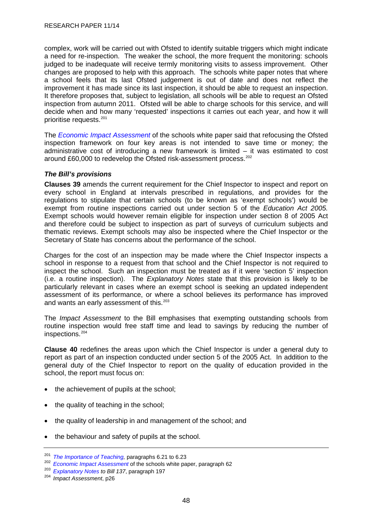<span id="page-51-0"></span>complex, work will be carried out with Ofsted to identify suitable triggers which might indicate a need for re-inspection. The weaker the school, the more frequent the monitoring: schools judged to be inadequate will receive termly monitoring visits to assess improvement. Other changes are proposed to help with this approach. The schools white paper notes that where a school feels that its last Ofsted judgement is out of date and does not reflect the improvement it has made since its last inspection, it should be able to request an inspection. It therefore proposes that, subject to legislation, all schools will be able to request an Ofsted inspection from autumn 2011. Ofsted will be able to charge schools for this service, and will decide when and how many 'requested' inspections it carries out each year, and how it will prioritise requests.<sup>[201](#page-51-0)</sup>

The *[Economic Impact Assessment](http://media.education.gov.uk/assets/files/pdf/s/schools%20white%20paper%202010%20%20%20an%20economic%20impact%20assessment.pdf)* of the schools white paper said that refocusing the Ofsted inspection framework on four key areas is not intended to save time or money; the administrative cost of introducing a new framework is limited – it was estimated to cost around £60,000 to redevelop the Ofsted risk-assessment process.<sup>[202](#page-51-0)</sup>

## *The Bill's provisions*

**Clauses 39** amends the current requirement for the Chief Inspector to inspect and report on every school in England at intervals prescribed in regulations, and provides for the regulations to stipulate that certain schools (to be known as 'exempt schools') would be exempt from routine inspections carried out under section 5 of the *Education Act 2005.* Exempt schools would however remain eligible for inspection under section 8 of 2005 Act and therefore could be subject to inspection as part of surveys of curriculum subjects and thematic reviews. Exempt schools may also be inspected where the Chief Inspector or the Secretary of State has concerns about the performance of the school.

Charges for the cost of an inspection may be made where the Chief Inspector inspects a school in response to a request from that school and the Chief Inspector is not required to inspect the school. Such an inspection must be treated as if it were 'section 5' inspection (i.e. a routine inspection). The *Explanatory Notes* state that this provision is likely to be particularly relevant in cases where an exempt school is seeking an updated independent assessment of its performance, or where a school believes its performance has improved and wants an early assessment of this.<sup>[203](#page-51-0)</sup>

The *Impact Assessment* to the Bill emphasises that exempting outstanding schools from routine inspection would free staff time and lead to savings by reducing the number of inspections.[204](#page-51-0)

**Clause 40** redefines the areas upon which the Chief Inspector is under a general duty to report as part of an inspection conducted under section 5 of the 2005 Act. In addition to the general duty of the Chief Inspector to report on the quality of education provided in the school, the report must focus on:

- the achievement of pupils at the school;
- the quality of teaching in the school;
- the quality of leadership in and management of the school; and
- the behaviour and safety of pupils at the school.

<sup>&</sup>lt;sup>201</sup>The Importance of Teaching, paragraphs 6.21 to 6.23<br><sup>202</sup> Economic Impact Assessment of the schools white paper, paragraph 62<br><sup>203</sup> Explanatory Notes to Bill 137, paragraph 197<br><sup>204</sup> Impact Assessment, p26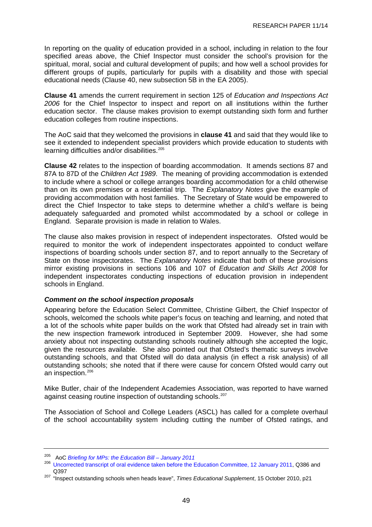<span id="page-52-0"></span>In reporting on the quality of education provided in a school, including in relation to the four specified areas above, the Chief Inspector must consider the school's provision for the spiritual, moral, social and cultural development of pupils; and how well a school provides for different groups of pupils, particularly for pupils with a disability and those with special educational needs (Clause 40, new subsection 5B in the EA 2005).

**Clause 41** amends the current requirement in section 125 of *Education and Inspections Act 2006* for the Chief Inspector to inspect and report on all institutions within the further education sector. The clause makes provision to exempt outstanding sixth form and further education colleges from routine inspections.

The AoC said that they welcomed the provisions in **clause 41** and said that they would like to see it extended to independent specialist providers which provide education to students with learning difficulties and/or disabilities.<sup>[205](#page-52-0)</sup>

**Clause 42** relates to the inspection of boarding accommodation. It amends sections 87 and 87A to 87D of the *Children Act 1989*. The meaning of providing accommodation is extended to include where a school or college arranges boarding accommodation for a child otherwise than on its own premises or a residential trip. The *Explanatory Notes* give the example of providing accommodation with host families. The Secretary of State would be empowered to direct the Chief Inspector to take steps to determine whether a child's welfare is being adequately safeguarded and promoted whilst accommodated by a school or college in England. Separate provision is made in relation to Wales.

The clause also makes provision in respect of independent inspectorates. Ofsted would be required to monitor the work of independent inspectorates appointed to conduct welfare inspections of boarding schools under section 87, and to report annually to the Secretary of State on those inspectorates. The *Explanatory Notes* indicate that both of these provisions mirror existing provisions in sections 106 and 107 of *Education and Skills Act 2008* for independent inspectorates conducting inspections of education provision in independent schools in England.

### *Comment on the school inspection proposals*

Appearing before the Education Select Committee, Christine Gilbert, the Chief Inspector of schools, welcomed the schools white paper's focus on teaching and learning, and noted that a lot of the schools white paper builds on the work that Ofsted had already set in train with the new inspection framework introduced in September 2009. However, she had some anxiety about not inspecting outstanding schools routinely although she accepted the logic, given the resources available. She also pointed out that Ofsted's thematic surveys involve outstanding schools, and that Ofsted will do data analysis (in effect a risk analysis) of all outstanding schools; she noted that if there were cause for concern Ofsted would carry out an inspection.<sup>[206](#page-52-0)</sup>

Mike Butler, chair of the Independent Academies Association, was reported to have warned against ceasing routine inspection of outstanding schools.<sup>[207](#page-52-0)</sup>

The Association of School and College Leaders (ASCL) has called for a complete overhaul of the school accountability system including cutting the number of Ofsted ratings, and

<sup>205</sup> AoC *Briefing for MPs: the Education Bill – January 2011*

<sup>206</sup> [Uncorrected transcript of oral evidence taken before the Education Committee, 12 January 2011,](http://www.publications.parliament.uk/pa/cm201011/cmselect/cmeduc/uc570-v/uc57001.htm) Q386 and Q397 207 "Inspect outstanding schools when heads leave", *Times Educational Supplement*, 15 October 2010, p21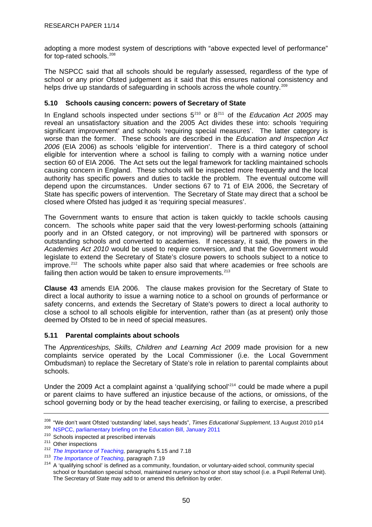<span id="page-53-0"></span>adopting a more modest system of descriptions with "above expected level of performance" for top-rated schools.<sup>[208](#page-53-0)</sup>

The NSPCC said that all schools should be regularly assessed, regardless of the type of school or any prior Ofsted judgement as it said that this ensures national consistency and helps drive up standards of safeguarding in schools across the whole country.<sup>[209](#page-53-0)</sup>

## **5.10 Schools causing concern: powers of Secretary of State**

In England schools inspected under sections 5<sup>[210](#page-53-0)</sup> or 8<sup>[211](#page-53-0)</sup> of the *Education Act 2005* may reveal an unsatisfactory situation and the 2005 Act divides these into: schools 'requiring significant improvement' and schools 'requiring special measures'. The latter category is worse than the former. These schools are described in the *Education and Inspection Act 2006* (EIA 2006) as schools 'eligible for intervention'. There is a third category of school eligible for intervention where a school is failing to comply with a warning notice under section 60 of EIA 2006. The Act sets out the legal framework for tackling maintained schools causing concern in England. These schools will be inspected more frequently and the local authority has specific powers and duties to tackle the problem. The eventual outcome will depend upon the circumstances. Under sections 67 to 71 of EIA 2006, the Secretary of State has specific powers of intervention. The Secretary of State may direct that a school be closed where Ofsted has judged it as 'requiring special measures'.

The Government wants to ensure that action is taken quickly to tackle schools causing concern. The schools white paper said that the very lowest-performing schools (attaining poorly and in an Ofsted category, or not improving) will be partnered with sponsors or outstanding schools and converted to academies. If necessary, it said, the powers in the *Academies Act 2010* would be used to require conversion, and that the Government would legislate to extend the Secretary of State's closure powers to schools subject to a notice to improve.<sup>[212](#page-53-0)</sup> The schools white paper also said that where academies or free schools are failing then action would be taken to ensure improvements.<sup>[213](#page-53-0)</sup>

**Clause 43** amends EIA 2006. The clause makes provision for the Secretary of State to direct a local authority to issue a warning notice to a school on grounds of performance or safety concerns, and extends the Secretary of State's powers to direct a local authority to close a school to all schools eligible for intervention, rather than (as at present) only those deemed by Ofsted to be in need of special measures.

## **5.11 Parental complaints about schools**

The *Apprenticeships, Skills, Children and Learning Act 2009* made provision for a new complaints service operated by the Local Commissioner (i.e. the Local Government Ombudsman) to replace the Secretary of State's role in relation to parental complaints about schools.

Under the 2009 Act a complaint against a 'qualifying school'<sup>[214](#page-53-0)</sup> could be made where a pupil or parent claims to have suffered an injustice because of the actions, or omissions, of the school governing body or by the head teacher exercising, or failing to exercise, a prescribed

<sup>&</sup>lt;sup>208</sup> "We don't want Ofsted 'outstanding' label, says heads", *Times Educational Supplement*, 13 August 2010 p14<br><sup>209</sup> [NSPCC, parliamentary briefing on the Education Bill, January 2011](http://www.nspcc.org.uk/Inform/policyandpublicaffairs/westminster/briefings/education_bill_wdf80536.pdf)<br><sup>210</sup> Schools inspected at prescribed

<sup>&</sup>lt;sup>211</sup> Other inspections<br>
<sup>212</sup> The Importance of Teaching, paragraphs 5.15 and 7.18<br>
<sup>213</sup> The Importance of Teaching, paragraph 7.19<br>
<sup>214</sup> A 'qualifving school' is defined as a community, foundation, or voluntary-aided s school or foundation special school, maintained nursery school or short stay school (i.e. a Pupil Referral Unit). The Secretary of State may add to or amend this definition by order.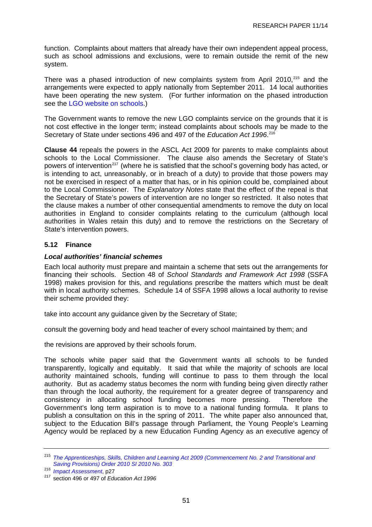<span id="page-54-0"></span>function. Complaints about matters that already have their own independent appeal process, such as school admissions and exclusions, were to remain outside the remit of the new system.

There was a phased introduction of new complaints system from April 2010,<sup>[215](#page-54-0)</sup> and the arrangements were expected to apply nationally from September 2011. 14 local authorities have been operating the new system. (For further information on the phased introduction see the [LGO website on schools](http://www.lgo.org.uk/schools/).)

The Government wants to remove the new LGO complaints service on the grounds that it is not cost effective in the longer term; instead complaints about schools may be made to the Secretary of State under sections 496 and 497 of the *Education Act 1996*. [216](#page-54-0)

**Clause 44** repeals the powers in the ASCL Act 2009 for parents to make complaints about schools to the Local Commissioner. The clause also amends the Secretary of State's powers of intervention<sup>[217](#page-54-0)</sup> (where he is satisfied that the school's governing body has acted, or is intending to act, unreasonably, or in breach of a duty) to provide that those powers may not be exercised in respect of a matter that has, or in his opinion could be, complained about to the Local Commissioner. The *Explanatory Notes* state that the effect of the repeal is that the Secretary of State's powers of intervention are no longer so restricted. It also notes that the clause makes a number of other consequential amendments to remove the duty on local authorities in England to consider complaints relating to the curriculum (although local authorities in Wales retain this duty) and to remove the restrictions on the Secretary of State's intervention powers.

# **5.12 Finance**

## *Local authorities' financial schemes*

Each local authority must prepare and maintain a scheme that sets out the arrangements for financing their schools. Section 48 of *School Standards and Framework Act 1998* (SSFA 1998) makes provision for this, and regulations prescribe the matters which must be dealt with in local authority schemes. Schedule 14 of SSFA 1998 allows a local authority to revise their scheme provided they:

take into account any guidance given by the Secretary of State;

consult the governing body and head teacher of every school maintained by them; and

the revisions are approved by their schools forum.

The schools white paper said that the Government wants all schools to be funded transparently, logically and equitably. It said that while the majority of schools are local authority maintained schools, funding will continue to pass to them through the local authority. But as academy status becomes the norm with funding being given directly rather than through the local authority, the requirement for a greater degree of transparency and consistency in allocating school funding becomes more pressing. Therefore the Government's long term aspiration is to move to a national funding formula. It plans to publish a consultation on this in the spring of 2011. The white paper also announced that, subject to the Education Bill's passage through Parliament, the Young People's Learning Agency would be replaced by a new Education Funding Agency as an executive agency of

<sup>215</sup> *[The Apprenticeships, Skills, Children and Learning Act 2009 \(Commencement No. 2 and Transitional and](http://www.england-legislation.hmso.gov.uk/si/si2010/uksi_20100303_en_4)* 

*Saving Provisions) Order 2010 SI 2010 No. 303* 216 *Impact Assessment*, p27 217 section 496 or 497 of *Education Act 1996*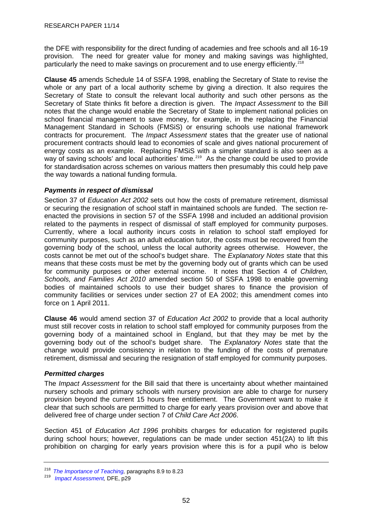<span id="page-55-0"></span>the DFE with responsibility for the direct funding of academies and free schools and all 16-19 provision. The need for greater value for money and making savings was highlighted, particularly the need to make savings on procurement and to use energy efficiently.<sup>[218](#page-55-0)</sup>

**Clause 45** amends Schedule 14 of SSFA 1998, enabling the Secretary of State to revise the whole or any part of a local authority scheme by giving a direction. It also requires the Secretary of State to consult the relevant local authority and such other persons as the Secretary of State thinks fit before a direction is given. The *Impact Assessment* to the Bill notes that the change would enable the Secretary of State to implement national policies on school financial management to save money, for example, in the replacing the Financial Management Standard in Schools (FMSiS) or ensuring schools use national framework contracts for procurement. The *Impact Assessment* states that the greater use of national procurement contracts should lead to economies of scale and gives national procurement of energy costs as an example. Replacing FMSiS with a simpler standard is also seen as a way of saving schools' and local authorities' time.<sup>[219](#page-55-0)</sup> As the change could be used to provide for standardisation across schemes on various matters then presumably this could help pave the way towards a national funding formula.

## *Payments in respect of dismissal*

Section 37 of *Education Act 2002* sets out how the costs of premature retirement, dismissal or securing the resignation of school staff in maintained schools are funded. The section reenacted the provisions in section 57 of the SSFA 1998 and included an additional provision related to the payments in respect of dismissal of staff employed for community purposes. Currently, where a local authority incurs costs in relation to school staff employed for community purposes, such as an adult education tutor, the costs must be recovered from the governing body of the school, unless the local authority agrees otherwise. However, the costs cannot be met out of the school's budget share. The *Explanatory Notes* state that this means that these costs must be met by the governing body out of grants which can be used for community purposes or other external income. It notes that Section 4 of *Children, Schools, and Families Act 2010* amended section 50 of SSFA 1998 to enable governing bodies of maintained schools to use their budget shares to finance the provision of community facilities or services under section 27 of EA 2002; this amendment comes into force on 1 April 2011.

**Clause 46** would amend section 37 of *Education Act 2002* to provide that a local authority must still recover costs in relation to school staff employed for community purposes from the governing body of a maintained school in England, but that they may be met by the governing body out of the school's budget share. The *Explanatory Notes* state that the change would provide consistency in relation to the funding of the costs of premature retirement, dismissal and securing the resignation of staff employed for community purposes.

## *Permitted charges*

The *Impact Assessment* for the Bill said that there is uncertainty about whether maintained nursery schools and primary schools with nursery provision are able to charge for nursery provision beyond the current 15 hours free entitlement. The Government want to make it clear that such schools are permitted to charge for early years provision over and above that delivered free of charge under section 7 of *Child Care Act 2006*.

Section 451 of *Education Act 1996* prohibits charges for education for registered pupils during school hours; however, regulations can be made under section 451(2A) to lift this prohibition on charging for early years provision where this is for a pupil who is below

<sup>218</sup>*The Importance of Teaching,* paragraphs 8.9 to 8.23 219 *Impact Assessment,* DFE, p29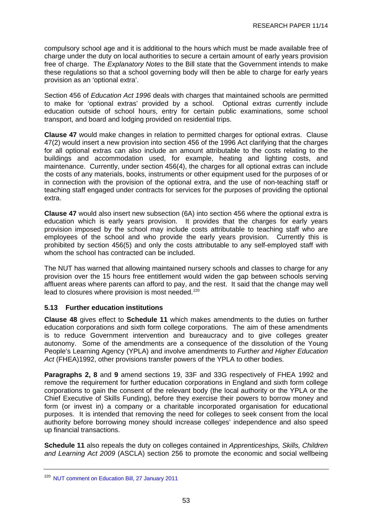<span id="page-56-0"></span>compulsory school age and it is additional to the hours which must be made available free of charge under the duty on local authorities to secure a certain amount of early years provision free of charge. The *Explanatory Notes* to the Bill state that the Government intends to make these regulations so that a school governing body will then be able to charge for early years provision as an 'optional extra'.

Section 456 of *Education Act 1996* deals with charges that maintained schools are permitted to make for 'optional extras' provided by a school. Optional extras currently include education outside of school hours, entry for certain public examinations, some school transport, and board and lodging provided on residential trips.

**Clause 47** would make changes in relation to permitted charges for optional extras. Clause 47(2) would insert a new provision into section 456 of the 1996 Act clarifying that the charges for all optional extras can also include an amount attributable to the costs relating to the buildings and accommodation used, for example, heating and lighting costs, and maintenance. Currently, under section 456(4), the charges for all optional extras can include the costs of any materials, books, instruments or other equipment used for the purposes of or in connection with the provision of the optional extra, and the use of non-teaching staff or teaching staff engaged under contracts for services for the purposes of providing the optional extra.

**Clause 47** would also insert new subsection (6A) into section 456 where the optional extra is education which is early years provision. It provides that the charges for early years provision imposed by the school may include costs attributable to teaching staff who are employees of the school and who provide the early years provision. Currently this is prohibited by section 456(5) and only the costs attributable to any self-employed staff with whom the school has contracted can be included.

The NUT has warned that allowing maintained nursery schools and classes to charge for any provision over the 15 hours free entitlement would widen the gap between schools serving affluent areas where parents can afford to pay, and the rest. It said that the change may well lead to closures where provision is most needed.<sup>[220](#page-56-0)</sup>

## **5.13 Further education institutions**

**Clause 48** gives effect to **Schedule 11** which makes amendments to the duties on further education corporations and sixth form college corporations. The aim of these amendments is to reduce Government intervention and bureaucracy and to give colleges greater autonomy. Some of the amendments are a consequence of the dissolution of the Young People's Learning Agency (YPLA) and involve amendments to *Further and Higher Education Act* (FHEA)1992, other provisions transfer powers of the YPLA to other bodies.

**Paragraphs 2, 8** and **9** amend sections 19, 33F and 33G respectively of FHEA 1992 and remove the requirement for further education corporations in England and sixth form college corporations to gain the consent of the relevant body (the local authority or the YPLA or the Chief Executive of Skills Funding), before they exercise their powers to borrow money and form (or invest in) a company or a charitable incorporated organisation for educational purposes. It is intended that removing the need for colleges to seek consent from the local authority before borrowing money should increase colleges' independence and also speed up financial transactions.

**Schedule 11** also repeals the duty on colleges contained in *Apprenticeships, Skills, Children and Learning Act 2009* (ASCLA) section 256 to promote the economic and social wellbeing

<sup>&</sup>lt;sup>220</sup> [NUT comment on Education Bill, 27 January 2011](http://www.teachers.org.uk/node/12378)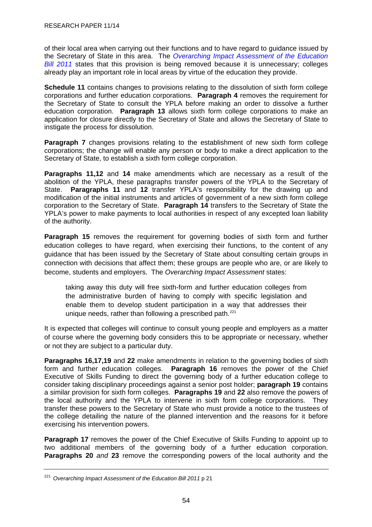<span id="page-57-0"></span>of their local area when carrying out their functions and to have regard to guidance issued by the Secretary of State in this area. The *[Overarching Impact Assessment of the Education](http://media.education.gov.uk/assets/files/pdf/e/education%20bill%20impact%20assessment.pdf)  [Bill 2011](http://media.education.gov.uk/assets/files/pdf/e/education%20bill%20impact%20assessment.pdf)* states that this provision is being removed because it is unnecessary; colleges already play an important role in local areas by virtue of the education they provide.

**Schedule 11** contains changes to provisions relating to the dissolution of sixth form college corporations and further education corporations. **Paragraph 4** removes the requirement for the Secretary of State to consult the YPLA before making an order to dissolve a further education corporation. **Paragraph 13** allows sixth form college corporations to make an application for closure directly to the Secretary of State and allows the Secretary of State to instigate the process for dissolution.

**Paragraph 7** changes provisions relating to the establishment of new sixth form college corporations; the change will enable any person or body to make a direct application to the Secretary of State, to establish a sixth form college corporation.

**Paragraphs 11,12** and **14** make amendments which are necessary as a result of the abolition of the YPLA, these paragraphs transfer powers of the YPLA to the Secretary of State. **Paragraphs 11** and **12** transfer YPLA's responsibility for the drawing up and modification of the initial instruments and articles of government of a new sixth form college corporation to the Secretary of State. **Paragraph 14** transfers to the Secretary of State the YPLA's power to make payments to local authorities in respect of any excepted loan liability of the authority.

**Paragraph 15** removes the requirement for governing bodies of sixth form and further education colleges to have regard, when exercising their functions, to the content of any guidance that has been issued by the Secretary of State about consulting certain groups in connection with decisions that affect them; these groups are people who are, or are likely to become, students and employers. The *Overarching Impact Assessment* states:

taking away this duty will free sixth-form and further education colleges from the administrative burden of having to comply with specific legislation and enable them to develop student participation in a way that addresses their unique needs, rather than following a prescribed path. $221$ 

It is expected that colleges will continue to consult young people and employers as a matter of course where the governing body considers this to be appropriate or necessary, whether or not they are subject to a particular duty.

**Paragraphs 16,17,19** and **22** make amendments in relation to the governing bodies of sixth form and further education colleges. **Paragraph 16** removes the power of the Chief Executive of Skills Funding to direct the governing body of a further education college to consider taking disciplinary proceedings against a senior post holder; **paragraph 19** contains a similar provision for sixth form colleges. **Paragraphs 19** and **22** also remove the powers of the local authority and the YPLA to intervene in sixth form college corporations. They transfer these powers to the Secretary of State who must provide a notice to the trustees of the college detailing the nature of the planned intervention and the reasons for it before exercising his intervention powers.

**Paragraph 17** removes the power of the Chief Executive of Skills Funding to appoint up to two additional members of the governing body of a further education corporation. **Paragraphs 20** *and* **23** remove the corresponding powers of the local authority and the

<sup>221</sup> *Overarching Impact Assessment of the Education Bill 2011* p 21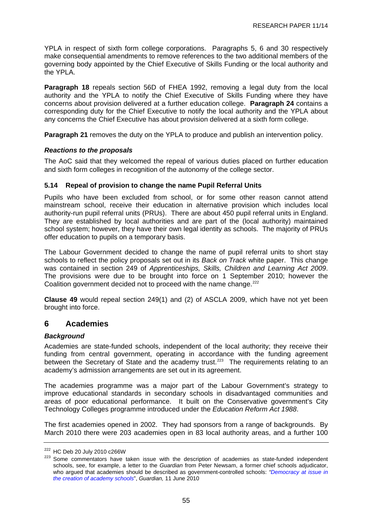<span id="page-58-0"></span>YPLA in respect of sixth form college corporations. Paragraphs 5, 6 and 30 respectively make consequential amendments to remove references to the two additional members of the governing body appointed by the Chief Executive of Skills Funding or the local authority and the YPLA.

**Paragraph 18** repeals section 56D of FHEA 1992, removing a legal duty from the local authority and the YPLA to notify the Chief Executive of Skills Funding where they have concerns about provision delivered at a further education college. **Paragraph 24** contains a corresponding duty for the Chief Executive to notify the local authority and the YPLA about any concerns the Chief Executive has about provision delivered at a sixth form college.

**Paragraph 21** removes the duty on the YPLA to produce and publish an intervention policy.

## *Reactions to the proposals*

The AoC said that they welcomed the repeal of various duties placed on further education and sixth form colleges in recognition of the autonomy of the college sector.

## **5.14 Repeal of provision to change the name Pupil Referral Units**

Pupils who have been excluded from school, or for some other reason cannot attend mainstream school, receive their education in alternative provision which includes local authority-run pupil referral units (PRUs). There are about 450 pupil referral units in England. They are established by local authorities and are part of the (local authority) maintained school system; however, they have their own legal identity as schools. The majority of PRUs offer education to pupils on a temporary basis.

The Labour Government decided to change the name of pupil referral units to short stay schools to reflect the policy proposals set out in its *Back on Track* white paper. This change was contained in section 249 of *Apprenticeships, Skills, Children and Learning Act 2009*. The provisions were due to be brought into force on 1 September 2010; however the Coalition government decided not to proceed with the name change.<sup>[222](#page-58-0)</sup>

**Clause 49** would repeal section 249(1) and (2) of ASCLA 2009, which have not yet been brought into force.

# **6 Academies**

## *Background*

Academies are state-funded schools, independent of the local authority; they receive their funding from central government, operating in accordance with the funding agreement between the Secretary of State and the academy trust.<sup>[223](#page-58-0)</sup> The requirements relating to an academy's admission arrangements are set out in its agreement.

The academies programme was a major part of the Labour Government's strategy to improve educational standards in secondary schools in disadvantaged communities and areas of poor educational performance. It built on the Conservative government's City Technology Colleges programme introduced under the *Education Reform Act 1988*.

The first academies opened in 2002. They had sponsors from a range of backgrounds. By March 2010 there were 203 academies open in 83 local authority areas, and a further 100

 $222$  HC Deb 20 July 2010 c266W<br> $223$  Some commentators have taken issue with the description of academies as state-funded independent schools, see, for example, a letter to the *Guardian* from Peter Newsam, a former chief schools adjudicator, who argued that academies should be described as government-controlled schools: *["Democracy at issue in](http://www.guardian.co.uk/education/2010/jun/11/local-democracy-and-academy-schools)  [the creation of academy schools](http://www.guardian.co.uk/education/2010/jun/11/local-democracy-and-academy-schools)*", *Guardian,* 11 June 2010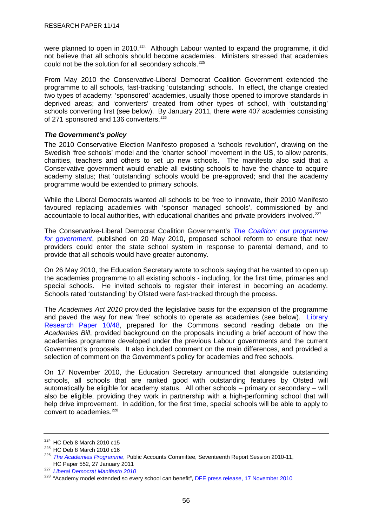<span id="page-59-0"></span>were planned to open in 2010.<sup>[224](#page-59-0)</sup> Although Labour wanted to expand the programme, it did not believe that all schools should become academies. Ministers stressed that academies could not be the solution for all secondary schools.<sup>[225](#page-59-0)</sup>

From May 2010 the Conservative-Liberal Democrat Coalition Government extended the programme to all schools, fast-tracking 'outstanding' schools. In effect, the change created two types of academy: 'sponsored' academies, usually those opened to improve standards in deprived areas; and 'converters' created from other types of school, with 'outstanding' schools converting first (see below). By January 2011, there were 407 academies consisting of 271 sponsored and 136 converters.<sup>[226](#page-59-0)</sup>

## *The Government's policy*

The 2010 Conservative Election Manifesto proposed a 'schools revolution', drawing on the Swedish 'free schools' model and the 'charter school' movement in the US, to allow parents, charities, teachers and others to set up new schools. The manifesto also said that a Conservative government would enable all existing schools to have the chance to acquire academy status; that 'outstanding' schools would be pre-approved; and that the academy programme would be extended to primary schools.

While the Liberal Democrats wanted all schools to be free to innovate, their 2010 Manifesto favoured replacing academies with 'sponsor managed schools', commissioned by and accountable to local authorities, with educational charities and private providers involved.<sup>[227](#page-59-0)</sup>

The Conservative-Liberal Democrat Coalition Government's *[The Coalition: our programme](http://www.cabinetoffice.gov.uk/media/409088/pfg_coalition.pdf)  [for government](http://www.cabinetoffice.gov.uk/media/409088/pfg_coalition.pdf)*, published on 20 May 2010, proposed school reform to ensure that new providers could enter the state school system in response to parental demand, and to provide that all schools would have greater autonomy.

On 26 May 2010, the Education Secretary wrote to schools saying that he wanted to open up the academies programme to all existing schools - including, for the first time, primaries and special schools. He invited schools to register their interest in becoming an academy. Schools rated 'outstanding' by Ofsted were fast-tracked through the process.

The *Academies Act 2010* provided the legislative basis for the expansion of the programme and paved the way for new 'free' schools to operate as academies (see below). [Library](http://pims.parliament.uk:81/PIMS/Static%20Files/Extended%20File%20Scan%20Files/LIBRARY_OTHER_PAPERS/RESEARCH_PAPER/RP10-048.pdf)  [Research Paper 10/48](http://pims.parliament.uk:81/PIMS/Static%20Files/Extended%20File%20Scan%20Files/LIBRARY_OTHER_PAPERS/RESEARCH_PAPER/RP10-048.pdf), prepared for the Commons second reading debate on the *Academies Bill*, provided background on the proposals including a brief account of how the academies programme developed under the previous Labour governments and the current Government's proposals. It also included comment on the main differences, and provided a selection of comment on the Government's policy for academies and free schools.

On 17 November 2010, the Education Secretary announced that alongside outstanding schools, all schools that are ranked good with outstanding features by Ofsted will automatically be eligible for academy status. All other schools – primary or secondary – will also be eligible, providing they work in partnership with a high-performing school that will help drive improvement. In addition, for the first time, special schools will be able to apply to convert to academies.<sup>[228](#page-59-0)</sup>

<sup>&</sup>lt;sup>224</sup> HC Deb 8 March 2010 c15<br><sup>225</sup> HC Deb 8 March 2010 c16<br><sup>226</sup> *The Academies Programme*, Public Accounts Committee, Seventeenth Report Session 2010-11, HC Paper 552, 27 January 2011

<sup>227</sup> *[Liberal Democrat Manifesto 2010](http://network.libdems.org.uk/manifesto2010/libdem_manifesto_2010.pdf)*

<sup>&</sup>lt;sup>228</sup> "Academy model extended so every school can benefit", [DFE press release, 17 November 2010](http://www.education.gov.uk/schools/leadership/typesofschools/academies/a0068006/academy-model-extended-so-every-school-can-benefit)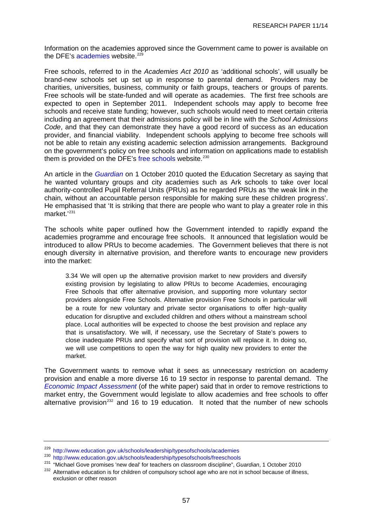<span id="page-60-0"></span>Information on the academies approved since the Government came to power is available on the DFE's [academies](http://www.education.gov.uk/schools/leadership/typesofschools/academies) website.<sup>[229](#page-60-0)</sup>

Free schools, referred to in the *Academies Act 2010* as 'additional schools', will usually be brand-new schools set up set up in response to parental demand. Providers may be charities, universities, business, community or faith groups, teachers or groups of parents. Free schools will be state-funded and will operate as academies. The first free schools are expected to open in September 2011. Independent schools may apply to become free schools and receive state funding; however, such schools would need to meet certain criteria including an agreement that their admissions policy will be in line with the *School Admissions Code*, and that they can demonstrate they have a good record of success as an education provider, and financial viability. Independent schools applying to become free schools will not be able to retain any existing academic selection admission arrangements. Background on the government's policy on free schools and information on applications made to establish them is provided on the DFE's [free schools](http://www.education.gov.uk/schools/leadership/typesofschools/freeschools) website.<sup>[230](#page-60-0)</sup>

An article in the *[Guardian](http://www.guardian.co.uk/politics/2010/oct/01/gove-education-teachers-discipline-new-deal)* on 1 October 2010 quoted the Education Secretary as saying that he wanted voluntary groups and city academies such as Ark schools to take over local authority-controlled Pupil Referral Units (PRUs) as he regarded PRUs as 'the weak link in the chain, without an accountable person responsible for making sure these children progress'. He emphasised that 'It is striking that there are people who want to play a greater role in this market.'[231](#page-60-0)

The schools white paper outlined how the Government intended to rapidly expand the academies programme and encourage free schools. It announced that legislation would be introduced to allow PRUs to become academies. The Government believes that there is not enough diversity in alternative provision, and therefore wants to encourage new providers into the market:

3.34 We will open up the alternative provision market to new providers and diversify existing provision by legislating to allow PRUs to become Academies, encouraging Free Schools that offer alternative provision, and supporting more voluntary sector providers alongside Free Schools. Alternative provision Free Schools in particular will be a route for new voluntary and private sector organisations to offer high-quality education for disruptive and excluded children and others without a mainstream school place. Local authorities will be expected to choose the best provision and replace any that is unsatisfactory. We will, if necessary, use the Secretary of State's powers to close inadequate PRUs and specify what sort of provision will replace it. In doing so, we will use competitions to open the way for high quality new providers to enter the market.

The Government wants to remove what it sees as unnecessary restriction on academy provision and enable a more diverse 16 to 19 sector in response to parental demand. The *[Economic Impact Assessment](http://media.education.gov.uk/assets/files/pdf/s/schools%20white%20paper%202010%20%20%20an%20economic%20impact%20assessment.pdf)* (of the white paper) said that in order to remove restrictions to market entry, the Government would legislate to allow academies and free schools to offer alternative provision<sup>[232](#page-60-0)</sup> and 16 to 19 education. It noted that the number of new schools

<sup>229</sup> <http://www.education.gov.uk/schools/leadership/typesofschools/academies>

<sup>&</sup>lt;sup>230</sup> <http://www.education.gov.uk/schools/leadership/typesofschools/freeschools><br><sup>231</sup> "Michael Gove promises 'new deal' for teachers on classroom discipline", *Guardian*, 1 October 2010

<sup>&</sup>lt;sup>232</sup> Alternative education is for children of compulsory school age who are not in school because of illness, exclusion or other reason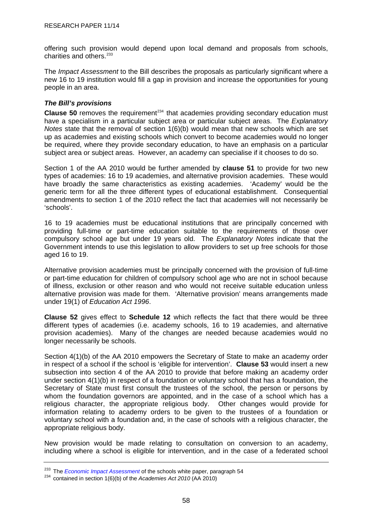<span id="page-61-0"></span>offering such provision would depend upon local demand and proposals from schools, charities and others.<sup>[233](#page-61-0)</sup>

The *Impact Assessment* to the Bill describes the proposals as particularly significant where a new 16 to 19 institution would fill a gap in provision and increase the opportunities for young people in an area.

## *The Bill's provisions*

**Clause 50** removes the requirement<sup>[234](#page-61-0)</sup> that academies providing secondary education must have a specialism in a particular subject area or particular subject areas. The *Explanatory Notes* state that the removal of section 1(6)(b) would mean that new schools which are set up as academies and existing schools which convert to become academies would no longer be required, where they provide secondary education, to have an emphasis on a particular subject area or subject areas. However, an academy can specialise if it chooses to do so.

Section 1 of the AA 2010 would be further amended by **clause 51** to provide for two new types of academies: 16 to 19 academies, and alternative provision academies. These would have broadly the same characteristics as existing academies. 'Academy' would be the generic term for all the three different types of educational establishment. Consequential amendments to section 1 of the 2010 reflect the fact that academies will not necessarily be 'schools'.

16 to 19 academies must be educational institutions that are principally concerned with providing full-time or part-time education suitable to the requirements of those over compulsory school age but under 19 years old. The *Explanatory Notes* indicate that the Government intends to use this legislation to allow providers to set up free schools for those aged 16 to 19.

Alternative provision academies must be principally concerned with the provision of full-time or part-time education for children of compulsory school age who are not in school because of illness, exclusion or other reason and who would not receive suitable education unless alternative provision was made for them. 'Alternative provision' means arrangements made under 19(1) of *Education Act 1996*.

**Clause 52** gives effect to **Schedule 12** which reflects the fact that there would be three different types of academies (i.e. academy schools, 16 to 19 academies, and alternative provision academies). Many of the changes are needed because academies would no longer necessarily be schools.

Section 4(1)(b) of the AA 2010 empowers the Secretary of State to make an academy order in respect of a school if the school is 'eligible for intervention'. **Clause 53** would insert a new subsection into section 4 of the AA 2010 to provide that before making an academy order under section 4(1)(b) in respect of a foundation or voluntary school that has a foundation, the Secretary of State must first consult the trustees of the school, the person or persons by whom the foundation governors are appointed, and in the case of a school which has a religious character, the appropriate religious body. Other changes would provide for information relating to academy orders to be given to the trustees of a foundation or voluntary school with a foundation and, in the case of schools with a religious character, the appropriate religious body.

New provision would be made relating to consultation on conversion to an academy, including where a school is eligible for intervention, and in the case of a federated school

<sup>&</sup>lt;sup>233</sup>The *Economic Impact Assessment* of the schools white paper, paragraph 54 <sup>234</sup> contained in section 1(6)(b) of the *Academies Act 2010* (AA 2010)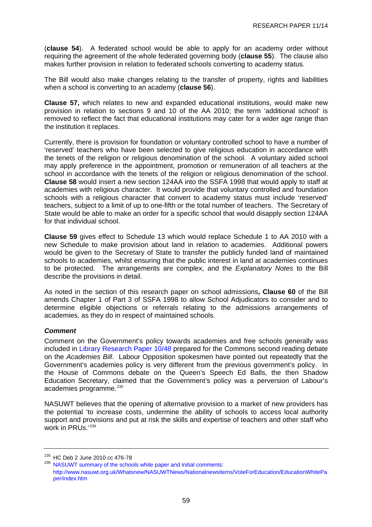<span id="page-62-0"></span>(**clause 54**). A federated school would be able to apply for an academy order without requiring the agreement of the whole federated governing body (**clause 55**). The clause also makes further provision in relation to federated schools converting to academy status.

The Bill would also make changes relating to the transfer of property, rights and liabilities when a school is converting to an academy (**clause 56**).

**Clause 57,** which relates to new and expanded educational institutions, would make new provision in relation to sections 9 and 10 of the AA 2010; the term 'additional school' is removed to reflect the fact that educational institutions may cater for a wider age range than the institution it replaces.

Currently, there is provision for foundation or voluntary controlled school to have a number of 'reserved' teachers who have been selected to give religious education in accordance with the tenets of the religion or religious denomination of the school. A voluntary aided school may apply preference in the appointment, promotion or remuneration of all teachers at the school in accordance with the tenets of the religion or religious denomination of the school. **Clause 58** would insert a new section 124AA into the SSFA 1998 that would apply to staff at academies with religious character. It would provide that voluntary controlled and foundation schools with a religious character that convert to academy status must include 'reserved' teachers, subject to a limit of up to one-fifth or the total number of teachers. The Secretary of State would be able to make an order for a specific school that would disapply section 124AA for that individual school.

**Clause 59** gives effect to Schedule 13 which would replace Schedule 1 to AA 2010 with a new Schedule to make provision about land in relation to academies. Additional powers would be given to the Secretary of State to transfer the publicly funded land of maintained schools to academies, whilst ensuring that the public interest in land at academies continues to be protected. The arrangements are complex, and the *Explanatory Notes* to the Bill describe the provisions in detail.

As noted in the section of this research paper on school admissions**, Clause 60** of the Bill amends Chapter 1 of Part 3 of SSFA 1998 to allow School Adjudicators to consider and to determine eligible objections or referrals relating to the admissions arrangements of academies, as they do in respect of maintained schools.

## *Comment*

Comment on the Government's policy towards academies and free schools generally was included in [Library Research Paper 10/48](http://pims.parliament.uk:81/PIMS/Static%20Files/Extended%20File%20Scan%20Files/LIBRARY_OTHER_PAPERS/RESEARCH_PAPER/RP10-048.pdf) prepared for the Commons second reading debate on the *Academies Bill*. Labour Opposition spokesmen have pointed out repeatedly that the Government's academies policy is very different from the previous government's policy. In the House of Commons debate on the Queen's Speech Ed Balls, the then Shadow Education Secretary, claimed that the Government's policy was a perversion of Labour's academies programme.<sup>[235](#page-62-0)</sup>

NASUWT believes that the opening of alternative provision to a market of new providers has the potential 'to increase costs, undermine the ability of schools to access local authority support and provisions and put at risk the skills and expertise of teachers and other staff who work in PRUs.'[236](#page-62-0)

 $^{235}$  HC Deb 2 June 2010 cc 476-78<br> $^{236}$  [NASUWT summary of the schools white paper and initial comments](http://www.nasuwt.org.uk/Whatsnew/NASUWTNews/Nationalnewsitems/VoteForEducation/EducationWhitePaper/index.htm): [http://www.nasuwt.org.uk/Whatsnew/NASUWTNews/Nationalnewsitems/VoteForEducation/EducationWhitePa](http://www.nasuwt.org.uk/Whatsnew/NASUWTNews/Nationalnewsitems/VoteForEducation/EducationWhitePaper/index.htm) [per/index.htm](http://www.nasuwt.org.uk/Whatsnew/NASUWTNews/Nationalnewsitems/VoteForEducation/EducationWhitePaper/index.htm)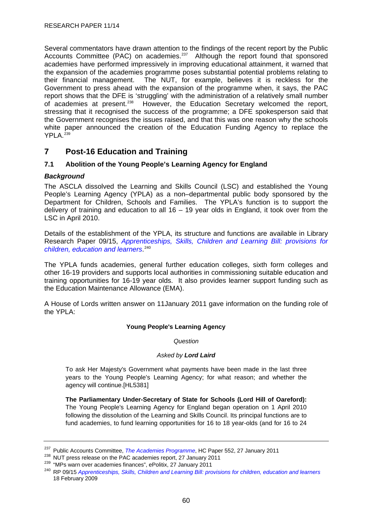<span id="page-63-0"></span>Several commentators have drawn attention to the findings of the recent report by the Public Accounts Committee (PAC) on academies.<sup>[237](#page-63-0)</sup> Although the report found that sponsored academies have performed impressively in improving educational attainment, it warned that the expansion of the academies programme poses substantial potential problems relating to their financial management. The NUT, for example, believes it is reckless for the Government to press ahead with the expansion of the programme when, it says, the PAC report shows that the DFE is 'struggling' with the administration of a relatively small number<br>of academies at present.<sup>238</sup> However, the Education Secretary welcomed the report, However, the Education Secretary welcomed the report, stressing that it recognised the success of the programme; a DFE spokesperson said that the Government recognises the issues raised, and that this was one reason why the schools white paper announced the creation of the Education Funding Agency to replace the YPLA.<sup>[239](#page-63-0)</sup>

# **7 Post-16 Education and Training**

# **7.1 Abolition of the Young People's Learning Agency for England**

## *Background*

The ASCLA dissolved the Learning and Skills Council (LSC) and established the Young People's Learning Agency (YPLA) as a non–departmental public body sponsored by the Department for Children, Schools and Families. The YPLA's function is to support the delivery of training and education to all 16 – 19 year olds in England, it took over from the LSC in April 2010.

Details of the establishment of the YPLA, its structure and functions are available in Library Research Paper 09/15, *[Apprenticeships, Skills, Children and Learning Bill: provisions for](http://10.160.3.10:81/PIMS/Static%20Files/Extended%20File%20Scan%20Files/LIBRARY_OTHER_PAPERS/RESEARCH_PAPER/RP09-015.pdf)  [children, education and learners](http://10.160.3.10:81/PIMS/Static%20Files/Extended%20File%20Scan%20Files/LIBRARY_OTHER_PAPERS/RESEARCH_PAPER/RP09-015.pdf)*. [240](#page-63-0)

The YPLA funds academies, general further education colleges, sixth form colleges and other 16-19 providers and supports local authorities in commissioning suitable education and training opportunities for 16-19 year olds. It also provides learner support funding such as the Education Maintenance Allowance (EMA).

A House of Lords written answer on 11January 2011 gave information on the funding role of the YPLA:

### **Young People's Learning Agency**

*Question*

### *Asked by Lord Laird*

To ask Her Majesty's Government what payments have been made in the last three years to the Young People's Learning Agency; for what reason; and whether the agency will continue.[HL5381]

**The Parliamentary Under-Secretary of State for Schools (Lord Hill of Oareford):** The Young People's Learning Agency for England began operation on 1 April 2010 following the dissolution of the Learning and Skills Council. Its principal functions are to fund academies, to fund learning opportunities for 16 to 18 year-olds (and for 16 to 24

<sup>&</sup>lt;sup>237</sup>Public Accounts Committee, *The Academies Programme*, HC Paper 552, 27 January 2011<br><sup>238</sup> NUT press release on the PAC academies report, 27 January 2011<br><sup>239</sup> "MPs warn over academies finances", ePolitix, 27 January 18 February 2009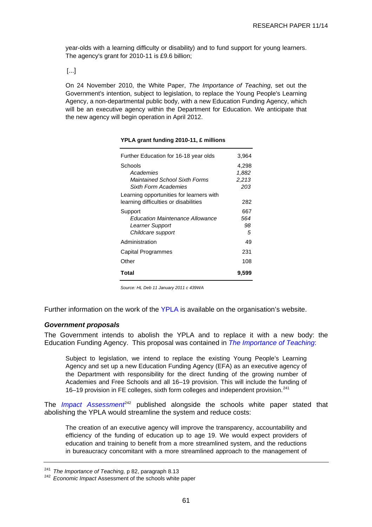<span id="page-64-0"></span>year-olds with a learning difficulty or disability) and to fund support for young learners. The agency's grant for 2010-11 is £9.6 billion;

[...]

On 24 November 2010, the White Paper, *The Importance of Teaching*, set out the Government's intention, subject to legislation, to replace the Young People's Learning Agency, a non-departmental public body, with a new Education Funding Agency, which will be an executive agency within the Department for Education. We anticipate that the new agency will begin operation in April 2012.

| Further Education for 16-18 year olds    | 3,964 |
|------------------------------------------|-------|
| Schools                                  | 4,298 |
| Academies                                | 1,882 |
| Maintained School Sixth Forms            | 2,213 |
| Sixth Form Academies                     | 203   |
| Learning opportunities for learners with |       |
| learning difficulties or disabilities    | 282   |
| Support                                  | 667   |
| <b>Fducation Maintenance Allowance</b>   | 564   |
| Learner Support                          | 98    |
| Childcare support                        | 5     |
| Administration                           | 49    |
| Capital Programmes                       | 231   |
| Other                                    | 108   |
| Total                                    | 9,599 |

#### **YPLA grant funding 2010-11, £ millions**

*Source: HL Deb 11 January 2011 c 439WA*

Further information on the work of the [YPLA](http://www.ypla.gov.uk/) is available on the organisation's website.

### *Government proposals*

The Government intends to abolish the YPLA and to replace it with a new body: the Education Funding Agency. This proposal was contained in *[The Importance of Teaching](http://www.education.gov.uk/publications/standard/publicationdetail/Page1/CM%207980)*:

Subject to legislation, we intend to replace the existing Young People's Learning Agency and set up a new Education Funding Agency (EFA) as an executive agency of the Department with responsibility for the direct funding of the growing number of Academies and Free Schools and all 16–19 provision. This will include the funding of 16–19 provision in FE colleges, sixth form colleges and independent provision.<sup>[241](#page-64-0)</sup>

The *[Impact Assessment](http://www.education.gov.uk/publications/eOrderingDownload/CM-7980-Impact_assessment.pdf)*<sup>[242](#page-64-0)</sup> published alongside the schools white paper stated that abolishing the YPLA would streamline the system and reduce costs:

The creation of an executive agency will improve the transparency, accountability and efficiency of the funding of education up to age 19. We would expect providers of education and training to benefit from a more streamlined system, and the reductions in bureaucracy concomitant with a more streamlined approach to the management of

<sup>241</sup>*The Importance of Teaching,* p 82, paragraph 8.13 242 *Economic Impact* Assessment of the schools white paper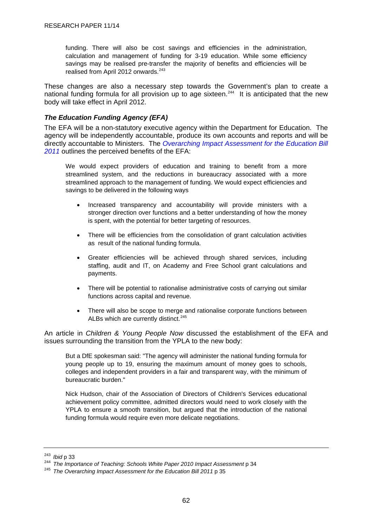<span id="page-65-0"></span>funding. There will also be cost savings and efficiencies in the administration, calculation and management of funding for 3-19 education. While some efficiency savings may be realised pre-transfer the majority of benefits and efficiencies will be realised from April 2012 onwards.<sup>[243](#page-65-0)</sup>

These changes are also a necessary step towards the Government's plan to create a national funding formula for all provision up to age sixteen.<sup>[244](#page-65-0)</sup> It is anticipated that the new body will take effect in April 2012.

## *The Education Funding Agency (EFA)*

The EFA will be a non-statutory executive agency within the Department for Education. The agency will be independently accountable, produce its own accounts and reports and will be directly accountable to Ministers. The *Overarching Impact Assessment for the Education Bill 2011* outlines the perceived benefits of the EFA:

We would expect providers of education and training to benefit from a more streamlined system, and the reductions in bureaucracy associated with a more streamlined approach to the management of funding. We would expect efficiencies and savings to be delivered in the following ways

- Increased transparency and accountability will provide ministers with a stronger direction over functions and a better understanding of how the money is spent, with the potential for better targeting of resources.
- There will be efficiencies from the consolidation of grant calculation activities as result of the national funding formula.
- Greater efficiencies will be achieved through shared services, including staffing, audit and IT, on Academy and Free School grant calculations and payments.
- There will be potential to rationalise administrative costs of carrying out similar functions across capital and revenue.
- There will also be scope to merge and rationalise corporate functions between ALBs which are currently distinct.<sup>[245](#page-65-0)</sup>

An article in *Children & Young People Now* discussed the establishment of the EFA and issues surrounding the transition from the YPLA to the new body:

But a DfE spokesman said: "The agency will administer the national funding formula for young people up to 19, ensuring the maximum amount of money goes to schools, colleges and independent providers in a fair and transparent way, with the minimum of bureaucratic burden."

Nick Hudson, chair of the Association of Directors of Children's Services educational achievement policy committee, admitted directors would need to work closely with the YPLA to ensure a smooth transition, but argued that the introduction of the national funding formula would require even more delicate negotiations.

<sup>&</sup>lt;sup>243</sup> Ibid p 33<br><sup>244</sup> *The Importance of Teaching: Schools White Paper 2010 Impact Assessment p 34*<br><sup>245</sup> *The Overarching Impact Assessment for the Education Bill 2011* p 35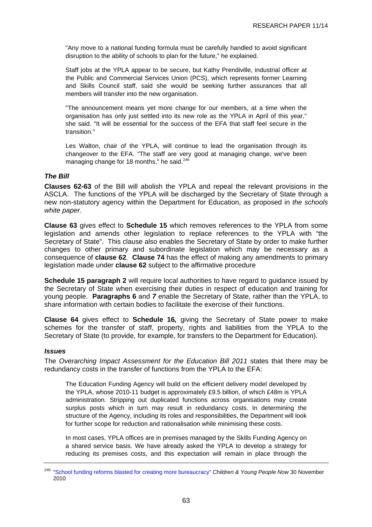<span id="page-66-0"></span>"Any move to a national funding formula must be carefully handled to avoid significant disruption to the ability of schools to plan for the future," he explained.

Staff jobs at the YPLA appear to be secure, but Kathy Prendiville, industrial officer at the Public and Commercial Services Union (PCS), which represents former Learning and Skills Council staff, said she would be seeking further assurances that all members will transfer into the new organisation.

"The announcement means yet more change for our members, at a time when the organisation has only just settled into its new role as the YPLA in April of this year," she said. "It will be essential for the success of the EFA that staff feel secure in the transition."

Les Walton, chair of the YPLA, will continue to lead the organisation through its changeover to the EFA. "The staff are very good at managing change, we've been managing change for 18 months," he said. $246$ 

### *The Bill*

**Clauses 62-63** of the Bill will abolish the YPLA and repeal the relevant provisions in the ASCLA. The functions of the YPLA will be discharged by the Secretary of State through a new non-statutory agency within the Department for Education, as proposed in *the schools white paper*.

**Clause 63** gives effect to **Schedule 15** which removes references to the YPLA from some legislation and amends other legislation to replace references to the YPLA with "the Secretary of State". This clause also enables the Secretary of State by order to make further changes to other primary and subordinate legislation which may be necessary as a consequence of **clause 62**. **Clause 74** has the effect of making any amendments to primary legislation made under **clause 62** subject to the affirmative procedure

**Schedule 15 paragraph 2** will require local authorities to have regard to quidance issued by the Secretary of State when exercising their duties in respect of education and training for young people. **Paragraphs 6** and *7* enable the Secretary of State, rather than the YPLA, to share information with certain bodies to facilitate the exercise of their functions.

**Clause 64** gives effect to **Schedule 16***,* giving the Secretary of State power to make schemes for the transfer of staff, property, rights and liabilities from the YPLA to the Secretary of State (to provide, for example, for transfers to the Department for Education).

### *Issues*

The *Overarching Impact Assessment for the Education Bill 2011* states that there may be redundancy costs in the transfer of functions from the YPLA to the EFA:

The Education Funding Agency will build on the efficient delivery model developed by the YPLA, whose 2010-11 budget is approximately £9.5 billion, of which £48m is YPLA administration. Stripping out duplicated functions across organisations may create surplus posts which in turn may result in redundancy costs. In determining the structure of the Agency, including its roles and responsibilities, the Department will look for further scope for reduction and rationalisation while minimising these costs.

In most cases, YPLA offices are in premises managed by the Skills Funding Agency on a shared service basis. We have already asked the YPLA to develop a strategy for reducing its premises costs, and this expectation will remain in place through the

<sup>246</sup> ["School funding reforms blasted for creating more bureaucracy"](http://www.cypnow.co.uk/news/ByDiscipline/Education/1043808/School-funding-reforms-blasted-creating-bureaucracy) *Children & Young People Now* 30 November 2010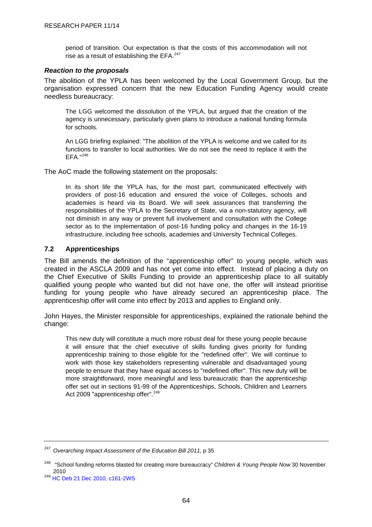<span id="page-67-0"></span>period of transition. Our expectation is that the costs of this accommodation will not rise as a result of establishing the EFA.<sup>[247](#page-67-0)</sup>

### *Reaction to the proposals*

The abolition of the YPLA has been welcomed by the Local Government Group, but the organisation expressed concern that the new Education Funding Agency would create needless bureaucracy:

The LGG welcomed the dissolution of the YPLA, but argued that the creation of the agency is unnecessary, particularly given plans to introduce a national funding formula for schools.

An LGG briefing explained: "The abolition of the YPLA is welcome and we called for its functions to transfer to local authorities. We do not see the need to replace it with the  $FFA$ <sup>"[248](#page-67-0)</sup>

The AoC made the following statement on the proposals:

In its short life the YPLA has, for the most part, communicated effectively with providers of post-16 education and ensured the voice of Colleges, schools and academies is heard via its Board. We will seek assurances that transferring the responsibilities of the YPLA to the Secretary of State, via a non-statutory agency, will not diminish in any way or prevent full involvement and consultation with the College sector as to the implementation of post-16 funding policy and changes in the 16-19 infrastructure, including free schools, academies and University Technical Colleges.

## **7.2 Apprenticeships**

The Bill amends the definition of the "apprenticeship offer" to young people, which was created in the ASCLA 2009 and has not yet come into effect. Instead of placing a duty on the Chief Executive of Skills Funding to provide an apprenticeship place to all suitably qualified young people who wanted but did not have one, the offer will instead prioritise funding for young people who have already secured an apprenticeship place. The apprenticeship offer will come into effect by 2013 and applies to England only.

John Hayes, the Minister responsible for apprenticeships, explained the rationale behind the change:

This new duty will constitute a much more robust deal for these young people because it will ensure that the chief executive of skills funding gives priority for funding apprenticeship training to those eligible for the "redefined offer". We will continue to work with those key stakeholders representing vulnerable and disadvantaged young people to ensure that they have equal access to "redefined offer". This new duty will be more straightforward, more meaningful and less bureaucratic than the apprenticeship offer set out in sections 91-99 of the Apprenticeships, Schools, Children and Learners Act 2009 "apprenticeship offer".<sup>[249](#page-67-0)</sup>

<sup>247</sup> *Overarching Impact Assessment of the Education Bill 2011,* p 35

<sup>248 &</sup>quot;School funding reforms blasted for creating more bureaucracy" *Children & Young People Now* 30 November

<sup>2010&</sup>lt;br><sup>249</sup> [HC Deb 21 Dec 2010, c161-2WS](http://www.publications.parliament.uk/pa/cm201011/cmhansrd/cm101221/wmstext/101221m0001.htm#10122138000154)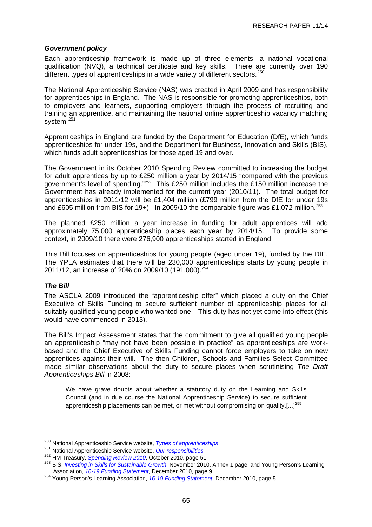### <span id="page-68-0"></span>*Government policy*

Each apprenticeship framework is made up of three elements; a national vocational qualification (NVQ), a technical certificate and key skills. There are currently over 190 different types of apprenticeships in a wide variety of different sectors.  $250$ 

The National Apprenticeship Service (NAS) was created in April 2009 and has responsibility for apprenticeships in England. The NAS is responsible for promoting apprenticeships, both to employers and learners, supporting employers through the process of recruiting and training an apprentice, and maintaining the national online apprenticeship vacancy matching system.<sup>[251](#page-68-0)</sup>

Apprenticeships in England are funded by the Department for Education (DfE), which funds apprenticeships for under 19s, and the Department for Business, Innovation and Skills (BIS), which funds adult apprenticeships for those aged 19 and over.

The Government in its October 2010 Spending Review committed to increasing the budget for adult apprentices by up to £250 million a year by 2014/15 "compared with the previous government's level of spending."[252](#page-68-0) This £250 million includes the £150 million increase the Government has already implemented for the current year (2010/11). The total budget for apprenticeships in 2011/12 will be £1,404 million (£799 million from the DfE for under 19s and £605 million from BIS for 19+). In 2009/10 the comparable figure was £1,072 million.<sup>[253](#page-68-0)</sup>

The planned £250 million a year increase in funding for adult apprentices will add approximately 75,000 apprenticeship places each year by 2014/15. To provide some context, in 2009/10 there were 276,900 apprenticeships started in England.

This Bill focuses on apprenticeships for young people (aged under 19), funded by the DfE. The YPLA estimates that there will be 230,000 apprenticeships starts by young people in 2011/12, an increase of 20% on 2009/10 (191,000).[254](#page-68-0)

## *The Bill*

The ASCLA 2009 introduced the "apprenticeship offer" which placed a duty on the Chief Executive of Skills Funding to secure sufficient number of apprenticeship places for all suitably qualified young people who wanted one. This duty has not yet come into effect (this would have commenced in 2013).

The Bill's Impact Assessment states that the commitment to give all qualified young people an apprenticeship "may not have been possible in practice" as apprenticeships are workbased and the Chief Executive of Skills Funding cannot force employers to take on new apprentices against their will. The then Children, Schools and Families Select Committee made similar observations about the duty to secure places when scrutinising *The Draft Apprenticeships Bill* in 2008:

We have grave doubts about whether a statutory duty on the Learning and Skills Council (and in due course the National Apprenticeship Service) to secure sufficient apprenticeship placements can be met, or met without compromising on quality.[ $\ldots$ ]<sup>[255](#page-68-0)</sup>

<sup>&</sup>lt;sup>250</sup>National Apprenticeship Service website, *Types of apprenticeships*<br>
<sup>251</sup> National Apprenticeship Service website, *Our responsibilities*<br>
<sup>252</sup> HM Treasury, *Spending Review* 2010, October 2010, page 51<br>
<sup>253</sup> BIS,

<sup>&</sup>lt;sup>254</sup> Young Person's Learning Association[,](http://www.ypla.gov.uk/news/latest/16-19-Funding-Statement-and-Statutory-Guidance-Arrangements-for-16-19-Funding-of-Education-and-Train.htm)16-19 Funding Statement, December 2010, page 5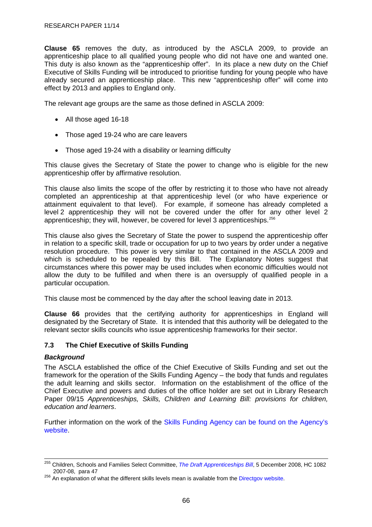<span id="page-69-0"></span>**Clause 65** removes the duty, as introduced by the ASCLA 2009, to provide an apprenticeship place to all qualified young people who did not have one and wanted one. This duty is also known as the "apprenticeship offer". In its place a new duty on the Chief Executive of Skills Funding will be introduced to prioritise funding for young people who have already secured an apprenticeship place. This new "apprenticeship offer" will come into effect by 2013 and applies to England only.

The relevant age groups are the same as those defined in ASCLA 2009:

- All those aged 16-18
- Those aged 19-24 who are care leavers
- Those aged 19-24 with a disability or learning difficulty

This clause gives the Secretary of State the power to change who is eligible for the new apprenticeship offer by affirmative resolution.

This clause also limits the scope of the offer by restricting it to those who have not already completed an apprenticeship at that apprenticeship level (or who have experience or attainment equivalent to that level). For example, if someone has already completed a level 2 apprenticeship they will not be covered under the offer for any other level 2 apprenticeship; they will, however, be covered for level 3 apprenticeships.[256](#page-69-0)

This clause also gives the Secretary of State the power to suspend the apprenticeship offer in relation to a specific skill, trade or occupation for up to two years by order under a negative resolution procedure. This power is very similar to that contained in the ASCLA 2009 and which is scheduled to be repealed by this Bill. The Explanatory Notes suggest that circumstances where this power may be used includes when economic difficulties would not allow the duty to be fulfilled and when there is an oversupply of qualified people in a particular occupation.

This clause most be commenced by the day after the school leaving date in 2013.

**Clause 66** provides that the certifying authority for apprenticeships in England will designated by the Secretary of State. It is intended that this authority will be delegated to the relevant sector skills councils who issue apprenticeship frameworks for their sector.

## **7.3 The Chief Executive of Skills Funding**

### *Background*

The ASCLA established the office of the Chief Executive of Skills Funding and set out the framework for the operation of the Skills Funding Agency – the body that funds and regulates the adult learning and skills sector. Information on the establishment of the office of the Chief Executive and powers and duties of the office holder are set out in Library Research Paper 09/15 *[Apprenticeships, Skills, Children and Learning Bill: provisions for children,](http://10.160.3.10:81/PIMS/Static%20Files/Extended%20File%20Scan%20Files/LIBRARY_OTHER_PAPERS/RESEARCH_PAPER/RP09-015.pdf)  [education and learners](http://10.160.3.10:81/PIMS/Static%20Files/Extended%20File%20Scan%20Files/LIBRARY_OTHER_PAPERS/RESEARCH_PAPER/RP09-015.pdf)*.

Further information on the work of the [Skills Funding Agency](http://skillsfundingagency.bis.gov.uk/aboutus) can be found on the Agency's website.

<sup>255</sup> Children, Schools and Families Select Committee, *[The Draft Apprenticeships Bill](http://www.publications.parliament.uk/pa/cm200708/cmselect/cmchilsch/1082/1082.pdf#page=19)*, 5 December 2008, HC 1082 2007-08, para 47  $^{256}$  An explanation of what the different skills levels mean is available from the [Directgov website](http://www.direct.gov.uk/en/EducationAndLearning/QualificationsExplained/DG_10039017).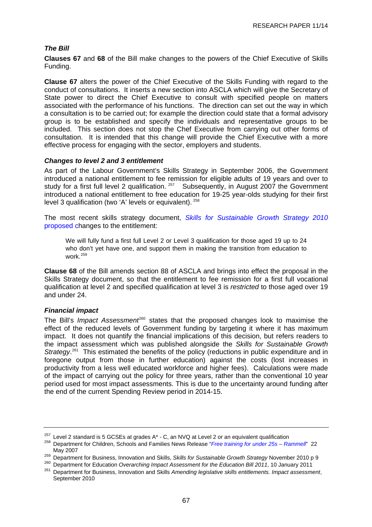# <span id="page-70-0"></span>*The Bill*

**Clauses 67** and **68** of the Bill make changes to the powers of the Chief Executive of Skills Funding.

**Clause 67** alters the power of the Chief Executive of the Skills Funding with regard to the conduct of consultations. It inserts a new section into ASCLA which will give the Secretary of State power to direct the Chief Executive to consult with specified people on matters associated with the performance of his functions. The direction can set out the way in which a consultation is to be carried out; for example the direction could state that a formal advisory group is to be established and specify the individuals and representative groups to be included. This section does not stop the Chef Executive from carrying out other forms of consultation. It is intended that this change will provide the Chief Executive with a more effective process for engaging with the sector, employers and students.

### *Changes to level 2 and 3 entitlement*

As part of the Labour Government's Skills Strategy in September 2006, the Government introduced a national entitlement to fee remission for eligible adults of 19 years and over to study for a first full level 2 qualification.  $257$  Subsequently, in August 2007 the Government introduced a national entitlement to free education for 19-25 year-olds studying for their first level 3 qualification (two 'A' levels or equivalent). [258](#page-70-0)

The most recent skills strategy document, *[Skills for Sustainable Growth Strategy](http://www.bis.gov.uk/assets/biscore/further-education-skills/docs/s/10-1274-skills-for-sustainable-growth-strategy.pdf) 2010*  proposed changes to the entitlement:

We will fully fund a first full Level 2 or Level 3 qualification for those aged 19 up to 24 who don't yet have one, and support them in making the transition from education to work.[259](#page-70-0)

**Clause 68** of the Bill amends section 88 of ASCLA and brings into effect the proposal in the Skills Strategy document, so that the entitlement to fee remission for a first full vocational qualification at level 2 and specified qualification at level 3 is *restricted* to those aged over 19 and under 24.

## *Financial impact*

The Bill's *Impact Assessment*<sup>[260](#page-70-0)</sup> states that the proposed changes look to maximise the effect of the reduced levels of Government funding by targeting it where it has maximum impact. It does not quantify the financial implications of this decision, but refers readers to the impact assessment which was published alongside the *Skills for Sustainable Growth*  Strategy.<sup>[261](#page-70-0)</sup> This estimated the benefits of the policy (reductions in public expenditure and in foregone output from those in further education) against the costs (lost increases in productivity from a less well educated workforce and higher fees). Calculations were made of the impact of carrying out the policy for three years, rather than the conventional 10 year period used for most impact assessments. This is due to the uncertainty around funding after the end of the current Spending Review period in 2014-15.

<sup>&</sup>lt;sup>257</sup> Level 2 standard is 5 GCSEs at grades A<sup>\*</sup> - C, an NVQ at Level 2 or an equivalent qualification <sup>258</sup> Department for Children, Schools and Families News Release "*[Free training for under 25s – Rammell](http://www.dfes.gov.uk/pns/DisplayPN.cgi?pn_id=2007_0088)*" 22 May 2007

<sup>&</sup>lt;sup>259</sup> Department for Business, Innovation and Skills, Skills for Sustainable Growth Strategy November 2010 p 9<br><sup>260</sup> Department for Education Overarching Impact Assessment for the Education Bill 2011, 10 January 2011<br><sup>261</sup>

September 2010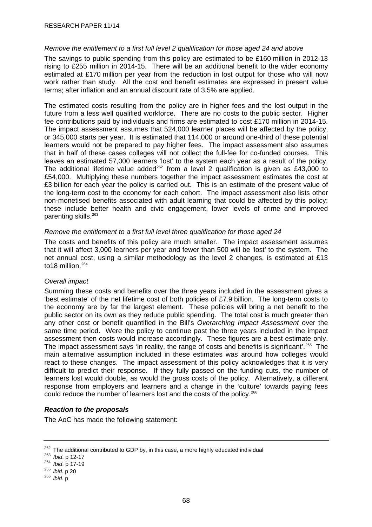### <span id="page-71-0"></span>*Remove the entitlement to a first full level 2 qualification for those aged 24 and above*

The savings to public spending from this policy are estimated to be £160 million in 2012-13 rising to £255 million in 2014-15. There will be an additional benefit to the wider economy estimated at £170 million per year from the reduction in lost output for those who will now work rather than study. All the cost and benefit estimates are expressed in present value terms; after inflation and an annual discount rate of 3.5% are applied.

The estimated costs resulting from the policy are in higher fees and the lost output in the future from a less well qualified workforce. There are no costs to the public sector. Higher fee contributions paid by individuals and firms are estimated to cost £170 million in 2014-15. The impact assessment assumes that 524,000 learner places will be affected by the policy, or 345,000 starts per year. It is estimated that 114,000 or around one-third of these potential learners would not be prepared to pay higher fees. The impact assessment also assumes that in half of these cases colleges will not collect the full-fee for co-funded courses. This leaves an estimated 57,000 learners 'lost' to the system each year as a result of the policy. The additional lifetime value added<sup>[262](#page-71-0)</sup> from a level 2 qualification is given as £43,000 to £54,000. Multiplying these numbers together the impact assessment estimates the cost at £3 billion for each year the policy is carried out. This is an estimate of the present value of the long-term cost to the economy for each cohort. The impact assessment also lists other non-monetised benefits associated with adult learning that could be affected by this policy; these include better health and civic engagement, lower levels of crime and improved parenting skills.[263](#page-71-0)

### *Remove the entitlement to a first full level three qualification for those aged 24*

The costs and benefits of this policy are much smaller. The impact assessment assumes that it will affect 3,000 learners per year and fewer than 500 will be 'lost' to the system. The net annual cost, using a similar methodology as the level 2 changes, is estimated at £13 to18 million.<sup>[264](#page-71-0)</sup>

## *Overall impact*

Summing these costs and benefits over the three years included in the assessment gives a 'best estimate' of the net lifetime cost of both policies of £7.9 billion. The long-term costs to the economy are by far the largest element. These policies will bring a net benefit to the public sector on its own as they reduce public spending. The total cost is much greater than any other cost or benefit quantified in the Bill's *Overarching Impact Assessment* over the same time period. Were the policy to continue past the three years included in the impact assessment then costs would increase accordingly. These figures are a best estimate only. The impact assessment says 'In reality, the range of costs and benefits is significant'.<sup>[265](#page-71-0)</sup> The main alternative assumption included in these estimates was around how colleges would react to these changes. The impact assessment of this policy acknowledges that it is very difficult to predict their response. If they fully passed on the funding cuts, the number of learners lost would double, as would the gross costs of the policy. Alternatively, a different response from employers and learners and a change in the 'culture' towards paying fees could reduce the number of learners lost and the costs of the policy.<sup>[266](#page-71-0)</sup>

### *Reaction to the proposals*

The AoC has made the following statement:

<sup>262</sup> The additional contributed to GDP by, in this case, a more highly educated individual 263 *Ibid*. p 12-17 264 *Ibid*. p 17-19 265 *ibid*. p 20 266 *ibid*. p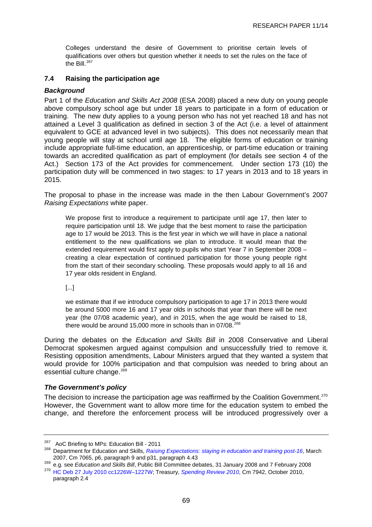<span id="page-72-0"></span>Colleges understand the desire of Government to prioritise certain levels of qualifications over others but question whether it needs to set the rules on the face of the Bill. $267$ 

## **7.4 Raising the participation age**

## *Background*

Part 1 of the *Education and Skills Act 2008* (ESA 2008) placed a new duty on young people above compulsory school age but under 18 years to participate in a form of education or training. The new duty applies to a young person who has not yet reached 18 and has not attained a Level 3 qualification as defined in section 3 of the Act (i.e. a level of attainment equivalent to GCE at advanced level in two subjects). This does not necessarily mean that young people will stay at school until age 18. The eligible forms of education or training include appropriate full-time education, an apprenticeship, or part-time education or training towards an accredited qualification as part of employment (for details see section 4 of the Act.) Section 173 of the Act provides for commencement. Under section 173 (10) the participation duty will be commenced in two stages: to 17 years in 2013 and to 18 years in 2015.

The proposal to phase in the increase was made in the then Labour Government's 2007 *Raising Expectations* white paper.

We propose first to introduce a requirement to participate until age 17, then later to require participation until 18. We judge that the best moment to raise the participation age to 17 would be 2013. This is the first year in which we will have in place a national entitlement to the new qualifications we plan to introduce. It would mean that the extended requirement would first apply to pupils who start Year 7 in September 2008 – creating a clear expectation of continued participation for those young people right from the start of their secondary schooling. These proposals would apply to all 16 and 17 year olds resident in England.

[...]

we estimate that if we introduce compulsory participation to age 17 in 2013 there would be around 5000 more 16 and 17 year olds in schools that year than there will be next year (the 07/08 academic year), and in 2015, when the age would be raised to 18, there would be around 15,000 more in schools than in  $07/08$ .<sup>[268](#page-72-0)</sup>

During the debates on the *Education and Skills Bill* in 2008 Conservative and Liberal Democrat spokesmen argued against compulsion and unsuccessfully tried to remove it. Resisting opposition amendments, Labour Ministers argued that they wanted a system that would provide for 100% participation and that compulsion was needed to bring about an essential culture change.<sup>[269](#page-72-0)</sup>

#### *The Government's policy*

The decision to increase the participation age was reaffirmed by the Coalition Government.<sup>[270](#page-72-0)</sup> However, the Government want to allow more time for the education system to embed the change, and therefore the enforcement process will be introduced progressively over a

<sup>&</sup>lt;sup>267</sup> AoC Briefing to MPs: Education Bill - 2011<br><sup>268</sup> Department for Education and Skills, *[Raising Expectations: staying in education and training post-16](http://publications.education.gov.uk/eOrderingDownload/Cm%207065.pdf)*, March 2007, Cm 7065, p6, paragraph 9 and p31, paragraph 4.43<br><sup>269</sup> e.g. see *Education and Skills Bill*, Public Bill Committee debates, 31 January 2008 and 7 February 2008<br><sup>270</sup> HC Deb 27 July 2010 cc1226W-1227W; Treasury, *Spen* 

paragraph 2.4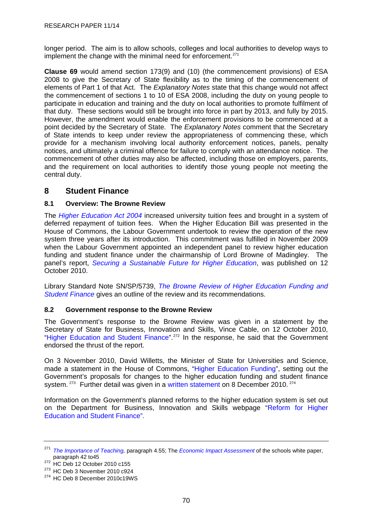<span id="page-73-0"></span>longer period. The aim is to allow schools, colleges and local authorities to develop ways to implement the change with the minimal need for enforcement.<sup>[271](#page-73-0)</sup>

**Clause 69** would amend section 173(9) and (10) (the commencement provisions) of ESA 2008 to give the Secretary of State flexibility as to the timing of the commencement of elements of Part 1 of that Act. The *Explanatory Notes* state that this change would not affect the commencement of sections 1 to 10 of ESA 2008, including the duty on young people to participate in education and training and the duty on local authorities to promote fulfilment of that duty. These sections would still be brought into force in part by 2013, and fully by 2015. However, the amendment would enable the enforcement provisions to be commenced at a point decided by the Secretary of State. The *Explanatory Notes* comment that the Secretary of State intends to keep under review the appropriateness of commencing these, which provide for a mechanism involving local authority enforcement notices, panels, penalty notices, and ultimately a criminal offence for failure to comply with an attendance notice. The commencement of other duties may also be affected, including those on employers, parents, and the requirement on local authorities to identify those young people not meeting the central duty.

# **8 Student Finance**

# **8.1 Overview: The Browne Review**

The *[Higher Education Act 2004](http://www.legislation.gov.uk/ukpga/2004/8/contents)* increased university tuition fees and brought in a system of deferred repayment of tuition fees. When the Higher Education Bill was presented in the House of Commons, the Labour Government undertook to review the operation of the new system three years after its introduction. This commitment was fulfilled in November 2009 when the Labour Government appointed an independent panel to review higher education funding and student finance under the chairmanship of Lord Browne of Madingley. The panel's report, *[Securing a Sustainable Future for Higher Education](http://hereview.independent.gov.uk/hereview/2010/10/press-pack-the-browne-report)*, was published on 12 October 2010.

Library Standard Note SN/SP/5739, *[The Browne Review of Higher Education Funding and](http://10.160.3.10:81/PIMS/Static%20Files/Extended%20File%20Scan%20Files/LIBRARY_OTHER_PAPERS/STANDARD_NOTE/SNSP-%2005739.pdf)  [Student Finance](http://10.160.3.10:81/PIMS/Static%20Files/Extended%20File%20Scan%20Files/LIBRARY_OTHER_PAPERS/STANDARD_NOTE/SNSP-%2005739.pdf)* gives an outline of the review and its recommendations.

# **8.2 Government response to the Browne Review**

The Government's response to the Browne Review was given in a statement by the Secretary of State for Business, Innovation and Skills, Vince Cable, on 12 October 2010, "[Higher Education and Student Finance](http://www.publications.parliament.uk/pa/cm201011/cmhansrd/cm101012/debtext/101012-0001.htm)".<sup>[272](#page-73-0)</sup> In the response, he said that the Government endorsed the thrust of the report.

On 3 November 2010, David Willetts, the Minister of State for Universities and Science, made a statement in the House of Commons, "[Higher Education Funding](http://www.publications.parliament.uk/pa/cm201011/cmhansrd/cm101103/debtext/101103-0001.htm)", setting out the Government's proposals for changes to the higher education funding and student finance system. <sup>[273](#page-73-0)</sup> Further detail was given in a [written statement](http://www.publications.parliament.uk/pa/cm201011/cmhansrd/cm101208/wmstext/101208m0001.htm) on 8 December 2010. <sup>[274](#page-73-0)</sup>

Information on the Government's planned reforms to the higher education system is set out on the Department for Business, Innovation and Skills webpage "[Reform for Higher](http://www.bis.gov.uk/news/topstories/2010/Nov/student-finance)  [Education and Student Finance".](http://www.bis.gov.uk/news/topstories/2010/Nov/student-finance)

<sup>&</sup>lt;sup>271</sup> *[The Importance of Teaching,](http://publications.education.gov.uk/eOrderingDownload/CM-7980.pdf)* paragraph 4.55; The *[Economic Impact Assessment](http://media.education.gov.uk/assets/files/pdf/s/schools%20white%20paper%202010%20%20%20an%20economic%20impact%20assessment.pdf)* of the schools white paper, paragraph 42 to 45

<sup>&</sup>lt;sup>272</sup> HC Deb 12 October 2010 c155<br><sup>273</sup> HC Deb 3 November 2010 c924<br><sup>274</sup> HC Deb 8 December 2010c19WS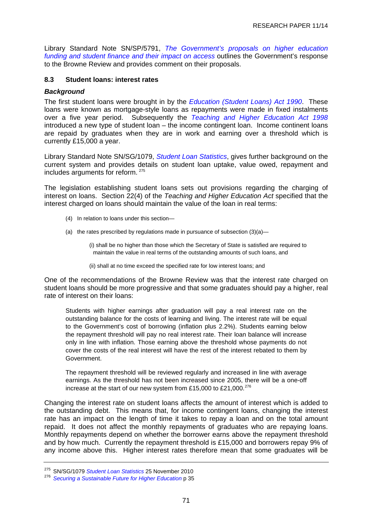<span id="page-74-0"></span>Library Standard Note SN/SP/5791, *[The Government's proposals on higher education](http://10.160.3.10:81/PIMS/Static%20Files/Extended%20File%20Scan%20Files/LIBRARY_OTHER_PAPERS/STANDARD_NOTE/snsp-05791.pdf)  [funding and student finance and their impact on access](http://10.160.3.10:81/PIMS/Static%20Files/Extended%20File%20Scan%20Files/LIBRARY_OTHER_PAPERS/STANDARD_NOTE/snsp-05791.pdf)* outlines the Government's response to the Browne Review and provides comment on their proposals.

## **8.3 Student loans: interest rates**

## *Background*

The first student loans were brought in by the *[Education \(Student Loans\) Act 1990](http://www.legislation.gov.uk/ukpga/1990/6/introduction/enacted)*. These loans were known as mortgage-style loans as repayments were made in fixed instalments over a five year period. Subsequently the *[Teaching and Higher Education Act 1998](http://www.legislation.gov.uk/ukpga/1998/30/contents)* introduced a new type of student loan – the income contingent loan. Income continent loans are repaid by graduates when they are in work and earning over a threshold which is currently £15,000 a year.

Library Standard Note SN/SG/1079, *[Student Loan Statistics](http://10.160.3.10:81/PIMS/Static%20Files/Extended%20File%20Scan%20Files/LIBRARY_OTHER_PAPERS/STANDARD_NOTE/snsg-01079.pdf)*, gives further background on the current system and provides details on student loan uptake, value owed, repayment and includes arguments for reform. [275](#page-74-0)

The legislation establishing student loans sets out provisions regarding the charging of interest on loans. Section 22(4) of the *Teaching and Higher Education Act* specified that the interest charged on loans should maintain the value of the loan in real terms:

- (4) In relation to loans under this section—
- (a) the rates prescribed by regulations made in pursuance of subsection  $(3)(a)$ —

(i) shall be no higher than those which the Secretary of State is satisfied are required to maintain the value in real terms of the outstanding amounts of such loans, and

(ii) shall at no time exceed the specified rate for low interest loans; and

One of the recommendations of the Browne Review was that the interest rate charged on student loans should be more progressive and that some graduates should pay a higher, real rate of interest on their loans:

Students with higher earnings after graduation will pay a real interest rate on the outstanding balance for the costs of learning and living. The interest rate will be equal to the Government's cost of borrowing (inflation plus 2.2%). Students earning below the repayment threshold will pay no real interest rate. Their loan balance will increase only in line with inflation. Those earning above the threshold whose payments do not cover the costs of the real interest will have the rest of the interest rebated to them by Government.

The repayment threshold will be reviewed regularly and increased in line with average earnings. As the threshold has not been increased since 2005, there will be a one-off increase at the start of our new system from £15,000 to £21,000.<sup>[276](#page-74-0)</sup>

Changing the interest rate on student loans affects the amount of interest which is added to the outstanding debt. This means that, for income contingent loans, changing the interest rate has an impact on the length of time it takes to repay a loan and on the total amount repaid. It does not affect the monthly repayments of graduates who are repaying loans. Monthly repayments depend on whether the borrower earns above the repayment threshold and by how much. Currently the repayment threshold is £15,000 and borrowers repay 9% of any income above this. Higher interest rates therefore mean that some graduates will be

<sup>275</sup> SN/SG/1079 *Student Loan Statistics* 25 November 2010 276 *Securing a Sustainable Future for Higher Education* p 35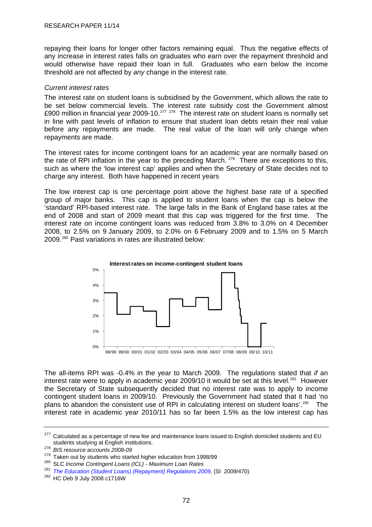<span id="page-75-0"></span>repaying their loans for longer other factors remaining equal. Thus the negative effects of any increase in interest rates falls on graduates who earn over the repayment threshold and would otherwise have repaid their loan in full. Graduates who earn below the income threshold are not affected by *any* change in the interest rate.

## *Current interest rates*

The interest rate on student loans is subsidised by the Government, which allows the rate to be set below commercial levels. The interest rate subsidy cost the Government almost £900 million in financial year 2009-10.<sup>[277](#page-75-0)</sup> <sup>[278](#page-75-0)</sup> The interest rate on student loans is normally set in line with past levels of inflation to ensure that student loan debts retain their real value before any repayments are made. The real value of the loan will only change when repayments are made.

The interest rates for income contingent loans for an academic year are normally based on the rate of RPI inflation in the year to the preceding March.  $279$  There are exceptions to this, such as where the 'low interest cap' applies and when the Secretary of State decides not to charge any interest. Both have happened in recent years

The low interest cap is one percentage point above the highest base rate of a specified group of major banks. This cap is applied to student loans when the cap is below the 'standard' RPI-based interest rate. The large falls in the Bank of England base rates at the end of 2008 and start of 2009 meant that this cap was triggered for the first time. The interest rate on income contingent loans was reduced from 3.8% to 3.0% on 4 December 2008, to 2.5% on 9 January 2009, to 2.0% on 6 February 2009 and to 1.5% on 5 March 2009.[280](#page-75-0) Past variations in rates are illustrated below:



The all-items RPI was -0.4% in the year to March 2009. The regulations stated that *if* an interest rate were to apply in academic year 2009/10 it would be set at this level.<sup>[281](#page-75-0)</sup> However the Secretary of State subsequently decided that no interest rate was to apply to income contingent student loans in 2009/10. Previously the Government had stated that it had 'no plans to abandon the consistent use of RPI in calculating interest on student loans'.<sup>[282](#page-75-0)</sup> The interest rate in academic year 2010/11 has so far been 1.5% as the low interest cap has

<sup>&</sup>lt;sup>277</sup> Calculated as a percentage of new fee and maintenance loans issued to English domiciled students and EU students studying at English institutions. 278 *BIS resource accounts 2008-09*

<sup>&</sup>lt;sup>280</sup> SLC Income Contingent Loans (ICL) - Maximum Loan Rates

<sup>&</sup>lt;sup>281</sup> The Education (Student Loans) (Repayment) Regulations 2009, (SI 2009/470)<br><sup>282</sup> HC Deb 9 July 2008 c1716W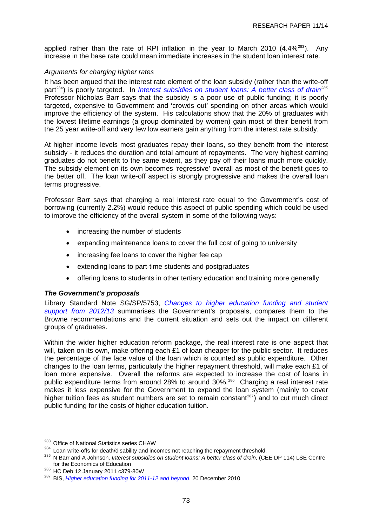<span id="page-76-0"></span>applied rather than the rate of RPI inflation in the year to March 2010  $(4.4\%^{283})$  $(4.4\%^{283})$  $(4.4\%^{283})$ . Any increase in the base rate could mean immediate increases in the student loan interest rate.

# *Arguments for charging higher rates*

It has been argued that the interest rate element of the loan subsidy (rather than the write-off part<sup>[284](#page-76-0)</sup>) is poorly targeted. In *[Interest subsidies on student loans: A better class of drain](http://eprints.lse.ac.uk/28287/1/ceedp114.pdf)<sup>[285](#page-76-0)</sup>* Professor Nicholas Barr says that the subsidy is a poor use of public funding; it is poorly targeted, expensive to Government and 'crowds out' spending on other areas which would improve the efficiency of the system. His calculations show that the 20% of graduates with the lowest lifetime earnings (a group dominated by women) gain most of their benefit from the 25 year write-off and very few low earners gain anything from the interest rate subsidy.

At higher income levels most graduates repay their loans, so they benefit from the interest subsidy - it reduces the duration and total amount of repayments. The very highest earning graduates do not benefit to the same extent, as they pay off their loans much more quickly. The subsidy element on its own becomes 'regressive' overall as most of the benefit goes to the better off. The loan write-off aspect is strongly progressive and makes the overall loan terms progressive.

Professor Barr says that charging a real interest rate equal to the Government's cost of borrowing (currently 2.2%) would reduce this aspect of public spending which could be used to improve the efficiency of the overall system in some of the following ways:

- increasing the number of students
- expanding maintenance loans to cover the full cost of going to university
- increasing fee loans to cover the higher fee cap
- extending loans to part-time students and postgraduates
- offering loans to students in other tertiary education and training more generally

#### *The Government's proposals*

Library Standard Note SG/SP/5753, *[Changes to higher education funding and student](http://10.160.3.10:81/PIMS/Static%20Files/Extended%20File%20Scan%20Files/LIBRARY_OTHER_PAPERS/STANDARD_NOTE/snsg-05753.pdf)  [support from 2012/13](http://10.160.3.10:81/PIMS/Static%20Files/Extended%20File%20Scan%20Files/LIBRARY_OTHER_PAPERS/STANDARD_NOTE/snsg-05753.pdf)* summarises the Government's proposals, compares them to the Browne recommendations and the current situation and sets out the impact on different groups of graduates.

Within the wider higher education reform package, the real interest rate is one aspect that will, taken on its own, make offering each £1 of loan cheaper for the public sector. It reduces the percentage of the face value of the loan which is counted as public expenditure. Other changes to the loan terms, particularly the higher repayment threshold, will make each £1 of loan more expensive. Overall the reforms are expected to increase the cost of loans in public expenditure terms from around 28% to around 30%.<sup>[286](#page-76-0)</sup> Charging a real interest rate makes it less expensive for the Government to expand the loan system (mainly to cover higher tuition fees as student numbers are set to remain constant<sup>[287](#page-76-0)</sup>) and to cut much direct public funding for the costs of higher education tuition.

<sup>&</sup>lt;sup>283</sup> Office of National Statistics series CHAW<br><sup>284</sup> Loan write-offs for death/disability and incomes not reaching the repayment threshold.<br><sup>285</sup> N Barr and A Johnson, *Interest subsidies on student loans: A better class* 

<sup>&</sup>lt;sup>286</sup> HC Deb 12 January 2011 c379-80W<br><sup>287</sup> BIS, *[Higher education funding for 2011-12 and beyond](http://www.bis.gov.uk/assets/biscore/higher-education/docs/h/10-1359-hefce-grant-letter-20-dec-2010.pdf)*, 20 December 2010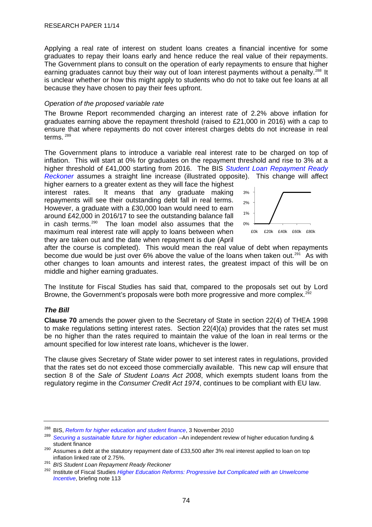<span id="page-77-0"></span>Applying a real rate of interest on student loans creates a financial incentive for some graduates to repay their loans early and hence reduce the real value of their repayments. The Government plans to consult on the operation of early repayments to ensure that higher earning graduates cannot buy their way out of loan interest payments without a penalty.<sup>[288](#page-77-0)</sup> It is unclear whether or how this might apply to students who do not to take out fee loans at all because they have chosen to pay their fees upfront.

## *Operation of the proposed variable rate*

The Browne Report recommended charging an interest rate of 2.2% above inflation for graduates earning above the repayment threshold (raised to £21,000 in 2016) with a cap to ensure that where repayments do not cover interest charges debts do not increase in real terms. [289](#page-77-0)

The Government plans to introduce a variable real interest rate to be charged on top of inflation. This will start at 0% for graduates on the repayment threshold and rise to 3% at a higher threshold of £41,000 starting from 2016. The BIS *[Student Loan Repayment Ready](http://www.bis.gov.uk/assets/biscore/corporate/docs/b/10-1249-student-loan-repayment-ready-reckoner-background-note.pdf)  [Reckoner](http://www.bis.gov.uk/assets/biscore/corporate/docs/b/10-1249-student-loan-repayment-ready-reckoner-background-note.pdf)* assumes a straight line increase (illustrated opposite). This change will affect

higher earners to a greater extent as they will face the highest interest rates. It means that any graduate making repayments will see their outstanding debt fall in real terms. However, a graduate with a £30,000 loan would need to earn around £42,000 in 2016/17 to see the outstanding balance fall in cash terms.<sup>[290](#page-77-0)</sup> The loan model also assumes that the maximum real interest rate will apply to loans between when they are taken out and the date when repayment is due (April



after the course is completed). This would mean the real value of debt when repayments become due would be just over 6% above the value of the loans when taken out.<sup>[291](#page-77-0)</sup> As with other changes to loan amounts and interest rates, the greatest impact of this will be on middle and higher earning graduates.

The Institute for Fiscal Studies has said that, compared to the proposals set out by Lord Browne, the Government's proposals were both more progressive and more complex.<sup>[292](#page-77-0)</sup>

# *The Bill*

**Clause 70** amends the power given to the Secretary of State in section 22(4) of THEA 1998 to make regulations setting interest rates. Section 22(4)(a) provides that the rates set must be no higher than the rates required to maintain the value of the loan in real terms or the amount specified for low interest rate loans, whichever is the lower.

The clause gives Secretary of State wider power to set interest rates in regulations, provided that the rates set do not exceed those commercially available. This new cap will ensure that section 8 of the *Sale of Student Loans Act 2008*, which exempts student loans from the regulatory regime in the *Consumer Credit Act 1974*, continues to be compliant with EU law.

<sup>&</sup>lt;sup>288</sup> BIS, *Reform for higher education and student finance*, 3 November 2010<br><sup>289</sup> *Securing a sustainable future for higher education* –An independent review of higher education funding & student finance<br><sup>290</sup> Assumes a debt at the statutory repayment date of £33,500 after 3% real interest applied to loan on top

inflation linked rate of 2.75%. 291 *BIS Student Loan Repayment Ready Reckoner*

<sup>292</sup> Institute of Fiscal Studies *[Higher Education Reforms: Progressive but Complicated with an Unwelcome](http://www.ifs.org.uk/bns/bn113.pdf)  [Incentive](http://www.ifs.org.uk/bns/bn113.pdf)*, briefing note 113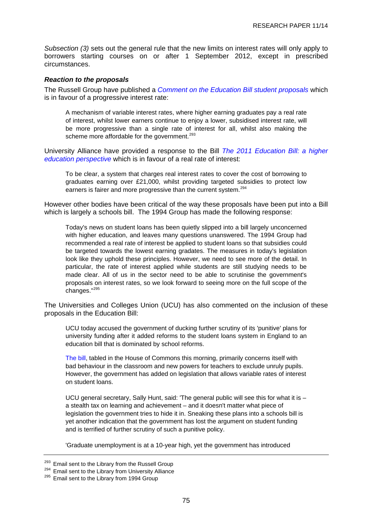<span id="page-78-0"></span>*Subsection (3)* sets out the general rule that the new limits on interest rates will only apply to borrowers starting courses on or after 1 September 2012, except in prescribed circumstances.

### *Reaction to the proposals*

The Russell Group have published a *Comment on the [Education Bill student proposals](http://www.google.co.uk/search?hl=en&q=russell+group+comment+on+the+Education+Bill+student+proposals&aq=f&aqi=&aql=&oq=)* which is in favour of a progressive interest rate:

A mechanism of variable interest rates, where higher earning graduates pay a real rate of interest, whilst lower earners continue to enjoy a lower, subsidised interest rate, will be more progressive than a single rate of interest for all, whilst also making the scheme more affordable for the government.<sup>[293](#page-78-0)</sup>

University Alliance have provided a response to the Bill *The 2011 Education Bill: a higher education perspective* which is in favour of a real rate of interest:

To be clear, a system that charges real interest rates to cover the cost of borrowing to graduates earning over £21,000, whilst providing targeted subsidies to protect low earners is fairer and more progressive than the current system.<sup>[294](#page-78-0)</sup>

However other bodies have been critical of the way these proposals have been put into a Bill which is largely a schools bill. The 1994 Group has made the following response:

Today's news on student loans has been quietly slipped into a bill largely unconcerned with higher education, and leaves many questions unanswered. The 1994 Group had recommended a real rate of interest be applied to student loans so that subsidies could be targeted towards the lowest earning gradates. The measures in today's legislation look like they uphold these principles. However, we need to see more of the detail. In particular, the rate of interest applied while students are still studying needs to be made clear. All of us in the sector need to be able to scrutinise the government's proposals on interest rates, so we look forward to seeing more on the full scope of the changes."[295](#page-78-0)

The Universities and Colleges Union (UCU) has also commented on the inclusion of these proposals in the Education Bill:

UCU today accused the government of ducking further scrutiny of its 'punitive' plans for university funding after it added reforms to the student loans system in England to an education bill that is dominated by school reforms.

[The bill](http://www.education.gov.uk/aboutdfe/departmentalinformation/educationbill/a0073748/education-bill), tabled in the House of Commons this morning, primarily concerns itself with bad behaviour in the classroom and new powers for teachers to exclude unruly pupils. However, the government has added on legislation that allows variable rates of interest on student loans.

UCU general secretary, Sally Hunt, said: 'The general public will see this for what it is – a stealth tax on learning and achievement – and it doesn't matter what piece of legislation the government tries to hide it in. Sneaking these plans into a schools bill is yet another indication that the government has lost the argument on student funding and is terrified of further scrutiny of such a punitive policy.

'Graduate unemployment is at a 10-year high, yet the government has introduced

<sup>&</sup>lt;sup>293</sup> Email sent to the Library from the Russell Group  $^{294}$  Email sent to the Library from University Alliance  $^{295}$  Email sent to the Library from 1994 Group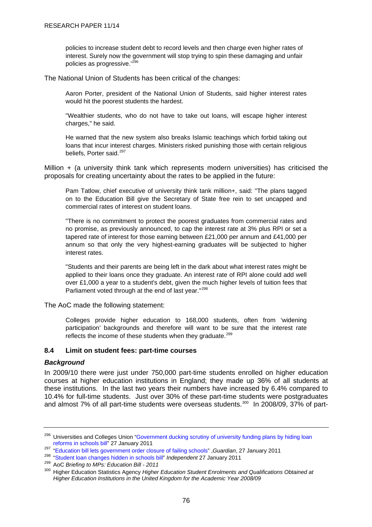<span id="page-79-0"></span>policies to increase student debt to record levels and then charge even higher rates of interest. Surely now the government will stop trying to spin these damaging and unfair policies as progressive.'[296](#page-79-0)

The National Union of Students has been critical of the changes:

Aaron Porter, president of the National Union of Students, said higher interest rates would hit the poorest students the hardest.

"Wealthier students, who do not have to take out loans, will escape higher interest charges," he said.

He warned that the new system also breaks Islamic teachings which forbid taking out loans that incur interest charges. Ministers risked punishing those with certain religious beliefs, Porter said.<sup>[297](#page-79-0)</sup>

Million  $+$  (a university think tank which represents modern universities) has criticised the proposals for creating uncertainty about the rates to be applied in the future:

Pam Tatlow, chief executive of university think tank million+, said: "The plans tagged on to the Education Bill give the Secretary of State free rein to set uncapped and commercial rates of interest on student loans.

"There is no commitment to protect the poorest graduates from commercial rates and no promise, as previously announced, to cap the interest rate at 3% plus RPI or set a tapered rate of interest for those earning between £21,000 per annum and £41,000 per annum so that only the very highest-earning graduates will be subjected to higher interest rates.

"Students and their parents are being left in the dark about what interest rates might be applied to their loans once they graduate. An interest rate of RPI alone could add well over £1,000 a year to a student's debt, given the much higher levels of tuition fees that Parliament voted through at the end of last year."<sup>[298](#page-79-0)</sup>

The AoC made the following statement:

Colleges provide higher education to 168,000 students, often from 'widening participation' backgrounds and therefore will want to be sure that the interest rate reflects the income of these students when they graduate.<sup>[299](#page-79-0)</sup>

# **8.4 Limit on student fees: part-time courses**

#### *Background*

In 2009/10 there were just under 750,000 part-time students enrolled on higher education courses at higher education institutions in England; they made up 36% of all students at these institutions. In the last two years their numbers have increased by 6.4% compared to 10.4% for full-time students. Just over 30% of these part-time students were postgraduates and almost 7% of all part-time students were overseas students.<sup>[300](#page-79-0)</sup> In 2008/09, 37% of part-

<sup>&</sup>lt;sup>296</sup> Universities and Colleges Union ["Government ducking scrutiny of university funding plans by hiding loan](http://www.ucu.org.uk/index.cfm?articleid=5239) reforms in schools bill" 27 January 2011

<sup>297</sup> ["Education bill lets government order closure of failing schools](http://www.guardian.co.uk/education/2011/jan/27/education-bill-abolishes-four-quangos)", Guardian, 27 January 2011<br>298 ["Student loan changes hidden in schools bill"](http://www.independent.co.uk/news/uk/politics/rss) Independent 27 January 2011<br>299 AoC Briefing to MPs: Education Bill - 2011

<sup>300</sup> Higher Education Statistics Agency *Higher Education Student Enrolments and Qualifications Obtained at Higher Education Institutions in the United Kingdom for the Academic Year 2008/09*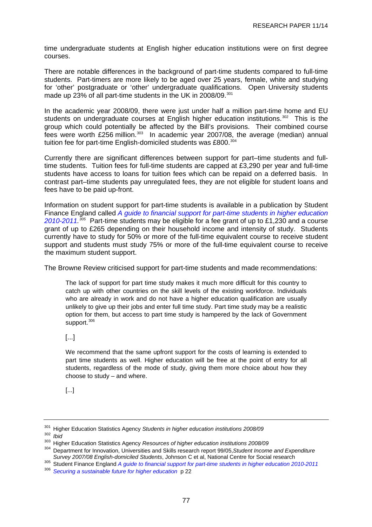<span id="page-80-0"></span>time undergraduate students at English higher education institutions were on first degree courses.

There are notable differences in the background of part-time students compared to full-time students. Part-timers are more likely to be aged over 25 years, female, white and studying for 'other' postgraduate or 'other' undergraduate qualifications. Open University students made up 23% of all part-time students in the UK in 2008/09.<sup>[301](#page-80-0)</sup>

In the academic year 2008/09, there were just under half a million part-time home and EU students on undergraduate courses at English higher education institutions.<sup>[302](#page-80-0)</sup> This is the group which could potentially be affected by the Bill's provisions. Their combined course fees were worth  $£256$  million.<sup>[303](#page-80-0)</sup> In academic year 2007/08, the average (median) annual tuition fee for part-time English-domiciled students was £800.<sup>[304](#page-80-0)</sup>

Currently there are significant differences between support for part–time students and fulltime students. Tuition fees for full-time students are capped at £3,290 per year and full-time students have access to loans for tuition fees which can be repaid on a deferred basis. In contrast part–time students pay unregulated fees, they are not eligible for student loans and fees have to be paid up-front.

Information on student support for part-time students is available in a publication by Student Finance England called *[A guide to financial support for part-time students in higher education](http://www.direct.gov.uk/prod_consum_dg/groups/dg_digitalassets/@dg/@en/@educ/documents/digitalasset/dg_188396.pdf)  [2010-2011.](http://www.direct.gov.uk/prod_consum_dg/groups/dg_digitalassets/@dg/@en/@educ/documents/digitalasset/dg_188396.pdf) [305](#page-80-0)* Part-time students may be eligible for a fee grant of up to £1,230 and a course grant of up to £265 depending on their household income and intensity of study. Students currently have to study for 50% or more of the full-time equivalent course to receive student support and students must study 75% or more of the full-time equivalent course to receive the maximum student support.

The Browne Review criticised support for part-time students and made recommendations:

The lack of support for part time study makes it much more difficult for this country to catch up with other countries on the skill levels of the existing workforce. Individuals who are already in work and do not have a higher education qualification are usually unlikely to give up their jobs and enter full time study. Part time study may be a realistic option for them, but access to part time study is hampered by the lack of Government support.<sup>[306](#page-80-0)</sup>

[...]

We recommend that the same upfront support for the costs of learning is extended to part time students as well. Higher education will be free at the point of entry for all students, regardless of the mode of study, giving them more choice about how they choose to study – and where.

# [...]

<sup>301</sup> Higher Education Statistics Agency *Students in higher education institutions 2008/09*<br><sup>302</sup> High

<sup>302</sup> *Ibid* 

<sup>&</sup>lt;sup>303</sup> Higher Education Statistics Agency *Resources of higher education institutions 2008/09*<br><sup>304</sup> Department for languation, Universities and Obilla acceptations at 2005. Obviout langua

<sup>304</sup> Department for Innovation, Universities and Skills research report 99/05,*Student Income and Expenditure* 

*Survey 2007/08 English-domiciled Students*, Johnson C et al, National Centre for Social research 305 Student Finance England *A guide to financial support for part-time students in higher education 2010-2011*

<sup>306</sup> *[Securing a sustainable future for higher education](http://www.bis.gov.uk/assets/biscore/corporate/docs/s/10-1208-securing-sustainable-higher-education-browne-report.pdf)* p 22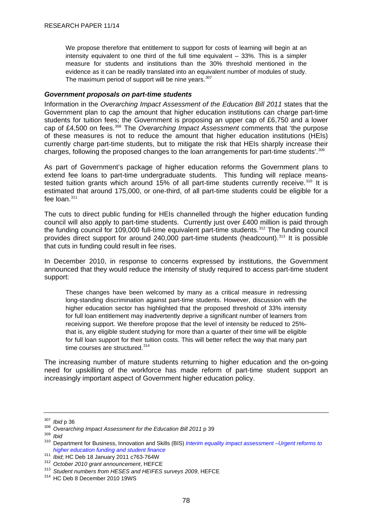<span id="page-81-0"></span>We propose therefore that entitlement to support for costs of learning will begin at an intensity equivalent to one third of the full time equivalent – 33%. This is a simpler measure for students and institutions than the 30% threshold mentioned in the evidence as it can be readily translated into an equivalent number of modules of study. The maximum period of support will be nine years.  $307$ 

### *Government proposals on part-time students*

Information in the *Overarching Impact Assessment of the Education Bill 2011* states that the Government plan to cap the amount that higher education institutions can charge part-time students for tuition fees; the Government is proposing an upper cap of £6,750 and a lower cap of £4,500 on fees.[308](#page-81-0) The *Overarching Impact Assessment* comments that 'the purpose of these measures is not to reduce the amount that higher education institutions (HEIs) currently charge part-time students, but to mitigate the risk that HEIs sharply increase their charges, following the proposed changes to the loan arrangements for part-time students'. $309$ 

As part of Government's package of higher education reforms the Government plans to extend fee loans to part-time undergraduate students. This funding will replace meanstested tuition grants which around  $15%$  of all part-time students currently receive.<sup>[310](#page-81-0)</sup> It is estimated that around 175,000, or one-third, of all part-time students could be eligible for a fee  $\ln 311$  $\ln 311$ 

The cuts to direct public funding for HEIs channelled through the higher education funding council will also apply to part-time students. Currently just over £400 million is paid through the funding council for 109,000 full-time equivalent part-time students.<sup>[312](#page-81-0)</sup> The funding council provides direct support for around 240,000 part-time students (headcount).<sup>[313](#page-81-0)</sup> It is possible that cuts in funding could result in fee rises.

In December 2010, in response to concerns expressed by institutions, the Government announced that they would reduce the intensity of study required to access part-time student support:

These changes have been welcomed by many as a critical measure in redressing long-standing discrimination against part-time students. However, discussion with the higher education sector has highlighted that the proposed threshold of 33% intensity for full loan entitlement may inadvertently deprive a significant number of learners from receiving support. We therefore propose that the level of intensity be reduced to 25% that is, any eligible student studying for more than a quarter of their time will be eligible for full loan support for their tuition costs. This will better reflect the way that many part time courses are structured.<sup>[314](#page-81-0)</sup>

The increasing number of mature students returning to higher education and the on-going need for upskilling of the workforce has made reform of part-time student support an increasingly important aspect of Government higher education policy.

<sup>307</sup>*Ibid* p 36 308 *Overarching Impact Assessment for the Education Bill 2011* p 39 309 *Ibid*

<sup>310</sup> Department for Business, Innovation and Skills (BIS) *[Interim equality impact assessment –Urgent reforms to](http://www.bis.gov.uk/assets/biscore/higher-education/docs/i/10-1310-interim-equality-impact-assessment-he-funding-and-student-finance.pdf)  [higher education funding and student finance](http://www.bis.gov.uk/assets/biscore/higher-education/docs/i/10-1310-interim-equality-impact-assessment-he-funding-and-student-finance.pdf)*

<sup>&</sup>lt;sup>312</sup> October 2010 grant announcement, HEFCE<br><sup>313</sup> Student numbers from HESES and HEIFES surveys 2009, HEFCE<br><sup>314</sup> HC Deb 8 December 2010 19WS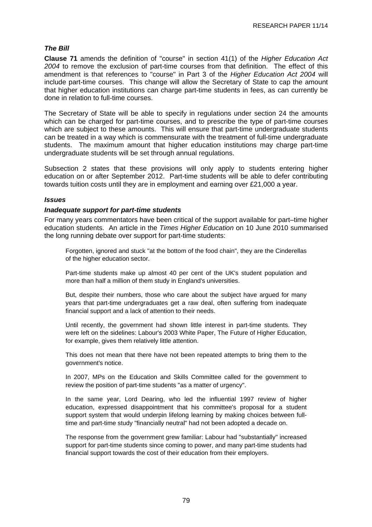# *The Bill*

**Clause 71** amends the definition of "course" in section 41(1) of the *Higher Education Act 2004* to remove the exclusion of part-time courses from that definition. The effect of this amendment is that references to "course" in Part 3 of the *Higher Education Act 2004* will include part-time courses. This change will allow the Secretary of State to cap the amount that higher education institutions can charge part-time students in fees, as can currently be done in relation to full-time courses.

The Secretary of State will be able to specify in regulations under section 24 the amounts which can be charged for part-time courses, and to prescribe the type of part-time courses which are subject to these amounts. This will ensure that part-time undergraduate students can be treated in a way which is commensurate with the treatment of full-time undergraduate students. The maximum amount that higher education institutions may charge part-time undergraduate students will be set through annual regulations.

Subsection 2 states that these provisions will only apply to students entering higher education on or after September 2012. Part-time students will be able to defer contributing towards tuition costs until they are in employment and earning over £21,000 a year.

# *Issues*

## *Inadequate support for part-time students*

For many years commentators have been critical of the support available for part–time higher education students. An article in the *Times Higher Education* on 10 June 2010 summarised the long running debate over support for part-time students:

Forgotten, ignored and stuck "at the bottom of the food chain", they are the Cinderellas of the higher education sector.

Part-time students make up almost 40 per cent of the UK's student population and more than half a million of them study in England's universities.

But, despite their numbers, those who care about the subject have argued for many years that part-time undergraduates get a raw deal, often suffering from inadequate financial support and a lack of attention to their needs.

Until recently, the government had shown little interest in part-time students. They were left on the sidelines: Labour's 2003 White Paper, The Future of Higher Education, for example, gives them relatively little attention.

This does not mean that there have not been repeated attempts to bring them to the government's notice.

In 2007, MPs on the Education and Skills Committee called for the government to review the position of part-time students "as a matter of urgency".

In the same year, Lord Dearing, who led the influential 1997 review of higher education, expressed disappointment that his committee's proposal for a student support system that would underpin lifelong learning by making choices between fulltime and part-time study "financially neutral" had not been adopted a decade on.

The response from the government grew familiar: Labour had "substantially" increased support for part-time students since coming to power, and many part-time students had financial support towards the cost of their education from their employers.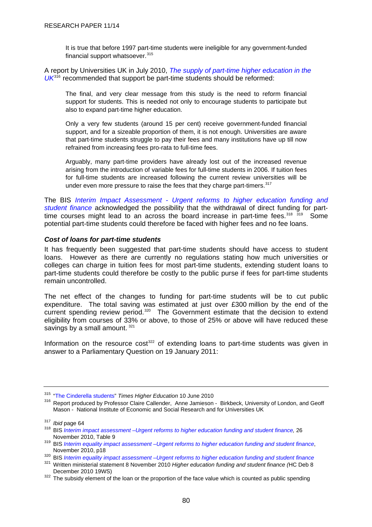<span id="page-83-0"></span>It is true that before 1997 part-time students were ineligible for any government-funded financial support whatsoever.<sup>[315](#page-83-0)</sup>

A report by Universities UK in July 2010, *[The supply of part-time higher education in the](http://www.universitiesuk.ac.uk/Publications/Documents/TheSupplyOfPartTimeHigherEducationInTheUK20100929.pdf)*  [UK](http://www.universitiesuk.ac.uk/Publications/Documents/TheSupplyOfPartTimeHigherEducationInTheUK20100929.pdf)<sup>[316](#page-83-0)</sup> recommended that support be part-time students should be reformed:

The final, and very clear message from this study is the need to reform financial support for students. This is needed not only to encourage students to participate but also to expand part-time higher education.

Only a very few students (around 15 per cent) receive government-funded financial support, and for a sizeable proportion of them, it is not enough. Universities are aware that part-time students struggle to pay their fees and many institutions have up till now refrained from increasing fees pro-rata to full-time fees.

Arguably, many part-time providers have already lost out of the increased revenue arising from the introduction of variable fees for full-time students in 2006. If tuition fees for full-time students are increased following the current review universities will be under even more pressure to raise the fees that they charge part-timers.<sup>[317](#page-83-0)</sup>

The BIS *[Interim Impact Assessment - Urgent reforms to higher education funding and](http://www.bis.gov.uk/assets/biscore/higher-education/docs/i/10-1309-interim-impact-assessment-he-funding-and-student-finance.pdf)  [student finance](http://www.bis.gov.uk/assets/biscore/higher-education/docs/i/10-1309-interim-impact-assessment-he-funding-and-student-finance.pdf)* acknowledged the possibility that the withdrawal of direct funding for part-time courses might lead to an across the board increase in part-time fees.<sup>[318](#page-83-0)</sup> [319](#page-83-0) Some potential part-time students could therefore be faced with higher fees and no fee loans.

#### *Cost of loans for part-time students*

It has frequently been suggested that part-time students should have access to student loans. However as there are currently no regulations stating how much universities or colleges can charge in tuition fees for most part-time students, extending student loans to part-time students could therefore be costly to the public purse if fees for part-time students remain uncontrolled.

The net effect of the changes to funding for part-time students will be to cut public expenditure. The total saving was estimated at just over £300 million by the end of the current spending review period.<sup>[320](#page-83-0)</sup> The Government estimate that the decision to extend eligibility from courses of 33% or above, to those of 25% or above will have reduced these savings by a small amount. [321](#page-83-0)

Information on the resource  $cost<sup>322</sup>$  $cost<sup>322</sup>$  $cost<sup>322</sup>$  of extending loans to part-time students was given in answer to a Parliamentary Question on 19 January 2011:

<sup>&</sup>lt;sup>315</sup> ["The Cinderella students](http://www.timeshighereducation.co.uk/story.asp?storycode=411970)" *Times Higher Education* 10 June 2010<br><sup>316</sup> Report produced by Professor Claire Callender, Anne Jamieson - Birkbeck, University of London, and Geoff Mason - National Institute of Economic and Social Research and for Universities UK

<sup>&</sup>lt;sup>317</sup> Ibid page 64<br><sup>318</sup> BIS *[Interim impact assessment –Urgent reforms to higher education funding and student finance,](http://www.bis.gov.uk/assets/biscore/higher-education/docs/i/10-1309-interim-impact-assessment-he-funding-and-student-finance.pdf) 26<br>November 2010, Table 9* 

November 2010, Table 1988 BIS *[Interim equality impact assessment –Urgent reforms to higher education funding and student finance](http://www.bis.gov.uk/assets/biscore/higher-education/docs/i/10-1310-interim-equality-impact-assessment-he-funding-and-student-finance.pdf)*,<br>November 2010, p18

 $320$  BIS *[Interim equality impact assessment –Urgent reforms to higher education funding and student finance](http://www.bis.gov.uk/assets/biscore/higher-education/docs/i/10-1310-interim-equality-impact-assessment-he-funding-and-student-finance.pdf)* 

<sup>&</sup>lt;sup>321</sup> Written ministerial statement 8 November 2010 *Higher education funding and student finance* (HC Deb 8<br>December 2010 19WS)

 $322$  The subsidy element of the loan or the proportion of the face value which is counted as public spending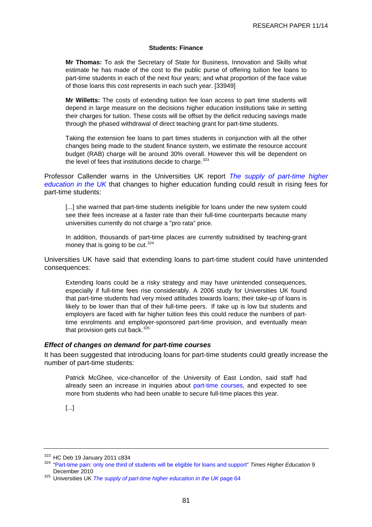#### **Students: Finance**

<span id="page-84-0"></span>**Mr Thomas:** To ask the Secretary of State for Business, Innovation and Skills what estimate he has made of the cost to the public purse of offering tuition fee loans to part-time students in each of the next four years; and what proportion of the face value of those loans this cost represents in each such year. [33949]

**Mr Willetts:** The costs of extending tuition fee loan access to part time students will depend in large measure on the decisions higher education institutions take in setting their charges for tuition. These costs will be offset by the deficit reducing savings made through the phased withdrawal of direct teaching grant for part-time students.

Taking the extension fee loans to part times students in conjunction with all the other changes being made to the student finance system, we estimate the resource account budget (RAB) charge will be around 30% overall. However this will be dependent on the level of fees that institutions decide to charge. $323$ 

Professor Callender warns in the Universities UK report *[The supply of part-time higher](http://www.universitiesuk.ac.uk/Publications/Documents/TheSupplyOfPartTimeHigherEducationInTheUK20100929.pdf)  [education in the UK](http://www.universitiesuk.ac.uk/Publications/Documents/TheSupplyOfPartTimeHigherEducationInTheUK20100929.pdf)* that changes to higher education funding could result in rising fees for part-time students:

[...] she warned that part-time students ineligible for loans under the new system could see their fees increase at a faster rate than their full-time counterparts because many universities currently do not charge a "pro rata" price.

In addition, thousands of part-time places are currently subsidised by teaching-grant money that is going to be cut.  $324$ 

Universities UK have said that extending loans to part-time student could have unintended consequences:

Extending loans could be a risky strategy and may have unintended consequences, especially if full-time fees rise considerably. A 2006 study for Universities UK found that part-time students had very mixed attitudes towards loans; their take-up of loans is likely to be lower than that of their full-time peers. If take up is low but students and employers are faced with far higher tuition fees this could reduce the numbers of parttime enrolments and employer-sponsored part-time provision, and eventually mean that provision gets cut back. $325$ 

#### *Effect of changes on demand for part-time courses*

It has been suggested that introducing loans for part-time students could greatly increase the number of part-time students:

Patrick McGhee, vice-chancellor of the University of East London, said staff had already seen an increase in inquiries about [part-time courses](http://www.guardian.co.uk/education/part-time-courses), and expected to see more from students who had been unable to secure full-time places this year.

<sup>[...]</sup> 

<sup>&</sup>lt;sup>323</sup> HC Deb 19 January 2011 c834<br><sup>324</sup> "Part-time pain: only one third of students will be eligible for loans and support" *Times Higher Education* 9<br>December 2010

<sup>&</sup>lt;sup>325</sup> Universities UK *The supply of part-time higher education in the UK* page 64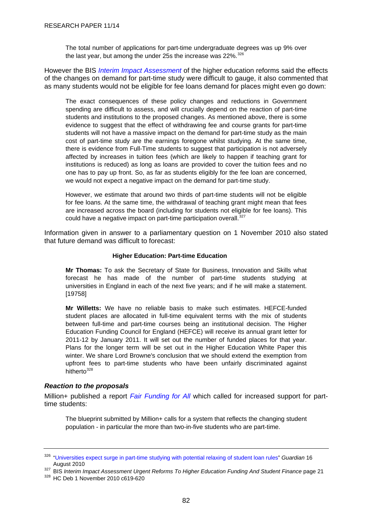<span id="page-85-0"></span>The total number of applications for part-time undergraduate degrees was up 9% over the last year, but among the under 25s the increase was 22%.<sup>[326](#page-85-0)</sup>

However the BIS *[Interim Impact Assessment](http://www.bis.gov.uk/assets/biscore/higher-education/docs/i/10-1309-interim-impact-assessment-he-funding-and-student-finance)* of the higher education reforms said the effects of the changes on demand for part-time study were difficult to gauge, it also commented that as many students would not be eligible for fee loans demand for places might even go down:

The exact consequences of these policy changes and reductions in Government spending are difficult to assess, and will crucially depend on the reaction of part-time students and institutions to the proposed changes. As mentioned above, there is some evidence to suggest that the effect of withdrawing fee and course grants for part-time students will not have a massive impact on the demand for part-time study as the main cost of part-time study are the earnings foregone whilst studying. At the same time, there is evidence from Full-Time students to suggest that participation is not adversely affected by increases in tuition fees (which are likely to happen if teaching grant for institutions is reduced) as long as loans are provided to cover the tuition fees and no one has to pay up front. So, as far as students eligibly for the fee loan are concerned, we would not expect a negative impact on the demand for part-time study.

However, we estimate that around two thirds of part-time students will not be eligible for fee loans. At the same time, the withdrawal of teaching grant might mean that fees are increased across the board (including for students not eligible for fee loans). This could have a negative impact on part-time participation overall.<sup>[327](#page-85-0)</sup>

Information given in answer to a parliamentary question on 1 November 2010 also stated that future demand was difficult to forecast:

#### **Higher Education: Part-time Education**

**Mr Thomas:** To ask the Secretary of State for Business, Innovation and Skills what forecast he has made of the number of part-time students studying at universities in England in each of the next five years; and if he will make a statement. [19758]

**Mr Willetts:** We have no reliable basis to make such estimates. HEFCE-funded student places are allocated in full-time equivalent terms with the mix of students between full-time and part-time courses being an institutional decision. The Higher Education Funding Council for England (HEFCE) will receive its annual grant letter for 2011-12 by January 2011. It will set out the number of funded places for that year. Plans for the longer term will be set out in the Higher Education White Paper this winter. We share Lord Browne's conclusion that we should extend the exemption from upfront fees to part-time students who have been unfairly discriminated against hitherto<sup>[328](#page-85-0)</sup>

## *Reaction to the proposals*

Million+ published a report *[Fair Funding for All](http://www.millionplus.ac.uk/file_download/53/FAIR_FUNDING_Final+Copy.pdf)* which called for increased support for parttime students:

The blueprint submitted by Million+ calls for a system that reflects the changing student population - in particular the more than two-in-five students who are part-time.

<sup>326</sup> ["Universities expect surge in part-time studying with potential relaxing of student loan rules"](http://www.guardian.co.uk/education/2010/aug/16/universities-part-time-studying) *Guardian* 16 August 2010<br><sup>327</sup> BIS *Interim Impact Assessment Urgent Reforms To Higher Education Funding And Student Finance* page 21<br><sup>328</sup> HC Deb 1 November 2010 c619-620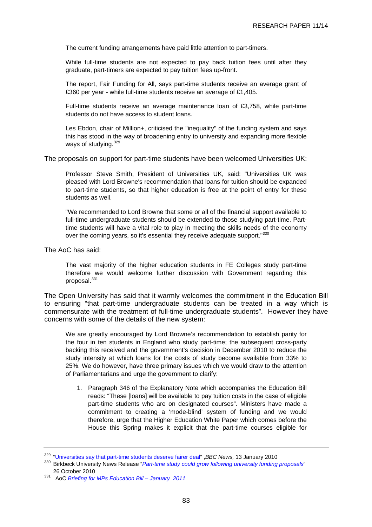<span id="page-86-0"></span>The current funding arrangements have paid little attention to part-timers.

While full-time students are not expected to pay back tuition fees until after they graduate, part-timers are expected to pay tuition fees up-front.

The report, Fair Funding for All, says part-time students receive an average grant of £360 per year - while full-time students receive an average of £1,405.

Full-time students receive an average maintenance loan of £3,758, while part-time students do not have access to student loans.

Les Ebdon, chair of Million+, criticised the "inequality" of the funding system and says this has stood in the way of broadening entry to university and expanding more flexible ways of studying.<sup>[329](#page-86-0)</sup>

The proposals on support for part-time students have been welcomed Universities UK:

Professor Steve Smith, President of Universities UK, said: "Universities UK was pleased with Lord Browne's recommendation that loans for tuition should be expanded to part-time students, so that higher education is free at the point of entry for these students as well.

"We recommended to Lord Browne that some or all of the financial support available to full-time undergraduate students should be extended to those studying part-time. Parttime students will have a vital role to play in meeting the skills needs of the economy over the coming years, so it's essential they receive adequate support."<sup>[330](#page-86-0)</sup>

The AoC has said:

The vast majority of the higher education students in FE Colleges study part-time therefore we would welcome further discussion with Government regarding this proposal.<sup>[331](#page-86-0)</sup>

The Open University has said that it warmly welcomes the commitment in the Education Bill to ensuring "that part-time undergraduate students can be treated in a way which is commensurate with the treatment of full-time undergraduate students". However they have concerns with some of the details of the new system:

We are greatly encouraged by Lord Browne's recommendation to establish parity for the four in ten students in England who study part-time; the subsequent cross-party backing this received and the government's decision in December 2010 to reduce the study intensity at which loans for the costs of study become available from 33% to 25%. We do however, have three primary issues which we would draw to the attention of Parliamentarians and urge the government to clarify:

1. Paragraph 346 of the Explanatory Note which accompanies the Education Bill reads: "These [loans] will be available to pay tuition costs in the case of eligible part-time students who are on designated courses". Ministers have made a commitment to creating a 'mode-blind' system of funding and we would therefore, urge that the Higher Education White Paper which comes before the House this Spring makes it explicit that the part-time courses eligible for

<sup>&</sup>lt;sup>329</sup> ["Universities say that part-time students deserve fairer deal](http://news.bbc.co.uk/1/hi/education/8455096.stm)" ,*BBC News,* 13 January 2010<br><sup>330</sup> Birkbeck University News Release "*[Part-time study could grow following university funding proposals](http://www.bbk.ac.uk/news/archive/RSS)*" 26 October 2010

<sup>331</sup> AoC *Briefing for MPs Education Bill – January 2011*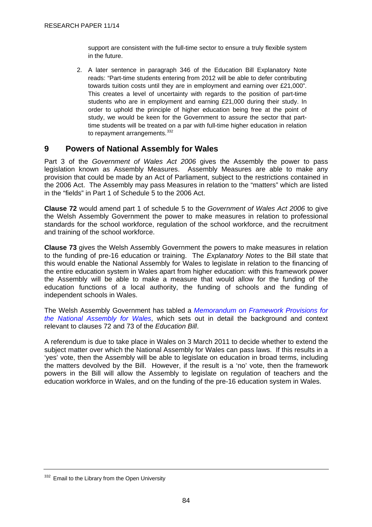<span id="page-87-0"></span>support are consistent with the full-time sector to ensure a truly flexible system in the future.

2. A later sentence in paragraph 346 of the Education Bill Explanatory Note reads: "Part-time students entering from 2012 will be able to defer contributing towards tuition costs until they are in employment and earning over £21,000". This creates a level of uncertainty with regards to the position of part-time students who are in employment and earning £21,000 during their study. In order to uphold the principle of higher education being free at the point of study, we would be keen for the Government to assure the sector that parttime students will be treated on a par with full-time higher education in relation to repayment arrangements.<sup>[332](#page-87-0)</sup>

# **9 Powers of National Assembly for Wales**

Part 3 of the *Government of Wales Act 2006* gives the Assembly the power to pass legislation known as Assembly Measures. Assembly Measures are able to make any provision that could be made by an Act of Parliament, subject to the restrictions contained in the 2006 Act. The Assembly may pass Measures in relation to the "matters" which are listed in the "fields" in Part 1 of Schedule 5 to the 2006 Act.

**Clause 72** would amend part 1 of schedule 5 to the *Government of Wales Act 2006* to give the Welsh Assembly Government the power to make measures in relation to professional standards for the school workforce, regulation of the school workforce, and the recruitment and training of the school workforce.

**Clause 73** gives the Welsh Assembly Government the powers to make measures in relation to the funding of pre-16 education or training. The *Explanatory Notes* to the Bill state that this would enable the National Assembly for Wales to legislate in relation to the financing of the entire education system in Wales apart from higher education: with this framework power the Assembly will be able to make a measure that would allow for the funding of the education functions of a local authority, the funding of schools and the funding of independent schools in Wales.

The Welsh Assembly Government has tabled a *[Memorandum on Framework Provisions for](http://www.assemblywales.org/bus-home/bus-guide-docs-pub/bus-business-documents/bus-business-documents-doc-laid/gen-ld8377-e.pdf?langoption=3&ttl=GEN-LD8377%20-%20Education%20Bill%20-%20Welsh%20Assembly%20Government%20Memorandum%20on%20Framework%20Provisio)  [the National Assembly for Wales](http://www.assemblywales.org/bus-home/bus-guide-docs-pub/bus-business-documents/bus-business-documents-doc-laid/gen-ld8377-e.pdf?langoption=3&ttl=GEN-LD8377%20-%20Education%20Bill%20-%20Welsh%20Assembly%20Government%20Memorandum%20on%20Framework%20Provisio)*, which sets out in detail the background and context relevant to clauses 72 and 73 of the *Education Bill*.

A referendum is due to take place in Wales on 3 March 2011 to decide whether to extend the subject matter over which the National Assembly for Wales can pass laws. If this results in a 'yes' vote, then the Assembly will be able to legislate on education in broad terms, including the matters devolved by the Bill. However, if the result is a 'no' vote, then the framework powers in the Bill will allow the Assembly to legislate on regulation of teachers and the education workforce in Wales, and on the funding of the pre-16 education system in Wales.

<sup>332</sup> Email to the Library from the Open University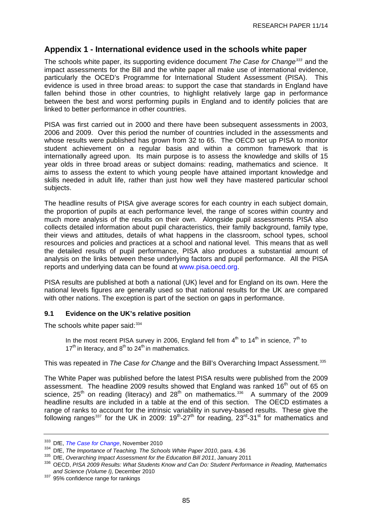# <span id="page-88-0"></span>**Appendix 1 - International evidence used in the schools white paper**

The schools white paper, its supporting evidence document *The Case for Change[333](#page-88-0)* and the impact assessments for the Bill and the white paper all make use of international evidence, particularly the OCED's Programme for International Student Assessment (PISA). This evidence is used in three broad areas: to support the case that standards in England have fallen behind those in other countries, to highlight relatively large gap in performance between the best and worst performing pupils in England and to identify policies that are linked to better performance in other countries.

PISA was first carried out in 2000 and there have been subsequent assessments in 2003, 2006 and 2009. Over this period the number of countries included in the assessments and whose results were published has grown from 32 to 65. The OECD set up PISA to monitor student achievement on a regular basis and within a common framework that is internationally agreed upon. Its main purpose is to assess the knowledge and skills of 15 year olds in three broad areas or subject domains: reading, mathematics and science. It aims to assess the extent to which young people have attained important knowledge and skills needed in adult life, rather than just how well they have mastered particular school subjects.

The headline results of PISA give average scores for each country in each subject domain, the proportion of pupils at each performance level, the range of scores within country and much more analysis of the results on their own. Alongside pupil assessments PISA also collects detailed information about pupil characteristics, their family background, family type, their views and attitudes, details of what happens in the classroom, school types, school resources and policies and practices at a school and national level. This means that as well the detailed results of pupil performance, PISA also produces a substantial amount of analysis on the links between these underlying factors and pupil performance. All the PISA reports and underlying data can be found at [www.pisa.oecd.org.](http://www.pisa.oecd.org/)

PISA results are published at both a national (UK) level and for England on its own. Here the national levels figures are generally used so that national results for the UK are compared with other nations. The exception is part of the section on gaps in performance.

#### **9.1 Evidence on the UK's relative position**

The schools white paper said:  $334$ 

In the most recent PISA survey in 2006, England fell from  $4<sup>th</sup>$  to  $14<sup>th</sup>$  in science,  $7<sup>th</sup>$  to  $17<sup>th</sup>$  in literacy, and  $8<sup>th</sup>$  to  $24<sup>th</sup>$  in mathematics.

## This was repeated in *The Case for Change* and the Bill's Overarching Impact Assessment.[335](#page-88-0)

The White Paper was published before the latest PISA results were published from the 2009 assessment. The headline 2009 results showed that England was ranked 16<sup>th</sup> out of 65 on science,  $25<sup>th</sup>$  on reading (literacy) and  $28<sup>th</sup>$  on mathematics.<sup>[336](#page-88-0)</sup> A summary of the 2009 headline results are included in a table at the end of this section. The OECD estimates a range of ranks to account for the intrinsic variability in survey-based results. These give the following ranges<sup>[337](#page-88-0)</sup> for the UK in 2009:  $19^{th}$ -27<sup>th</sup> for reading,  $23^{rd}$ -31<sup>st</sup> for mathematics and

<sup>&</sup>lt;sup>333</sup> DfE, *The Case for Change*, November 2010<br><sup>334</sup> DfE, *The Importance of Teaching. The Schools White Paper 2010*, para. 4.36<br><sup>335</sup> DfE, *Overarching Impact Assessment for the Education Bill 2011*, January 2011<br><sup>336</sup> O

<sup>&</sup>lt;sup>337</sup> 95% confidence range for rankings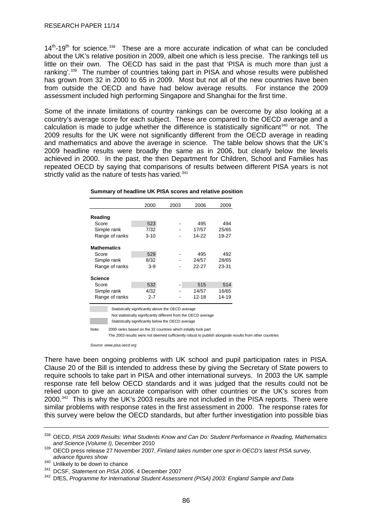<span id="page-89-0"></span> $14<sup>th</sup>$ -19<sup>th</sup> for science.<sup>[338](#page-89-0)</sup> These are a more accurate indication of what can be concluded about the UK's relative position in 2009, albeit one which is less precise. The rankings tell us little on their own. The OECD has said in the past that 'PISA is much more than just a ranking<sup>', [339](#page-89-0)</sup> The number of countries taking part in PISA and whose results were published has grown from 32 in 2000 to 65 in 2009. Most but not all of the new countries have been from outside the OECD and have had below average results. For instance the 2009 assessment included high performing Singapore and Shanghai for the first time.

Some of the innate limitations of country rankings can be overcome by also looking at a country's average score for each subject. These are compared to the OECD average and a calculation is made to judge whether the difference is statistically significant<sup>[340](#page-89-0)</sup> or not. The 2009 results for the UK were not significantly different from the OECD average in reading and mathematics and above the average in science. The table below shows that the UK's 2009 headline results were broadly the same as in 2006, but clearly below the levels achieved in 2000. In the past, the then Department for Children, School and Families has repeated OECD by saying that comparisons of results between different PISA years is not strictly valid as the nature of tests has varied.<sup>[341](#page-89-0)</sup>

|                                                    | 2000     | 2003 | 2006  | 2009  |  |
|----------------------------------------------------|----------|------|-------|-------|--|
| Reading                                            |          |      |       |       |  |
| Score                                              | 523      |      | 495   | 494   |  |
| Simple rank                                        | 7/32     |      | 17/57 | 25/65 |  |
| Range of ranks                                     | $3 - 10$ |      | 14-22 | 19-27 |  |
|                                                    |          |      |       |       |  |
| <b>Mathematics</b>                                 |          |      |       |       |  |
| Score                                              | 529      |      | 495   | 492   |  |
| Simple rank                                        | 8/32     |      | 24/57 | 28/65 |  |
| Range of ranks                                     | $3-9$    |      | 22-27 | 23-31 |  |
| Science                                            |          |      |       |       |  |
| Score                                              | 532      |      | 515   | 514   |  |
| Simple rank                                        | 4/32     |      | 14/57 | 16/65 |  |
| Range of ranks                                     | $2 - 7$  |      | 12-18 | 14-19 |  |
| Statistically significantly above the OECD average |          |      |       |       |  |

**Summary of headline UK PISA scores and relative position**

Statistically significantly below the OECD average Note: 2000 ranks based on the 32 countries which initially took part

Not statistically significantly different from the OECD average

The 2003 results were not deemed sufficiently robust to publish alongside results from other countries

*Source: www.pisa.oecd.org*

There have been ongoing problems with UK school and pupil participation rates in PISA. Clause 20 of the Bill is intended to address these by giving the Secretary of State powers to require schools to take part in PISA and other international surveys. In 2003 the UK sample response rate fell below OECD standards and it was judged that the results could not be relied upon to give an accurate comparison with other countries or the UK's scores from 2000.[342](#page-89-0) This is why the UK's 2003 results are not included in the PISA reports. There were similar problems with response rates in the first assessment in 2000. The response rates for this survey were below the OECD standards, but after further investigation into possible bias

<sup>338</sup> OECD, *PISA 2009 Results: What Students Know and Can Do: Student Performance in Reading, Mathematics* 

*and Science (Volume I),* December 2010 339 OECD press release 27 November 2007, *Finland takes number one spot in OECD's latest PISA survey,*  advance figures show<br><sup>340</sup> Unlikely to be down to chance

<sup>&</sup>lt;sup>341</sup> DCSF, *Statement on PISA 2006*, 4 December 2007<br><sup>342</sup> DfES. Programme for International Student Assessment (PISA) 2003: England Sample and Data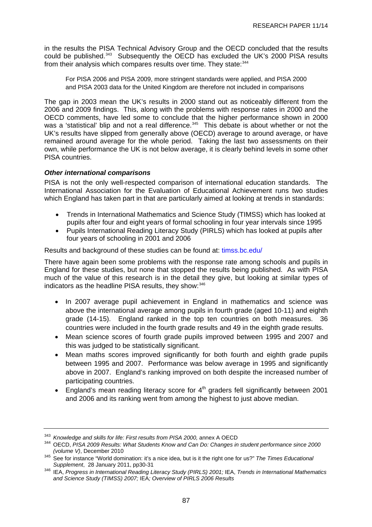<span id="page-90-0"></span>in the results the PISA Technical Advisory Group and the OECD concluded that the results could be published.[343](#page-90-0) Subsequently the OECD has excluded the UK's 2000 PISA results from their analysis which compares results over time. They state: [344](#page-90-0)

For PISA 2006 and PISA 2009, more stringent standards were applied, and PISA 2000 and PISA 2003 data for the United Kingdom are therefore not included in comparisons

The gap in 2003 mean the UK's results in 2000 stand out as noticeably different from the 2006 and 2009 findings. This, along with the problems with response rates in 2000 and the OECD comments, have led some to conclude that the higher performance shown in 2000 was a 'statistical' blip and not a real difference.<sup>[345](#page-90-0)</sup> This debate is about whether or not the UK's results have slipped from generally above (OECD) average to around average, or have remained around average for the whole period. Taking the last two assessments on their own, while performance the UK is not below average, it is clearly behind levels in some other PISA countries.

# *Other international comparisons*

PISA is not the only well-respected comparison of international education standards. The International Association for the Evaluation of Educational Achievement runs two studies which England has taken part in that are particularly aimed at looking at trends in standards:

- Trends in International Mathematics and Science Study (TIMSS) which has looked at pupils after four and eight years of formal schooling in four year intervals since 1995
- Pupils International Reading Literacy Study (PIRLS) which has looked at pupils after four years of schooling in 2001 and 2006

Results and background of these studies can be found at: timss.bc.edu/

There have again been some problems with the response rate among schools and pupils in England for these studies, but none that stopped the results being published. As with PISA much of the value of this research is in the detail they give, but looking at similar types of indicators as the headline PISA results, they show: [346](#page-90-0)

- In 2007 average pupil achievement in England in mathematics and science was above the international average among pupils in fourth grade (aged 10-11) and eighth grade (14-15). England ranked in the top ten countries on both measures. 36 countries were included in the fourth grade results and 49 in the eighth grade results.
- Mean science scores of fourth grade pupils improved between 1995 and 2007 and this was judged to be statistically significant.
- Mean maths scores improved significantly for both fourth and eighth grade pupils between 1995 and 2007. Performance was below average in 1995 and significantly above in 2007. England's ranking improved on both despite the increased number of participating countries.
- England's mean reading literacy score for  $4<sup>th</sup>$  graders fell significantly between 2001 and 2006 and its ranking went from among the highest to just above median.

<sup>&</sup>lt;sup>343</sup> Knowledge and skills for life: First results from PISA 2000, annex A OECD<br><sup>344</sup> OECD, *PISA 2009 Results: What Students Know and Can Do: Changes in student performance since 2000*<br>(volume V), December 2010

*<sup>(</sup>volume V)*, December 2010 345 See for instance "World domination: it's a nice idea, but is it the right one for us?" *The Times Educational* 

*Supplement*, 28 January 2011, pp30-31 346 IEA, *Progress in International Reading Literacy Study (PIRLS) 2001;* IEA, *Trends in International Mathematics and Science Study (TIMSS) 2007;* IEA*; Overview of PIRLS 2006 Results*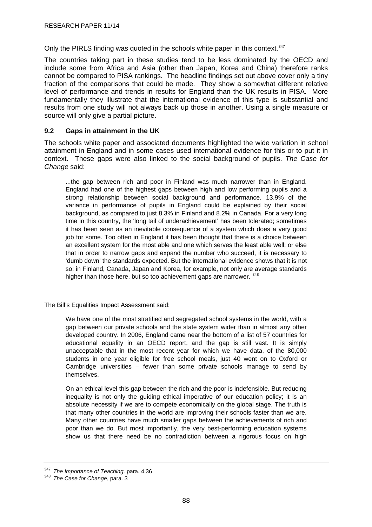<span id="page-91-0"></span>Only the PIRLS finding was quoted in the schools white paper in this context.<sup>[347](#page-91-0)</sup>

The countries taking part in these studies tend to be less dominated by the OECD and include some from Africa and Asia (other than Japan, Korea and China) therefore ranks cannot be compared to PISA rankings. The headline findings set out above cover only a tiny fraction of the comparisons that could be made. They show a somewhat different relative level of performance and trends in results for England than the UK results in PISA. More fundamentally they illustrate that the international evidence of this type is substantial and results from one study will not always back up those in another. Using a single measure or source will only give a partial picture.

# **9.2 Gaps in attainment in the UK**

The schools white paper and associated documents highlighted the wide variation in school attainment in England and in some cases used international evidence for this or to put it in context. These gaps were also linked to the social background of pupils. *The Case for Change* said:

...the gap between rich and poor in Finland was much narrower than in England. England had one of the highest gaps between high and low performing pupils and a strong relationship between social background and performance. 13.9% of the variance in performance of pupils in England could be explained by their social background, as compared to just 8.3% in Finland and 8.2% in Canada. For a very long time in this country, the 'long tail of underachievement' has been tolerated; sometimes it has been seen as an inevitable consequence of a system which does a very good job for some. Too often in England it has been thought that there is a choice between an excellent system for the most able and one which serves the least able well; or else that in order to narrow gaps and expand the number who succeed, it is necessary to 'dumb down' the standards expected. But the international evidence shows that it is not so: in Finland, Canada, Japan and Korea, for example, not only are average standards higher than those here, but so too achievement gaps are narrower. [348](#page-91-0)

The Bill's Equalities Impact Assessment said:

We have one of the most stratified and segregated school systems in the world, with a gap between our private schools and the state system wider than in almost any other developed country. In 2006, England came near the bottom of a list of 57 countries for educational equality in an OECD report, and the gap is still vast. It is simply unacceptable that in the most recent year for which we have data, of the 80,000 students in one year eligible for free school meals, just 40 went on to Oxford or Cambridge universities – fewer than some private schools manage to send by themselves.

On an ethical level this gap between the rich and the poor is indefensible. But reducing inequality is not only the guiding ethical imperative of our education policy; it is an absolute necessity if we are to compete economically on the global stage. The truth is that many other countries in the world are improving their schools faster than we are. Many other countries have much smaller gaps between the achievements of rich and poor than we do. But most importantly, the very best-performing education systems show us that there need be no contradiction between a rigorous focus on high

<sup>347</sup>*The Importance of Teaching.* para. 4.36 348 *The Case for Change*, para. 3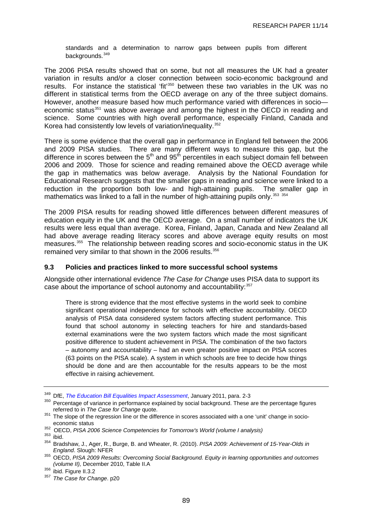<span id="page-92-0"></span>standards and a determination to narrow gaps between pupils from different backgrounds.<sup>[349](#page-92-0)</sup>

The 2006 PISA results showed that on some, but not all measures the UK had a greater variation in results and/or a closer connection between socio-economic background and results. For instance the statistical 'fit'[350](#page-92-0) between these two variables in the UK was no different in statistical terms from the OECD average on any of the three subject domains. However, another measure based how much performance varied with differences in socio— economic status<sup>[351](#page-92-0)</sup> was above average and among the highest in the OECD in reading and science. Some countries with high overall performance, especially Finland, Canada and Korea had consistently low levels of variation/inequality.<sup>[352](#page-92-0)</sup>

There is some evidence that the overall gap in performance in England fell between the 2006 and 2009 PISA studies. There are many different ways to measure this gap, but the difference in scores between the  $5<sup>th</sup>$  and  $95<sup>th</sup>$  percentiles in each subject domain fell between 2006 and 2009. Those for science and reading remained above the OECD average while the gap in mathematics was below average. Analysis by the National Foundation for Educational Research suggests that the smaller gaps in reading and science were linked to a reduction in the proportion both low- and high-attaining pupils. The smaller gap in mathematics was linked to a fall in the number of high-attaining pupils only.<sup>[353](#page-92-0)</sup> [354](#page-92-0)

The 2009 PISA results for reading showed little differences between different measures of education equity in the UK and the OECD average. On a small number of indicators the UK results were less equal than average. Korea, Finland, Japan, Canada and New Zealand all had above average reading literacy scores and above average equity results on most measures.<sup>[355](#page-92-0)</sup> The relationship between reading scores and socio-economic status in the UK remained very similar to that shown in the 2006 results.<sup>[356](#page-92-0)</sup>

## **9.3 Policies and practices linked to more successful school systems**

Alongside other international evidence *The Case for Change* uses PISA data to support its case about the importance of school autonomy and accountability: [357](#page-92-0)

There is strong evidence that the most effective systems in the world seek to combine significant operational independence for schools with effective accountability. OECD analysis of PISA data considered system factors affecting student performance. This found that school autonomy in selecting teachers for hire and standards-based external examinations were the two system factors which made the most significant positive difference to student achievement in PISA. The combination of the two factors – autonomy and accountability – had an even greater positive impact on PISA scores (63 points on the PISA scale). A system in which schools are free to decide how things should be done and are then accountable for the results appears to be the most effective in raising achievement.

<sup>&</sup>lt;sup>349</sup> DfE, *The Education Bill Equalities Impact Assessment*, January 2011, para. 2-3<br><sup>350</sup> Percentage of variance in performance explained by social background. These are the percentage figures<br>referred to in *The Case fo* 

<sup>&</sup>lt;sup>351</sup> The slope of the regression line or the difference in scores associated with a one 'unit' change in socio-

economic status<br>
<sup>352</sup> OECD, *PISA 2006 Science Competencies for Tomorrow's World (volume I analysis)*<br>
<sup>353</sup> ibid.<br>
<sup>354</sup> Bradshaw, J., Ager, R., Burge, B. and Wheater, R. (2010). *PISA 2009: Achievement of 15-Year-Olds i* 

<sup>&</sup>lt;sup>355</sup> OECD, PISA 2009 Results: Overcoming Social Background. Equity in learning opportunities and outcomes *(volume II)*. December 2010. Table II.A

<sup>&</sup>lt;sup>356</sup> ibid. Figure II.3.2<br><sup>357</sup> *The Case for Change*. p20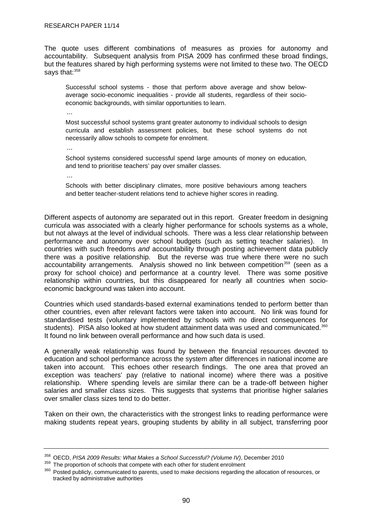<span id="page-93-0"></span>The quote uses different combinations of measures as proxies for autonomy and accountability. Subsequent analysis from PISA 2009 has confirmed these broad findings, but the features shared by high performing systems were not limited to these two. The OECD says that: 358

Successful school systems - those that perform above average and show belowaverage socio-economic inequalities - provide all students, regardless of their socioeconomic backgrounds, with similar opportunities to learn.

...

Most successful school systems grant greater autonomy to individual schools to design curricula and establish assessment policies, but these school systems do not necessarily allow schools to compete for enrolment.

...

School systems considered successful spend large amounts of money on education, and tend to prioritise teachers' pay over smaller classes.

...

Schools with better disciplinary climates, more positive behaviours among teachers and better teacher-student relations tend to achieve higher scores in reading.

Different aspects of autonomy are separated out in this report. Greater freedom in designing curricula was associated with a clearly higher performance for schools systems as a whole, but not always at the level of individual schools. There was a less clear relationship between performance and autonomy over school budgets (such as setting teacher salaries). In countries with such freedoms *and* accountability through posting achievement data publicly there was a positive relationship. But the reverse was true where there were no such accountability arrangements. Analysis showed no link between competition<sup>[359](#page-93-0)</sup> (seen as a proxy for school choice) and performance at a country level. There was some positive relationship within countries, but this disappeared for nearly all countries when socioeconomic background was taken into account.

Countries which used standards-based external examinations tended to perform better than other countries, even after relevant factors were taken into account. No link was found for standardised tests (voluntary implemented by schools with no direct consequences for students). PISA also looked at how student attainment data was used and communicated.<sup>[360](#page-93-0)</sup> It found no link between overall performance and how such data is used.

A generally weak relationship was found by between the financial resources devoted to education and school performance across the system after differences in national income are taken into account. This echoes other research findings. The one area that proved an exception was teachers' pay (relative to national income) where there was a positive relationship. Where spending levels are similar there can be a trade-off between higher salaries and smaller class sizes. This suggests that systems that prioritise higher salaries over smaller class sizes tend to do better.

Taken on their own, the characteristics with the strongest links to reading performance were making students repeat years, grouping students by ability in all subject, transferring poor

 $^{358}$  OECD, PISA 2009 Results: What Makes a School Successful? (Volume IV), December 2010<br> $^{359}$  The proportion of schools that compete with each other for student enrolment<br> $^{360}$  Posted publicly, communicated to par tracked by administrative authorities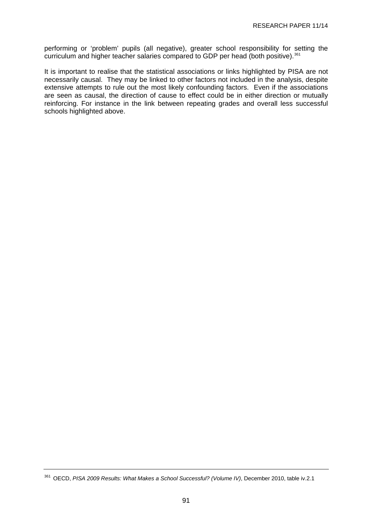<span id="page-94-0"></span>performing or 'problem' pupils (all negative), greater school responsibility for setting the curriculum and higher teacher salaries compared to GDP per head (both positive).<sup>[361](#page-94-0)</sup>

It is important to realise that the statistical associations or links highlighted by PISA are not necessarily causal. They may be linked to other factors not included in the analysis, despite extensive attempts to rule out the most likely confounding factors. Even if the associations are seen as causal, the direction of cause to effect could be in either direction or mutually reinforcing. For instance in the link between repeating grades and overall less successful schools highlighted above.

<sup>361</sup> OECD, *PISA 2009 Results: What Makes a School Successful? (Volume IV)*, December 2010, table iv.2.1